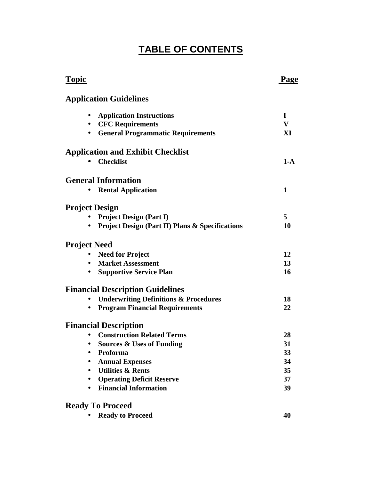# **TABLE OF CONTENTS**

| <b>Topic</b>                                               | Page         |
|------------------------------------------------------------|--------------|
| <b>Application Guidelines</b>                              |              |
| <b>Application Instructions</b>                            | 1            |
| <b>CFC Requirements</b>                                    | $\bf{V}$     |
| <b>General Programmatic Requirements</b><br>$\bullet$      | XI           |
| <b>Application and Exhibit Checklist</b>                   |              |
| <b>Checklist</b>                                           | $1-A$        |
| <b>General Information</b>                                 |              |
| <b>Rental Application</b>                                  | $\mathbf{1}$ |
| <b>Project Design</b>                                      |              |
| <b>Project Design (Part I)</b>                             | 5            |
| <b>Project Design (Part II) Plans &amp; Specifications</b> | 10           |
| <b>Project Need</b>                                        |              |
| <b>Need for Project</b>                                    | 12           |
| <b>Market Assessment</b>                                   | 13           |
| <b>Supportive Service Plan</b><br>$\bullet$                | 16           |
| <b>Financial Description Guidelines</b>                    |              |
| <b>Underwriting Definitions &amp; Procedures</b>           | 18           |
| <b>Program Financial Requirements</b>                      | 22           |
| <b>Financial Description</b>                               |              |
| <b>Construction Related Terms</b>                          | 28           |
| • Sources & Uses of Funding                                | 31           |
| Proforma                                                   | 33           |
| <b>Annual Expenses</b>                                     | 34           |
| <b>Utilities &amp; Rents</b>                               | 35           |
| <b>Operating Deficit Reserve</b>                           | 37           |
| <b>Financial Information</b><br>$\bullet$                  | 39           |
| <b>Ready To Proceed</b>                                    |              |
| <b>Ready to Proceed</b>                                    | 40           |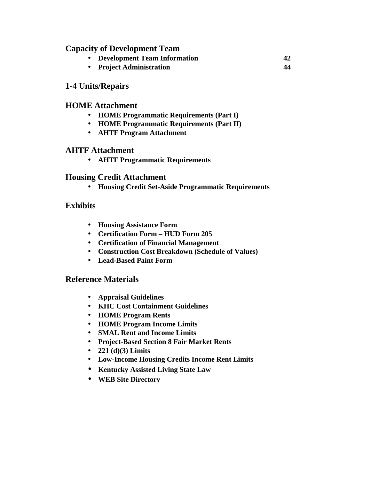### **Capacity of Development Team**

- **Development Team Information 42**
- **Project Administration 44**

# **1-4 Units/Repairs**

### **HOME Attachment**

- **HOME Programmatic Requirements (Part I)**
- **HOME Programmatic Requirements (Part II)**
- **AHTF Program Attachment**

### **AHTF Attachment**

• **AHTF Programmatic Requirements**

# **Housing Credit Attachment**

• **Housing Credit Set-Aside Programmatic Requirements**

# **Exhibits**

- **Housing Assistance Form**
- **Certification Form HUD Form 205**
- **Certification of Financial Management**
- **Construction Cost Breakdown (Schedule of Values)**
- **Lead-Based Paint Form**

### **Reference Materials**

- **Appraisal Guidelines**
- **KHC Cost Containment Guidelines**
- **HOME Program Rents**
- **HOME Program Income Limits**
- **SMAL Rent and Income Limits**
- **Project-Based Section 8 Fair Market Rents**
- **221 (d)(3) Limits**
- **Low-Income Housing Credits Income Rent Limits**
- **Kentucky Assisted Living State Law**
- **WEB Site Directory**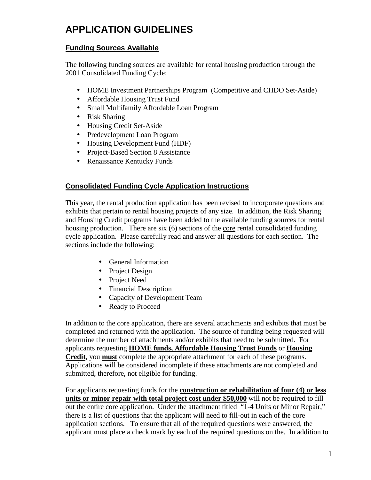# **APPLICATION GUIDELINES**

#### **Funding Sources Available**

The following funding sources are available for rental housing production through the 2001 Consolidated Funding Cycle:

- HOME Investment Partnerships Program (Competitive and CHDO Set-Aside)
- Affordable Housing Trust Fund
- Small Multifamily Affordable Loan Program
- Risk Sharing
- Housing Credit Set-Aside
- Predevelopment Loan Program
- Housing Development Fund (HDF)
- Project-Based Section 8 Assistance
- Renaissance Kentucky Funds

### **Consolidated Funding Cycle Application Instructions**

This year, the rental production application has been revised to incorporate questions and exhibits that pertain to rental housing projects of any size. In addition, the Risk Sharing and Housing Credit programs have been added to the available funding sources for rental housing production. There are six (6) sections of the core rental consolidated funding cycle application. Please carefully read and answer all questions for each section. The sections include the following:

- General Information
- Project Design
- Project Need
- Financial Description
- Capacity of Development Team
- Ready to Proceed

In addition to the core application, there are several attachments and exhibits that must be completed and returned with the application. The source of funding being requested will determine the number of attachments and/or exhibits that need to be submitted. For applicants requesting **HOME funds, Affordable Housing Trust Funds** or **Housing Credit**, you **must** complete the appropriate attachment for each of these programs. Applications will be considered incomplete if these attachments are not completed and submitted, therefore, not eligible for funding.

For applicants requesting funds for the **construction or rehabilitation of four (4) or less units or minor repair with total project cost under \$50,000** will not be required to fill out the entire core application. Under the attachment titled "1-4 Units or Minor Repair," there is a list of questions that the applicant will need to fill-out in each of the core application sections. To ensure that all of the required questions were answered, the applicant must place a check mark by each of the required questions on the. In addition to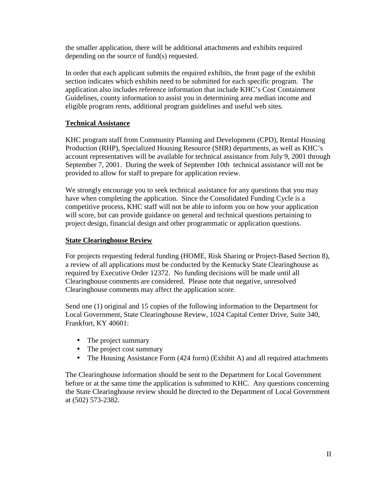the smaller application, there will be additional attachments and exhibits required depending on the source of fund(s) requested.

In order that each applicant submits the required exhibits, the front page of the exhibit section indicates which exhibits need to be submitted for each specific program. The application also includes reference information that include KHC's Cost Containment Guidelines, county information to assist you in determining area median income and eligible program rents, additional program guidelines and useful web sites.

#### **Technical Assistance**

KHC program staff from Community Planning and Development (CPD), Rental Housing Production (RHP), Specialized Housing Resource (SHR) departments, as well as KHC's account representatives will be available for technical assistance from July 9, 2001 through September 7, 2001. During the week of September 10th technical assistance will not be provided to allow for staff to prepare for application review.

We strongly encourage you to seek technical assistance for any questions that you may have when completing the application. Since the Consolidated Funding Cycle is a competitive process, KHC staff will not be able to inform you on how your application will score, but can provide guidance on general and technical questions pertaining to project design, financial design and other programmatic or application questions.

#### **State Clearinghouse Review**

For projects requesting federal funding (HOME, Risk Sharing or Project-Based Section 8), a review of all applications must be conducted by the Kentucky State Clearinghouse as required by Executive Order 12372. No funding decisions will be made until all Clearinghouse comments are considered. Please note that negative, unresolved Clearinghouse comments may affect the application score.

Send one (1) original and 15 copies of the following information to the Department for Local Government, State Clearinghouse Review, 1024 Capital Center Drive, Suite 340, Frankfort, KY 40601:

- The project summary
- The project cost summary
- The Housing Assistance Form (424 form) (Exhibit A) and all required attachments

The Clearinghouse information should be sent to the Department for Local Government before or at the same time the application is submitted to KHC. Any questions concerning the State Clearinghouse review should be directed to the Department of Local Government at (502) 573-2382.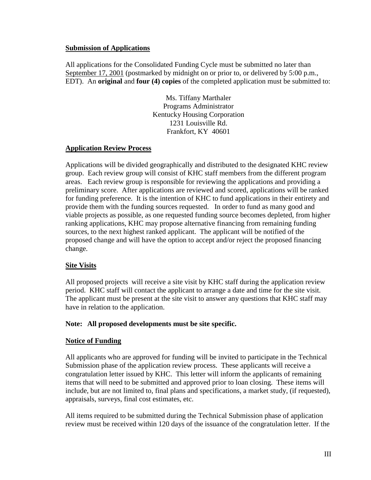#### **Submission of Applications**

All applications for the Consolidated Funding Cycle must be submitted no later than September 17, 2001 (postmarked by midnight on or prior to, or delivered by 5:00 p.m., EDT). An **original** and **four (4) copies** of the completed application must be submitted to:

> Ms. Tiffany Marthaler Programs Administrator Kentucky Housing Corporation 1231 Louisville Rd. Frankfort, KY 40601

#### **Application Review Process**

Applications will be divided geographically and distributed to the designated KHC review group. Each review group will consist of KHC staff members from the different program areas. Each review group is responsible for reviewing the applications and providing a preliminary score. After applications are reviewed and scored, applications will be ranked for funding preference. It is the intention of KHC to fund applications in their entirety and provide them with the funding sources requested. In order to fund as many good and viable projects as possible, as one requested funding source becomes depleted, from higher ranking applications, KHC may propose alternative financing from remaining funding sources, to the next highest ranked applicant. The applicant will be notified of the proposed change and will have the option to accept and/or reject the proposed financing change.

#### **Site Visits**

All proposed projects will receive a site visit by KHC staff during the application review period. KHC staff will contact the applicant to arrange a date and time for the site visit. The applicant must be present at the site visit to answer any questions that KHC staff may have in relation to the application.

#### **Note: All proposed developments must be site specific.**

#### **Notice of Funding**

All applicants who are approved for funding will be invited to participate in the Technical Submission phase of the application review process. These applicants will receive a congratulation letter issued by KHC. This letter will inform the applicants of remaining items that will need to be submitted and approved prior to loan closing. These items will include, but are not limited to, final plans and specifications, a market study, (if requested), appraisals, surveys, final cost estimates, etc.

All items required to be submitted during the Technical Submission phase of application review must be received within 120 days of the issuance of the congratulation letter. If the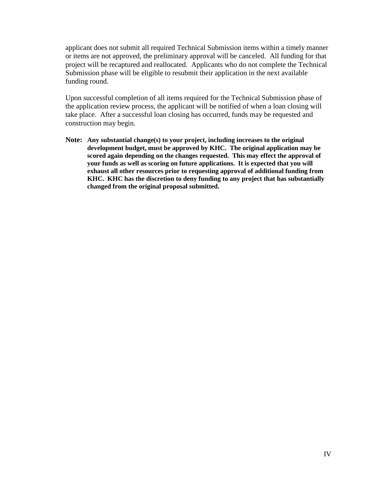applicant does not submit all required Technical Submission items within a timely manner or items are not approved, the preliminary approval will be canceled. All funding for that project will be recaptured and reallocated. Applicants who do not complete the Technical Submission phase will be eligible to resubmit their application in the next available funding round.

Upon successful completion of all items required for the Technical Submission phase of the application review process, the applicant will be notified of when a loan closing will take place. After a successful loan closing has occurred, funds may be requested and construction may begin.

**Note: Any substantial change(s) to your project, including increases to the original development budget, must be approved by KHC. The original application may be scored again depending on the changes requested. This may effect the approval of your funds as well as scoring on future applications. It is expected that you will exhaust all other resources prior to requesting approval of additional funding from KHC. KHC has the discretion to deny funding to any project that has substantially changed from the original proposal submitted.**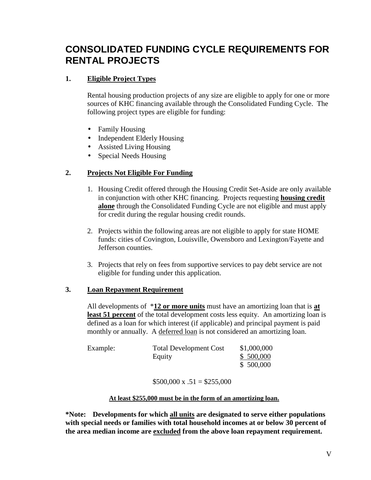# **CONSOLIDATED FUNDING CYCLE REQUIREMENTS FOR RENTAL PROJECTS**

### **1. Eligible Project Types**

Rental housing production projects of any size are eligible to apply for one or more sources of KHC financing available through the Consolidated Funding Cycle. The following project types are eligible for funding:

- Family Housing
- Independent Elderly Housing
- Assisted Living Housing
- Special Needs Housing

### **2. Projects Not Eligible For Funding**

- 1. Housing Credit offered through the Housing Credit Set-Aside are only available in conjunction with other KHC financing. Projects requesting **housing credit alone** through the Consolidated Funding Cycle are not eligible and must apply for credit during the regular housing credit rounds.
- 2. Projects within the following areas are not eligible to apply for state HOME funds: cities of Covington, Louisville, Owensboro and Lexington/Fayette and Jefferson counties.
- 3. Projects that rely on fees from supportive services to pay debt service are not eligible for funding under this application.

#### **3. Loan Repayment Requirement**

All developments of \***12 or more units** must have an amortizing loan that is **at least 51 percent** of the total development costs less equity. An amortizing loan is defined as a loan for which interest (if applicable) and principal payment is paid monthly or annually. A deferred loan is not considered an amortizing loan.

| Example: | <b>Total Development Cost</b> | \$1,000,000 |
|----------|-------------------------------|-------------|
|          | Equity                        | \$500,000   |
|          |                               | \$500,000   |

 $$500,000 \text{ x } .51 = $255,000$ 

#### **At least \$255,000 must be in the form of an amortizing loan.**

**\*Note: Developments for which all units are designated to serve either populations with special needs or families with total household incomes at or below 30 percent of the area median income are excluded from the above loan repayment requirement.**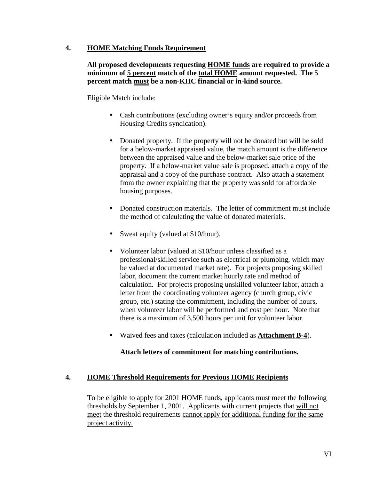#### **4. HOME Matching Funds Requirement**

#### **All proposed developments requesting HOME funds are required to provide a minimum of 5 percent match of the total HOME amount requested. The 5 percent match must be a non-KHC financial or in-kind source.**

Eligible Match include:

- Cash contributions (excluding owner's equity and/or proceeds from Housing Credits syndication).
- Donated property. If the property will not be donated but will be sold for a below-market appraised value, the match amount is the difference between the appraised value and the below-market sale price of the property. If a below-market value sale is proposed, attach a copy of the appraisal and a copy of the purchase contract. Also attach a statement from the owner explaining that the property was sold for affordable housing purposes.
- Donated construction materials. The letter of commitment must include the method of calculating the value of donated materials.
- Sweat equity (valued at \$10/hour).
- Volunteer labor (valued at \$10/hour unless classified as a professional/skilled service such as electrical or plumbing, which may be valued at documented market rate). For projects proposing skilled labor, document the current market hourly rate and method of calculation. For projects proposing unskilled volunteer labor, attach a letter from the coordinating volunteer agency (church group, civic group, etc.) stating the commitment, including the number of hours, when volunteer labor will be performed and cost per hour. Note that there is a maximum of 3,500 hours per unit for volunteer labor.
- Waived fees and taxes (calculation included as **Attachment B-4**).

### **Attach letters of commitment for matching contributions.**

### **4. HOME Threshold Requirements for Previous HOME Recipients**

To be eligible to apply for 2001 HOME funds, applicants must meet the following thresholds by September 1, 2001. Applicants with current projects that will not meet the threshold requirements cannot apply for additional funding for the same project activity.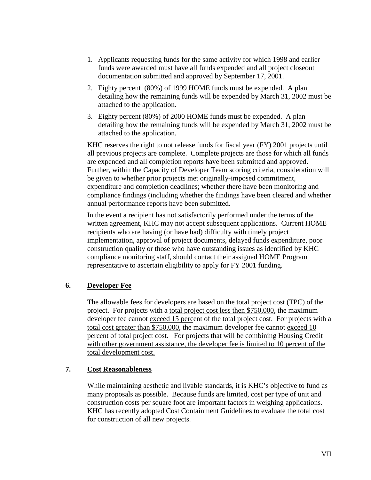- 1. Applicants requesting funds for the same activity for which 1998 and earlier funds were awarded must have all funds expended and all project closeout documentation submitted and approved by September 17, 2001.
- 2. Eighty percent (80%) of 1999 HOME funds must be expended. A plan detailing how the remaining funds will be expended by March 31, 2002 must be attached to the application.
- 3. Eighty percent (80%) of 2000 HOME funds must be expended. A plan detailing how the remaining funds will be expended by March 31, 2002 must be attached to the application.

KHC reserves the right to not release funds for fiscal year (FY) 2001 projects until all previous projects are complete. Complete projects are those for which all funds are expended and all completion reports have been submitted and approved. Further, within the Capacity of Developer Team scoring criteria, consideration will be given to whether prior projects met originally-imposed commitment, expenditure and completion deadlines; whether there have been monitoring and compliance findings (including whether the findings have been cleared and whether annual performance reports have been submitted.

In the event a recipient has not satisfactorily performed under the terms of the written agreement, KHC may not accept subsequent applications. Current HOME recipients who are having (or have had) difficulty with timely project implementation, approval of project documents, delayed funds expenditure, poor construction quality or those who have outstanding issues as identified by KHC compliance monitoring staff, should contact their assigned HOME Program representative to ascertain eligibility to apply for FY 2001 funding.

### **6. Developer Fee**

The allowable fees for developers are based on the total project cost (TPC) of the project. For projects with a total project cost less then \$750,000, the maximum developer fee cannot exceed 15 percent of the total project cost. For projects with a total cost greater than \$750,000, the maximum developer fee cannot exceed 10 percent of total project cost. For projects that will be combining Housing Credit with other government assistance, the developer fee is limited to 10 percent of the total development cost.

#### **7. Cost Reasonableness**

While maintaining aesthetic and livable standards, it is KHC's objective to fund as many proposals as possible. Because funds are limited, cost per type of unit and construction costs per square foot are important factors in weighing applications. KHC has recently adopted Cost Containment Guidelines to evaluate the total cost for construction of all new projects.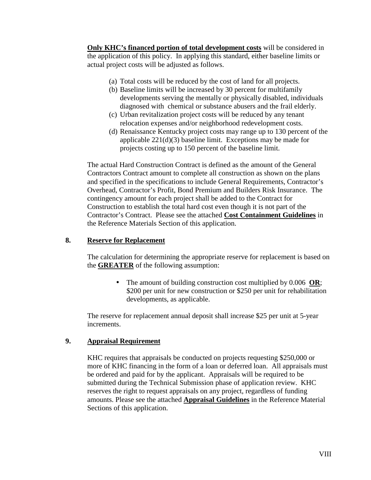**Only KHC's financed portion of total development costs** will be considered in the application of this policy. In applying this standard, either baseline limits or actual project costs will be adjusted as follows.

- (a) Total costs will be reduced by the cost of land for all projects.
- (b) Baseline limits will be increased by 30 percent for multifamily developments serving the mentally or physically disabled, individuals diagnosed with chemical or substance abusers and the frail elderly.
- (c) Urban revitalization project costs will be reduced by any tenant relocation expenses and/or neighborhood redevelopment costs.
- (d) Renaissance Kentucky project costs may range up to 130 percent of the applicable 221(d)(3) baseline limit. Exceptions may be made for projects costing up to 150 percent of the baseline limit.

The actual Hard Construction Contract is defined as the amount of the General Contractors Contract amount to complete all construction as shown on the plans and specified in the specifications to include General Requirements, Contractor's Overhead, Contractor's Profit, Bond Premium and Builders Risk Insurance. The contingency amount for each project shall be added to the Contract for Construction to establish the total hard cost even though it is not part of the Contractor's Contract. Please see the attached **Cost Containment Guidelines** in the Reference Materials Section of this application.

#### **8. Reserve for Replacement**

The calculation for determining the appropriate reserve for replacement is based on the **GREATER** of the following assumption:

> • The amount of building construction cost multiplied by 0.006 **OR**; \$200 per unit for new construction or \$250 per unit for rehabilitation developments, as applicable.

The reserve for replacement annual deposit shall increase \$25 per unit at 5-year increments.

#### **9. Appraisal Requirement**

KHC requires that appraisals be conducted on projects requesting \$250,000 or more of KHC financing in the form of a loan or deferred loan. All appraisals must be ordered and paid for by the applicant. Appraisals will be required to be submitted during the Technical Submission phase of application review. KHC reserves the right to request appraisals on any project, regardless of funding amounts. Please see the attached **Appraisal Guidelines** in the Reference Material Sections of this application.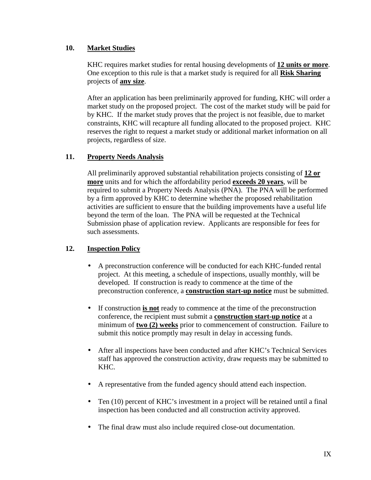#### **10. Market Studies**

KHC requires market studies for rental housing developments of **12 units or more**. One exception to this rule is that a market study is required for all **Risk Sharing** projects of **any size**.

After an application has been preliminarily approved for funding, KHC will order a market study on the proposed project. The cost of the market study will be paid for by KHC. If the market study proves that the project is not feasible, due to market constraints, KHC will recapture all funding allocated to the proposed project. KHC reserves the right to request a market study or additional market information on all projects, regardless of size.

### **11. Property Needs Analysis**

All preliminarily approved substantial rehabilitation projects consisting of **12 or more** units and for which the affordability period **exceeds 20 years**, will be required to submit a Property Needs Analysis (PNA). The PNA will be performed by a firm approved by KHC to determine whether the proposed rehabilitation activities are sufficient to ensure that the building improvements have a useful life beyond the term of the loan. The PNA will be requested at the Technical Submission phase of application review. Applicants are responsible for fees for such assessments.

### **12. Inspection Policy**

- A preconstruction conference will be conducted for each KHC-funded rental project. At this meeting, a schedule of inspections, usually monthly, will be developed. If construction is ready to commence at the time of the preconstruction conference, a **construction start-up notice** must be submitted.
- If construction **is not** ready to commence at the time of the preconstruction conference, the recipient must submit a **construction start-up notice** at a minimum of **two (2) weeks** prior to commencement of construction. Failure to submit this notice promptly may result in delay in accessing funds.
- After all inspections have been conducted and after KHC's Technical Services staff has approved the construction activity, draw requests may be submitted to KHC.
- A representative from the funded agency should attend each inspection.
- Ten (10) percent of KHC's investment in a project will be retained until a final inspection has been conducted and all construction activity approved.
- The final draw must also include required close-out documentation.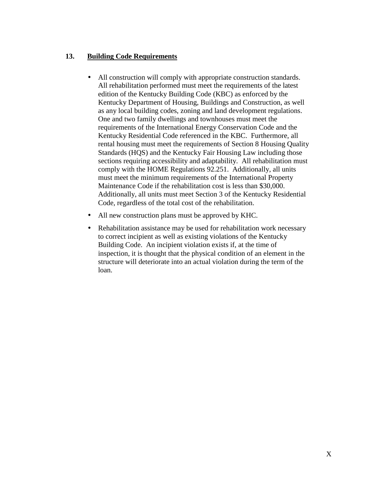#### **13. Building Code Requirements**

- All construction will comply with appropriate construction standards. All rehabilitation performed must meet the requirements of the latest edition of the Kentucky Building Code (KBC) as enforced by the Kentucky Department of Housing, Buildings and Construction, as well as any local building codes, zoning and land development regulations. One and two family dwellings and townhouses must meet the requirements of the International Energy Conservation Code and the Kentucky Residential Code referenced in the KBC. Furthermore, all rental housing must meet the requirements of Section 8 Housing Quality Standards (HQS) and the Kentucky Fair Housing Law including those sections requiring accessibility and adaptability. All rehabilitation must comply with the HOME Regulations 92.251. Additionally, all units must meet the minimum requirements of the International Property Maintenance Code if the rehabilitation cost is less than \$30,000. Additionally, all units must meet Section 3 of the Kentucky Residential Code, regardless of the total cost of the rehabilitation.
- All new construction plans must be approved by KHC.
- Rehabilitation assistance may be used for rehabilitation work necessary to correct incipient as well as existing violations of the Kentucky Building Code. An incipient violation exists if, at the time of inspection, it is thought that the physical condition of an element in the structure will deteriorate into an actual violation during the term of the loan.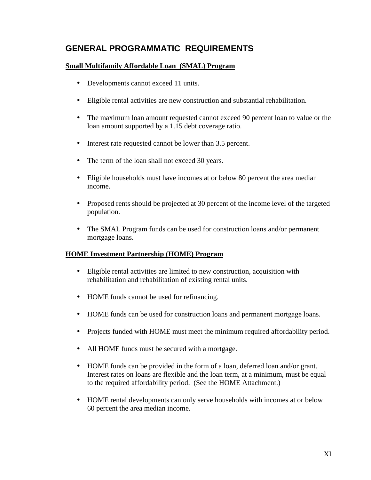# **GENERAL PROGRAMMATIC REQUIREMENTS**

#### **Small Multifamily Affordable Loan (SMAL) Program**

- Developments cannot exceed 11 units.
- Eligible rental activities are new construction and substantial rehabilitation.
- The maximum loan amount requested cannot exceed 90 percent loan to value or the loan amount supported by a 1.15 debt coverage ratio.
- Interest rate requested cannot be lower than 3.5 percent.
- The term of the loan shall not exceed 30 years.
- Eligible households must have incomes at or below 80 percent the area median income.
- Proposed rents should be projected at 30 percent of the income level of the targeted population.
- The SMAL Program funds can be used for construction loans and/or permanent mortgage loans.

#### **HOME Investment Partnership (HOME) Program**

- Eligible rental activities are limited to new construction, acquisition with rehabilitation and rehabilitation of existing rental units.
- HOME funds cannot be used for refinancing.
- HOME funds can be used for construction loans and permanent mortgage loans.
- Projects funded with HOME must meet the minimum required affordability period.
- All HOME funds must be secured with a mortgage.
- HOME funds can be provided in the form of a loan, deferred loan and/or grant. Interest rates on loans are flexible and the loan term, at a minimum, must be equal to the required affordability period. (See the HOME Attachment.)
- HOME rental developments can only serve households with incomes at or below 60 percent the area median income.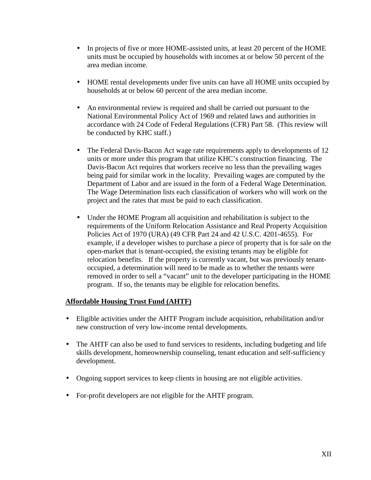- In projects of five or more HOME-assisted units, at least 20 percent of the HOME units must be occupied by households with incomes at or below 50 percent of the area median income.
- HOME rental developments under five units can have all HOME units occupied by households at or below 60 percent of the area median income.
- An environmental review is required and shall be carried out pursuant to the National Environmental Policy Act of 1969 and related laws and authorities in accordance with 24 Code of Federal Regulations (CFR) Part 58. (This review will be conducted by KHC staff.)
- The Federal Davis-Bacon Act wage rate requirements apply to developments of 12 units or more under this program that utilize KHC's construction financing. The Davis-Bacon Act requires that workers receive no less than the prevailing wages being paid for similar work in the locality. Prevailing wages are computed by the Department of Labor and are issued in the form of a Federal Wage Determination. The Wage Determination lists each classification of workers who will work on the project and the rates that must be paid to each classification.
- Under the HOME Program all acquisition and rehabilitation is subject to the requirements of the Uniform Relocation Assistance and Real Property Acquisition Policies Act of 1970 (URA) (49 CFR Part 24 and 42 U.S.C. 4201-4655). For example, if a developer wishes to purchase a piece of property that is for sale on the open-market that is tenant-occupied, the existing tenants may be eligible for relocation benefits. If the property is currently vacant, but was previously tenantoccupied, a determination will need to be made as to whether the tenants were removed in order to sell a "vacant" unit to the developer participating in the HOME program. If so, the tenants may be eligible for relocation benefits.

#### **Affordable Housing Trust Fund (AHTF)**

- Eligible activities under the AHTF Program include acquisition, rehabilitation and/or new construction of very low-income rental developments.
- The AHTF can also be used to fund services to residents, including budgeting and life skills development, homeownership counseling, tenant education and self-sufficiency development.
- Ongoing support services to keep clients in housing are not eligible activities.
- For-profit developers are not eligible for the AHTF program.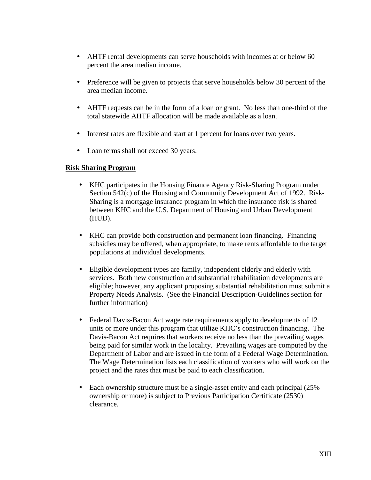- AHTF rental developments can serve households with incomes at or below 60 percent the area median income.
- Preference will be given to projects that serve households below 30 percent of the area median income.
- AHTF requests can be in the form of a loan or grant. No less than one-third of the total statewide AHTF allocation will be made available as a loan.
- Interest rates are flexible and start at 1 percent for loans over two years.
- Loan terms shall not exceed 30 years.

#### **Risk Sharing Program**

- KHC participates in the Housing Finance Agency Risk-Sharing Program under Section 542(c) of the Housing and Community Development Act of 1992. Risk-Sharing is a mortgage insurance program in which the insurance risk is shared between KHC and the U.S. Department of Housing and Urban Development (HUD).
- KHC can provide both construction and permanent loan financing. Financing subsidies may be offered, when appropriate, to make rents affordable to the target populations at individual developments.
- Eligible development types are family, independent elderly and elderly with services. Both new construction and substantial rehabilitation developments are eligible; however, any applicant proposing substantial rehabilitation must submit a Property Needs Analysis. (See the Financial Description-Guidelines section for further information)
- Federal Davis-Bacon Act wage rate requirements apply to developments of 12 units or more under this program that utilize KHC's construction financing. The Davis-Bacon Act requires that workers receive no less than the prevailing wages being paid for similar work in the locality. Prevailing wages are computed by the Department of Labor and are issued in the form of a Federal Wage Determination. The Wage Determination lists each classification of workers who will work on the project and the rates that must be paid to each classification.
- Each ownership structure must be a single-asset entity and each principal (25%) ownership or more) is subject to Previous Participation Certificate (2530) clearance.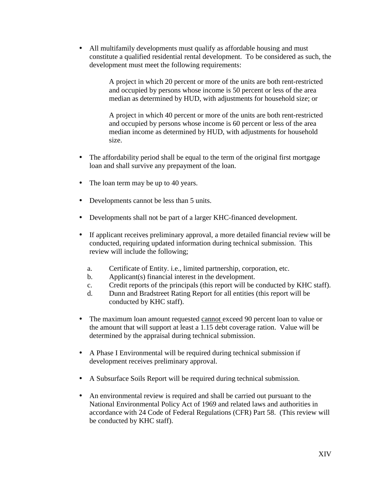• All multifamily developments must qualify as affordable housing and must constitute a qualified residential rental development. To be considered as such, the development must meet the following requirements:

> A project in which 20 percent or more of the units are both rent-restricted and occupied by persons whose income is 50 percent or less of the area median as determined by HUD, with adjustments for household size; or

> A project in which 40 percent or more of the units are both rent-restricted and occupied by persons whose income is 60 percent or less of the area median income as determined by HUD, with adjustments for household size.

- The affordability period shall be equal to the term of the original first mortgage loan and shall survive any prepayment of the loan.
- The loan term may be up to 40 years.
- Developments cannot be less than 5 units.
- Developments shall not be part of a larger KHC-financed development.
- If applicant receives preliminary approval, a more detailed financial review will be conducted, requiring updated information during technical submission. This review will include the following;
	- a. Certificate of Entity. i.e., limited partnership, corporation, etc.
	- b. Applicant(s) financial interest in the development.
	- c. Credit reports of the principals (this report will be conducted by KHC staff).
	- d. Dunn and Bradstreet Rating Report for all entities (this report will be conducted by KHC staff).
- The maximum loan amount requested cannot exceed 90 percent loan to value or the amount that will support at least a 1.15 debt coverage ration. Value will be determined by the appraisal during technical submission.
- A Phase I Environmental will be required during technical submission if development receives preliminary approval.
- A Subsurface Soils Report will be required during technical submission.
- An environmental review is required and shall be carried out pursuant to the National Environmental Policy Act of 1969 and related laws and authorities in accordance with 24 Code of Federal Regulations (CFR) Part 58. (This review will be conducted by KHC staff).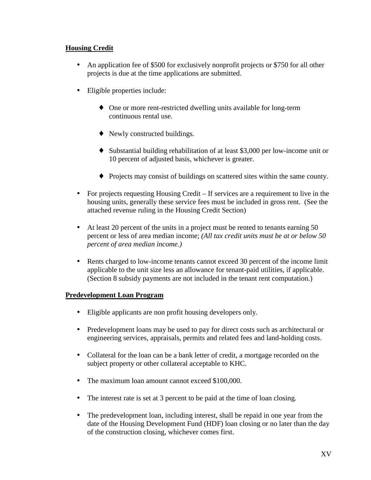#### **Housing Credit**

- An application fee of \$500 for exclusively nonprofit projects or \$750 for all other projects is due at the time applications are submitted.
- Eligible properties include:
	- ♦ One or more rent-restricted dwelling units available for long-term continuous rental use.
	- ♦ Newly constructed buildings.
	- ♦ Substantial building rehabilitation of at least \$3,000 per low-income unit or 10 percent of adjusted basis, whichever is greater.
	- ♦ Projects may consist of buildings on scattered sites within the same county.
- For projects requesting Housing Credit If services are a requirement to live in the housing units, generally these service fees must be included in gross rent. (See the attached revenue ruling in the Housing Credit Section)
- At least 20 percent of the units in a project must be rented to tenants earning 50 percent or less of area median income; *(All tax credit units must be at or below 50 percent of area median income.)*
- Rents charged to low-income tenants cannot exceed 30 percent of the income limit applicable to the unit size less an allowance for tenant-paid utilities, if applicable. (Section 8 subsidy payments are not included in the tenant rent computation.)

#### **Predevelopment Loan Program**

- Eligible applicants are non profit housing developers only.
- Predevelopment loans may be used to pay for direct costs such as architectural or engineering services, appraisals, permits and related fees and land-holding costs.
- Collateral for the loan can be a bank letter of credit, a mortgage recorded on the subject property or other collateral acceptable to KHC.
- The maximum loan amount cannot exceed \$100,000.
- The interest rate is set at 3 percent to be paid at the time of loan closing.
- The predevelopment loan, including interest, shall be repaid in one year from the date of the Housing Development Fund (HDF) loan closing or no later than the day of the construction closing, whichever comes first.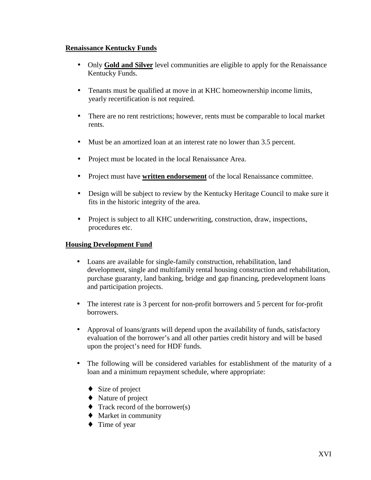#### **Renaissance Kentucky Funds**

- Only **Gold and Silver** level communities are eligible to apply for the Renaissance Kentucky Funds.
- Tenants must be qualified at move in at KHC homeownership income limits, yearly recertification is not required.
- There are no rent restrictions; however, rents must be comparable to local market rents.
- Must be an amortized loan at an interest rate no lower than 3.5 percent.
- Project must be located in the local Renaissance Area.
- Project must have **written endorsement** of the local Renaissance committee.
- Design will be subject to review by the Kentucky Heritage Council to make sure it fits in the historic integrity of the area.
- Project is subject to all KHC underwriting, construction, draw, inspections, procedures etc.

#### **Housing Development Fund**

- Loans are available for single-family construction, rehabilitation, land development, single and multifamily rental housing construction and rehabilitation, purchase guaranty, land banking, bridge and gap financing, predevelopment loans and participation projects.
- The interest rate is 3 percent for non-profit borrowers and 5 percent for for-profit borrowers.
- Approval of loans/grants will depend upon the availability of funds, satisfactory evaluation of the borrower's and all other parties credit history and will be based upon the project's need for HDF funds.
- The following will be considered variables for establishment of the maturity of a loan and a minimum repayment schedule, where appropriate:
	- $\bullet$  Size of project
	- ♦ Nature of project
	- $\triangleleft$  Track record of the borrower(s)
	- ♦ Market in community
	- ♦ Time of year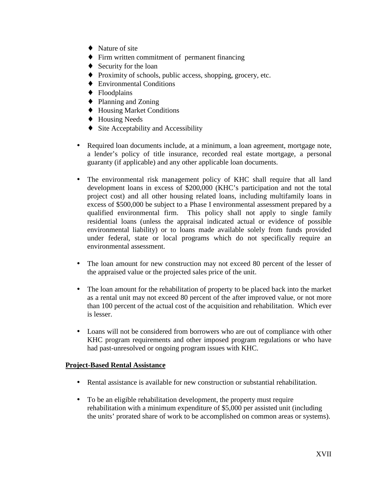- $\blacklozenge$  Nature of site
- ♦ Firm written commitment of permanent financing
- Security for the loan
- ♦ Proximity of schools, public access, shopping, grocery, etc.
- ♦ Environmental Conditions
- ♦ Floodplains
- ♦ Planning and Zoning
- ♦ Housing Market Conditions
- ♦ Housing Needs
- ♦ Site Acceptability and Accessibility
- Required loan documents include, at a minimum, a loan agreement, mortgage note, a lender's policy of title insurance, recorded real estate mortgage, a personal guaranty (if applicable) and any other applicable loan documents.
- The environmental risk management policy of KHC shall require that all land development loans in excess of \$200,000 (KHC's participation and not the total project cost) and all other housing related loans, including multifamily loans in excess of \$500,000 be subject to a Phase I environmental assessment prepared by a qualified environmental firm. This policy shall not apply to single family residential loans (unless the appraisal indicated actual or evidence of possible environmental liability) or to loans made available solely from funds provided under federal, state or local programs which do not specifically require an environmental assessment.
- The loan amount for new construction may not exceed 80 percent of the lesser of the appraised value or the projected sales price of the unit.
- The loan amount for the rehabilitation of property to be placed back into the market as a rental unit may not exceed 80 percent of the after improved value, or not more than 100 percent of the actual cost of the acquisition and rehabilitation. Which ever is lesser.
- Loans will not be considered from borrowers who are out of compliance with other KHC program requirements and other imposed program regulations or who have had past-unresolved or ongoing program issues with KHC.

#### **Project-Based Rental Assistance**

- Rental assistance is available for new construction or substantial rehabilitation.
- To be an eligible rehabilitation development, the property must require rehabilitation with a minimum expenditure of \$5,000 per assisted unit (including the units' prorated share of work to be accomplished on common areas or systems).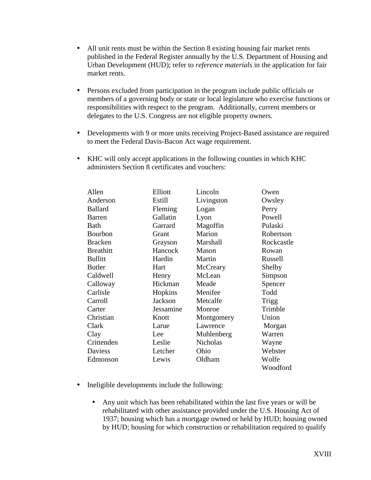- All unit rents must be within the Section 8 existing housing fair market rents published in the Federal Register annually by the U.S. Department of Housing and Urban Development (HUD); refer to *reference materials* in the application for fair market rents.
- Persons excluded from participation in the program include public officials or members of a governing body or state or local legislature who exercise functions or responsibilities with respect to the program. Additionally, current members or delegates to the U.S. Congress are not eligible property owners.
- Developments with 9 or more units receiving Project-Based assistance are required to meet the Federal Davis-Bacon Act wage requirement.
- KHC will only accept applications in the following counties in which KHC administers Section 8 certificates and vouchers:

| Allen            | Elliott   | Lincoln         | Owen         |
|------------------|-----------|-----------------|--------------|
| Anderson         | Estill    | Livingston      | Owsley       |
| <b>Ballard</b>   | Fleming   | Logan           | Perry        |
| Barren           | Gallatin  | Lyon            | Powell       |
| Bath             | Garrard   | Magoffin        | Pulaski      |
| Bourbon          | Grant     | Marion          | Robertson    |
| <b>Bracken</b>   | Grayson   | Marshall        | Rockcastle   |
| <b>Breathitt</b> | Hancock   | Mason           | Rowan        |
| <b>Bullitt</b>   | Hardin    | Martin          | Russell      |
| <b>Butler</b>    | Hart      | McCreary        | Shelby       |
| Caldwell         | Henry     | McLean          | Simpson      |
| Calloway         | Hickman   | Meade           | Spencer      |
| Carlisle         | Hopkins   | Menifee         | Todd         |
| Carroll          | Jackson   | Metcalfe        | <b>Trigg</b> |
| Carter           | Jessamine | Monroe          | Trimble      |
| Christian        | Knott     | Montgomery      | Union        |
| Clark            | Larue     | Lawrence        | Morgan       |
| Clay             | Lee       | Muhlenberg      | Warren       |
| Crittenden       | Leslie    | <b>Nicholas</b> | Wayne        |
| Daviess          | Letcher   | Ohio            | Webster      |
| Edmonson         | Lewis     | Oldham          | Wolfe        |
|                  |           |                 | Woodford     |

- Ineligible developments include the following:
	- Any unit which has been rehabilitated within the last five years or will be rehabilitated with other assistance provided under the U.S. Housing Act of 1937; housing which has a mortgage owned or held by HUD; housing owned by HUD; housing for which construction or rehabilitation required to qualify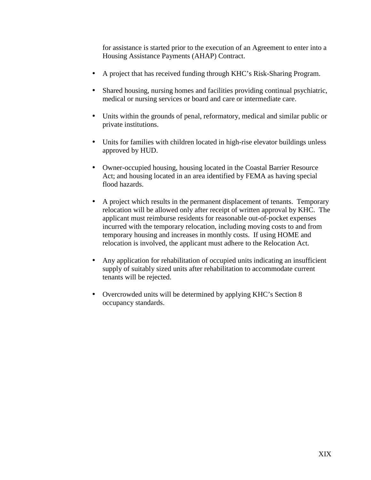for assistance is started prior to the execution of an Agreement to enter into a Housing Assistance Payments (AHAP) Contract.

- A project that has received funding through KHC's Risk-Sharing Program.
- Shared housing, nursing homes and facilities providing continual psychiatric, medical or nursing services or board and care or intermediate care.
- Units within the grounds of penal, reformatory, medical and similar public or private institutions.
- Units for families with children located in high-rise elevator buildings unless approved by HUD.
- Owner-occupied housing, housing located in the Coastal Barrier Resource Act; and housing located in an area identified by FEMA as having special flood hazards.
- A project which results in the permanent displacement of tenants. Temporary relocation will be allowed only after receipt of written approval by KHC. The applicant must reimburse residents for reasonable out-of-pocket expenses incurred with the temporary relocation, including moving costs to and from temporary housing and increases in monthly costs. If using HOME and relocation is involved, the applicant must adhere to the Relocation Act.
- Any application for rehabilitation of occupied units indicating an insufficient supply of suitably sized units after rehabilitation to accommodate current tenants will be rejected.
- Overcrowded units will be determined by applying KHC's Section 8 occupancy standards.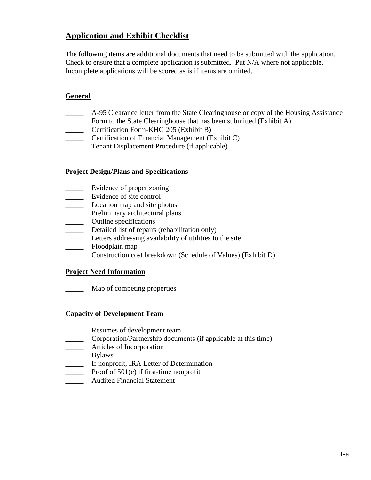# **Application and Exhibit Checklist**

The following items are additional documents that need to be submitted with the application. Check to ensure that a complete application is submitted. Put N/A where not applicable. Incomplete applications will be scored as is if items are omitted.

### **General**

- \_\_\_\_\_ A-95 Clearance letter from the State Clearinghouse or copy of the Housing Assistance
- Form to the State Clearinghouse that has been submitted (Exhibit A)
- \_\_\_\_\_ Certification Form-KHC 205 (Exhibit B)
- \_\_\_\_\_ Certification of Financial Management (Exhibit C)
- \_\_\_\_\_ Tenant Displacement Procedure (if applicable)

#### **Project Design/Plans and Specifications**

- \_\_\_\_\_ Evidence of proper zoning
- \_\_\_\_\_ Evidence of site control
- **Location map and site photos**
- **EXECUTE:** Preliminary architectural plans
- \_\_\_\_\_ Outline specifications
- \_\_\_\_\_ Detailed list of repairs (rehabilitation only)
- Letters addressing availability of utilities to the site
- \_\_\_\_\_ Floodplain map
- Construction cost breakdown (Schedule of Values) (Exhibit D)

#### **Project Need Information**

\_\_\_\_\_ Map of competing properties

#### **Capacity of Development Team**

- Resumes of development team
- \_\_\_\_\_ Corporation/Partnership documents (if applicable at this time)
- **Example 3** Articles of Incorporation
- \_\_\_\_\_\_\_\_\_ Bylaws
- \_\_\_\_\_ If nonprofit, IRA Letter of Determination
- **EXECUTE:** Proof of 501(c) if first-time nonprofit<br>Andited Financial Statement
- \_\_\_\_\_ Audited Financial Statement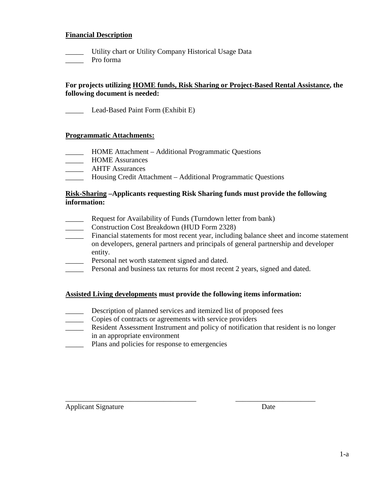#### **Financial Description**

- \_\_\_\_\_ Utility chart or Utility Company Historical Usage Data
- \_\_\_\_\_ Pro forma

#### **For projects utilizing HOME funds, Risk Sharing or Project-Based Rental Assistance, the following document is needed:**

Lead-Based Paint Form (Exhibit E)

#### **Programmatic Attachments:**

- \_\_\_\_\_ HOME Attachment Additional Programmatic Questions
- \_\_\_\_\_ HOME Assurances
- \_\_\_\_\_ AHTF Assurances
- \_\_\_\_\_ Housing Credit Attachment Additional Programmatic Questions

#### **Risk-Sharing –Applicants requesting Risk Sharing funds must provide the following information:**

- **EXECUTE:** Request for Availability of Funds (Turndown letter from bank)
- \_\_\_\_\_ Construction Cost Breakdown (HUD Form 2328)
- \_\_\_\_\_ Financial statements for most recent year, including balance sheet and income statement on developers, general partners and principals of general partnership and developer entity.
- Personal net worth statement signed and dated.
- Personal and business tax returns for most recent 2 years, signed and dated.

#### **Assisted Living developments must provide the following items information:**

- Description of planned services and itemized list of proposed fees
- \_\_\_\_\_ Copies of contracts or agreements with service providers
- Resident Assessment Instrument and policy of notification that resident is no longer in an appropriate environment

\_\_\_\_\_\_\_\_\_\_\_\_\_\_\_\_\_\_\_\_\_\_\_\_\_\_\_\_\_\_\_\_\_\_\_\_ \_\_\_\_\_\_\_\_\_\_\_\_\_\_\_\_\_\_\_\_\_\_

\_\_\_\_\_ Plans and policies for response to emergencies

Applicant Signature Date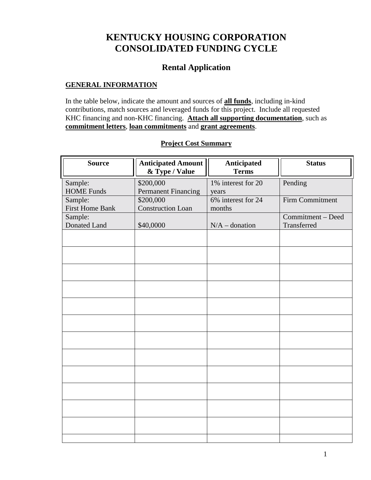# **KENTUCKY HOUSING CORPORATION CONSOLIDATED FUNDING CYCLE**

# **Rental Application**

#### **GENERAL INFORMATION**

In the table below, indicate the amount and sources of **all funds**, including in-kind contributions, match sources and leveraged funds for this project. Include all requested KHC financing and non-KHC financing. **Attach all supporting documentation**, such as **commitment letters**, **loan commitments** and **grant agreements**.

| <b>Source</b>          | <b>Anticipated Amount</b><br>& Type / Value | Anticipated<br><b>Terms</b> | <b>Status</b>     |
|------------------------|---------------------------------------------|-----------------------------|-------------------|
| Sample:                | \$200,000                                   | 1% interest for 20          | Pending           |
| <b>HOME Funds</b>      | <b>Permanent Financing</b>                  | years                       |                   |
| Sample:                | \$200,000                                   | 6% interest for 24          | Firm Commitment   |
| <b>First Home Bank</b> | <b>Construction Loan</b>                    | months                      |                   |
| Sample:                |                                             |                             | Commitment - Deed |
| Donated Land           | \$40,0000                                   | $N/A$ – donation            | Transferred       |
|                        |                                             |                             |                   |
|                        |                                             |                             |                   |
|                        |                                             |                             |                   |
|                        |                                             |                             |                   |
|                        |                                             |                             |                   |
|                        |                                             |                             |                   |
|                        |                                             |                             |                   |
|                        |                                             |                             |                   |
|                        |                                             |                             |                   |
|                        |                                             |                             |                   |
|                        |                                             |                             |                   |
|                        |                                             |                             |                   |
|                        |                                             |                             |                   |

#### **Project Cost Summary**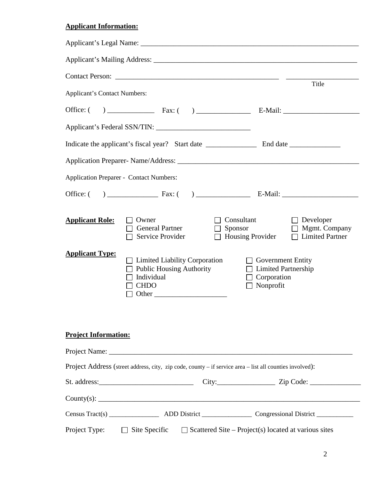# **Applicant Information:**

|                                                  |                                                                                                                                                                                    | Title                                                                                                                                                                                                                             |
|--------------------------------------------------|------------------------------------------------------------------------------------------------------------------------------------------------------------------------------------|-----------------------------------------------------------------------------------------------------------------------------------------------------------------------------------------------------------------------------------|
| <b>Applicant's Contact Numbers:</b>              |                                                                                                                                                                                    |                                                                                                                                                                                                                                   |
|                                                  |                                                                                                                                                                                    |                                                                                                                                                                                                                                   |
|                                                  |                                                                                                                                                                                    |                                                                                                                                                                                                                                   |
|                                                  |                                                                                                                                                                                    |                                                                                                                                                                                                                                   |
|                                                  |                                                                                                                                                                                    |                                                                                                                                                                                                                                   |
| <b>Application Preparer - Contact Numbers:</b>   |                                                                                                                                                                                    |                                                                                                                                                                                                                                   |
|                                                  |                                                                                                                                                                                    |                                                                                                                                                                                                                                   |
| <b>Applicant Role:</b><br><b>Applicant Type:</b> | $\Box$ Owner<br>$\Box$ General Partner<br>Service Provider<br>$\Box$ Limited Liability Corporation<br>$\Box$ Public Housing Authority<br>Individual<br><b>CHDO</b><br>$\Box$ Other | Consultant<br>$\Box$ Developer<br>$\Box$ Sponsor<br>$\Box$ Mgmt. Company<br><b>Housing Provider</b><br>$\Box$ Limited Partner<br>$\Box$ Government Entity<br>$\Box$ Limited Partnership<br>$\Box$ Corporation<br>$\Box$ Nonprofit |
| <b>Project Information:</b>                      |                                                                                                                                                                                    |                                                                                                                                                                                                                                   |
|                                                  |                                                                                                                                                                                    |                                                                                                                                                                                                                                   |
|                                                  | Project Address (street address, city, zip code, county - if service area - list all counties involved):                                                                           |                                                                                                                                                                                                                                   |
|                                                  |                                                                                                                                                                                    |                                                                                                                                                                                                                                   |
|                                                  |                                                                                                                                                                                    |                                                                                                                                                                                                                                   |
|                                                  |                                                                                                                                                                                    |                                                                                                                                                                                                                                   |
|                                                  |                                                                                                                                                                                    | Project Type: $\Box$ Site Specific $\Box$ Scattered Site – Project(s) located at various sites                                                                                                                                    |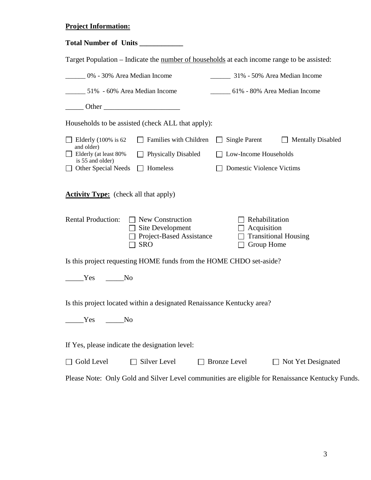### **Project Information:**

|                                                                                                                                      | Target Population – Indicate the number of households at each income range to be assisted:       |  |  |  |  |  |
|--------------------------------------------------------------------------------------------------------------------------------------|--------------------------------------------------------------------------------------------------|--|--|--|--|--|
| 0% - 30% Area Median Income                                                                                                          | 31% - 50% Area Median Income                                                                     |  |  |  |  |  |
| 51% - 60% Area Median Income                                                                                                         | _______ 61% - 80% Area Median Income                                                             |  |  |  |  |  |
| $\frac{1}{2}$ Other                                                                                                                  |                                                                                                  |  |  |  |  |  |
| Households to be assisted (check ALL that apply):                                                                                    |                                                                                                  |  |  |  |  |  |
| Families with Children<br>$\Box$ Elderly (100% is 62<br>and older)                                                                   | <b>Single Parent</b><br>$\Box$ Mentally Disabled                                                 |  |  |  |  |  |
| Elderly (at least 80%<br><b>Physically Disabled</b><br>$\perp$<br>is 55 and older)                                                   | Low-Income Households                                                                            |  |  |  |  |  |
| Homeless<br>Other Special Needs<br>Domestic Violence Victims                                                                         |                                                                                                  |  |  |  |  |  |
| <b>Activity Type:</b> (check all that apply)                                                                                         |                                                                                                  |  |  |  |  |  |
| <b>Rental Production:</b><br>New Construction<br>$\perp$<br>$\Box$ Site Development<br><b>Project-Based Assistance</b><br><b>SRO</b> | Rehabilitation<br>$\Box$ Acquisition<br><b>Transitional Housing</b><br>Group Home                |  |  |  |  |  |
| Is this project requesting HOME funds from the HOME CHDO set-aside?                                                                  |                                                                                                  |  |  |  |  |  |
| <b>Example SE</b><br>N <sub>O</sub>                                                                                                  |                                                                                                  |  |  |  |  |  |
| Is this project located within a designated Renaissance Kentucky area?                                                               |                                                                                                  |  |  |  |  |  |
| Yes<br>No_                                                                                                                           |                                                                                                  |  |  |  |  |  |
| If Yes, please indicate the designation level:                                                                                       |                                                                                                  |  |  |  |  |  |
| Gold Level<br>Silver Level                                                                                                           | <b>Bronze Level</b><br>Not Yet Designated                                                        |  |  |  |  |  |
|                                                                                                                                      | Please Note: Only Gold and Silver Level communities are eligible for Renaissance Kentucky Funds. |  |  |  |  |  |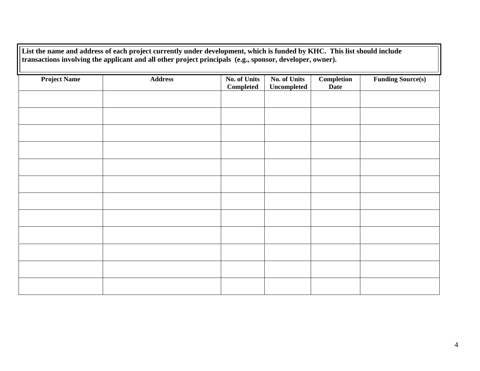| List the name and address of each project currently under development, which is funded by KHC. This list should include<br>transactions involving the applicant and all other project principals (e.g., sponsor, developer, owner). |                |                                  |                                           |                                  |                          |  |
|-------------------------------------------------------------------------------------------------------------------------------------------------------------------------------------------------------------------------------------|----------------|----------------------------------|-------------------------------------------|----------------------------------|--------------------------|--|
| <b>Project Name</b>                                                                                                                                                                                                                 | <b>Address</b> | <b>No. of Units</b><br>Completed | <b>No. of Units</b><br><b>Uncompleted</b> | <b>Completion</b><br><b>Date</b> | <b>Funding Source(s)</b> |  |
|                                                                                                                                                                                                                                     |                |                                  |                                           |                                  |                          |  |
|                                                                                                                                                                                                                                     |                |                                  |                                           |                                  |                          |  |
|                                                                                                                                                                                                                                     |                |                                  |                                           |                                  |                          |  |
|                                                                                                                                                                                                                                     |                |                                  |                                           |                                  |                          |  |
|                                                                                                                                                                                                                                     |                |                                  |                                           |                                  |                          |  |
|                                                                                                                                                                                                                                     |                |                                  |                                           |                                  |                          |  |
|                                                                                                                                                                                                                                     |                |                                  |                                           |                                  |                          |  |
|                                                                                                                                                                                                                                     |                |                                  |                                           |                                  |                          |  |
|                                                                                                                                                                                                                                     |                |                                  |                                           |                                  |                          |  |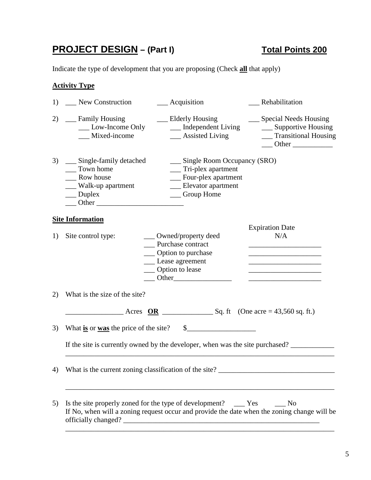# **PROJECT DESIGN** – (Part I) Total Points 200

Indicate the type of development that you are proposing (Check **all** that apply)

# **Activity Type**

| 1) | _New Construction                                                                                            | __ Acquisition                                                                                                                                                                                                                                                                                                                                                                                                                                                | Rehabilitation                                                                                                                                                                                                                                       |
|----|--------------------------------------------------------------------------------------------------------------|---------------------------------------------------------------------------------------------------------------------------------------------------------------------------------------------------------------------------------------------------------------------------------------------------------------------------------------------------------------------------------------------------------------------------------------------------------------|------------------------------------------------------------------------------------------------------------------------------------------------------------------------------------------------------------------------------------------------------|
| 2) | __ Family Housing<br>__ Low-Income Only<br>_Mixed-income                                                     | __ Elderly Housing<br>__ Independent Living<br>__ Assisted Living                                                                                                                                                                                                                                                                                                                                                                                             | __ Special Needs Housing<br>__ Supportive Housing<br>__ Transitional Housing<br>$\frac{1}{2}$ Other $\frac{1}{2}$                                                                                                                                    |
| 3) | ___ Single-family detached<br>Town home<br>Row house<br>Walk-up apartment<br>$\_\_$ Duplex<br>$\qquad$ Other | __ Single Room Occupancy (SRO)<br>___ Tri-plex apartment<br>__ Four-plex apartment<br>__ Elevator apartment<br>__ Group Home                                                                                                                                                                                                                                                                                                                                  |                                                                                                                                                                                                                                                      |
|    | <b>Site Information</b>                                                                                      |                                                                                                                                                                                                                                                                                                                                                                                                                                                               |                                                                                                                                                                                                                                                      |
| 1) | Site control type:                                                                                           | ___ Owned/property deed<br>Purchase contract<br>__ Option to purchase<br>__ Lease agreement<br>__ Option to lease<br>$\overline{\phantom{a}}$ Other                                                                                                                                                                                                                                                                                                           | <b>Expiration Date</b><br>N/A<br><u> 1989 - Johann Barbara, martin amerikan basar da</u><br>the control of the control of the control of the control of the control of<br>the control of the control of the control of the control of the control of |
| 2) | What is the size of the site?                                                                                |                                                                                                                                                                                                                                                                                                                                                                                                                                                               |                                                                                                                                                                                                                                                      |
|    |                                                                                                              | $\frac{\text{A} \cdot \text{A} \cdot \text{A}}{\text{A} \cdot \text{B}}$ $\frac{\text{O} \cdot \text{A}}{\text{A} \cdot \text{B}}$ $\frac{\text{O} \cdot \text{A}}{\text{A} \cdot \text{B}}$ $\frac{\text{O} \cdot \text{A}}{\text{A} \cdot \text{B}}$ $\frac{\text{O} \cdot \text{A}}{\text{A} \cdot \text{B}}$ $\frac{\text{O} \cdot \text{A}}{\text{A} \cdot \text{B}}$ $\frac{\text{O} \cdot \text{A}}{\text{A} \cdot \text{B}}$ $\frac{\text{O} \cdot \$ |                                                                                                                                                                                                                                                      |
| 3) |                                                                                                              | What is or was the price of the site? $\$\_$<br>If the site is currently owned by the developer, when was the site purchased?                                                                                                                                                                                                                                                                                                                                 |                                                                                                                                                                                                                                                      |
| 4) | What is the current zoning classification of the site?                                                       |                                                                                                                                                                                                                                                                                                                                                                                                                                                               |                                                                                                                                                                                                                                                      |
| 5) |                                                                                                              | Is the site properly zoned for the type of development? _______ Yes<br>If No, when will a zoning request occur and provide the date when the zoning change will be                                                                                                                                                                                                                                                                                            | $\mathbf{N}\mathbf{o}$                                                                                                                                                                                                                               |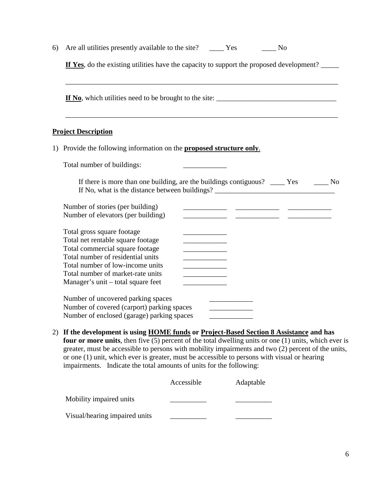| 6) | No.                                                                                                                                                                                                                                                                                                        |
|----|------------------------------------------------------------------------------------------------------------------------------------------------------------------------------------------------------------------------------------------------------------------------------------------------------------|
|    | If Yes, do the existing utilities have the capacity to support the proposed development?                                                                                                                                                                                                                   |
|    |                                                                                                                                                                                                                                                                                                            |
|    | <b>Project Description</b>                                                                                                                                                                                                                                                                                 |
|    | 1) Provide the following information on the <b>proposed structure only</b> .                                                                                                                                                                                                                               |
|    | Total number of buildings:                                                                                                                                                                                                                                                                                 |
|    | If there is more than one building, are the buildings contiguous? _____ Yes _______ No                                                                                                                                                                                                                     |
|    | Number of stories (per building)<br>Number of elevators (per building)                                                                                                                                                                                                                                     |
|    | Total gross square footage<br>Total net rentable square footage<br>Total commercial square footage<br>the control of the control of the control of<br>Total number of residential units<br>Total number of low-income units<br>Total number of market-rate units<br>Manager's unit – total square feet     |
|    | Number of uncovered parking spaces<br>Number of covered (carport) parking spaces<br>Number of enclosed (garage) parking spaces                                                                                                                                                                             |
|    | 2) If the development is using HOME funds or Project-Based Section 8 Assistance and has<br>four or more units, then five $(5)$ percent of the total dwelling units or one $(1)$ units, which ever is<br>greater must be accessible to persons with mobility impairments and two $(2)$ percent of the units |

greater, must be accessible to persons with mobility impairments and two (2) percent of the units, or one (1) unit, which ever is greater, must be accessible to persons with visual or hearing impairments. Indicate the total amounts of units for the following:

|                               | Accessible | Adaptable |
|-------------------------------|------------|-----------|
| Mobility impaired units       |            |           |
| Visual/hearing impaired units |            |           |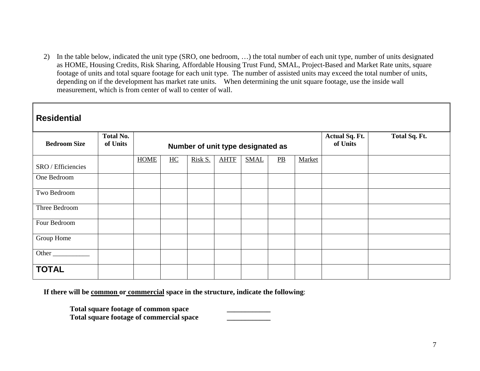2) In the table below, indicated the unit type (SRO, one bedroom, …) the total number of each unit type, number of units designated as HOME, Housing Credits, Risk Sharing, Affordable Housing Trust Fund, SMAL, Project-Based and Market Rate units, square footage of units and total square footage for each unit type. The number of assisted units may exceed the total number of units, depending on if the development has market rate units. When determining the unit square footage, use the inside wall measurement, which is from center of wall to center of wall.

| <b>Residential</b>  |                              |             |                  |                                   |             |             |                  |        |                                   |               |
|---------------------|------------------------------|-------------|------------------|-----------------------------------|-------------|-------------|------------------|--------|-----------------------------------|---------------|
| <b>Bedroom Size</b> | <b>Total No.</b><br>of Units |             |                  | Number of unit type designated as |             |             |                  |        | <b>Actual Sq. Ft.</b><br>of Units | Total Sq. Ft. |
| SRO / Efficiencies  |                              | <b>HOME</b> | $\underline{HC}$ | Risk S.                           | <b>AHTF</b> | <b>SMAL</b> | $\underline{PB}$ | Market |                                   |               |
| One Bedroom         |                              |             |                  |                                   |             |             |                  |        |                                   |               |
| Two Bedroom         |                              |             |                  |                                   |             |             |                  |        |                                   |               |
| Three Bedroom       |                              |             |                  |                                   |             |             |                  |        |                                   |               |
| Four Bedroom        |                              |             |                  |                                   |             |             |                  |        |                                   |               |
| Group Home          |                              |             |                  |                                   |             |             |                  |        |                                   |               |
| Other               |                              |             |                  |                                   |             |             |                  |        |                                   |               |
| <b>TOTAL</b>        |                              |             |                  |                                   |             |             |                  |        |                                   |               |

**If there will be common or commercial space in the structure, indicate the following**:

**Total square footage of common space \_\_\_\_\_\_\_\_\_\_\_\_ Total square footage of commercial space \_\_\_\_\_\_\_\_\_\_\_\_**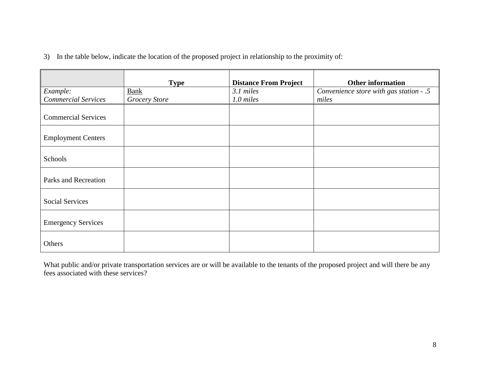|  | 3) In the table below, indicate the location of the proposed project in relationship to the proximity of: |  |  |  |  |  |  |  |
|--|-----------------------------------------------------------------------------------------------------------|--|--|--|--|--|--|--|
|--|-----------------------------------------------------------------------------------------------------------|--|--|--|--|--|--|--|

|                            | <b>Type</b>          | <b>Distance From Project</b> | <b>Other information</b>                |
|----------------------------|----------------------|------------------------------|-----------------------------------------|
| Example:                   | <b>Bank</b>          | 3.1 miles                    | Convenience store with gas station - .5 |
| <b>Commercial Services</b> | <b>Grocery Store</b> | $1.0$ miles                  | miles                                   |
| <b>Commercial Services</b> |                      |                              |                                         |
| <b>Employment Centers</b>  |                      |                              |                                         |
| Schools                    |                      |                              |                                         |
| Parks and Recreation       |                      |                              |                                         |
| <b>Social Services</b>     |                      |                              |                                         |
| <b>Emergency Services</b>  |                      |                              |                                         |
| Others                     |                      |                              |                                         |

What public and/or private transportation services are or will be available to the tenants of the proposed project and will there be any fees associated with these services?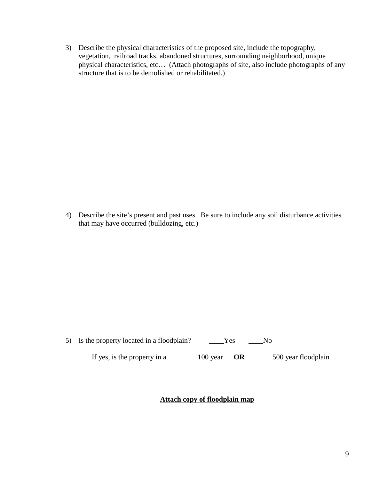3) Describe the physical characteristics of the proposed site, include the topography, vegetation, railroad tracks, abandoned structures, surrounding neighborhood, unique physical characteristics, etc… (Attach photographs of site, also include photographs of any structure that is to be demolished or rehabilitated.)

4) Describe the site's present and past uses. Be sure to include any soil disturbance activities that may have occurred (bulldozing, etc.)

| 5) Is the property located in a floodplain? | Yes                |                      |  |
|---------------------------------------------|--------------------|----------------------|--|
| If yes, is the property in a                | 100 year <b>OR</b> | _500 year floodplain |  |

### **Attach copy of floodplain map**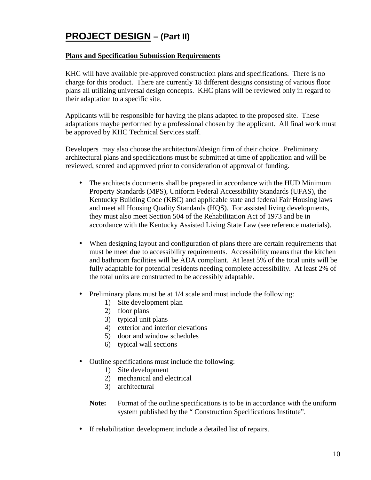# **PROJECT DESIGN – (Part II)**

#### **Plans and Specification Submission Requirements**

KHC will have available pre-approved construction plans and specifications. There is no charge for this product. There are currently 18 different designs consisting of various floor plans all utilizing universal design concepts. KHC plans will be reviewed only in regard to their adaptation to a specific site.

Applicants will be responsible for having the plans adapted to the proposed site. These adaptations maybe performed by a professional chosen by the applicant. All final work must be approved by KHC Technical Services staff.

Developers may also choose the architectural/design firm of their choice. Preliminary architectural plans and specifications must be submitted at time of application and will be reviewed, scored and approved prior to consideration of approval of funding.

- The architects documents shall be prepared in accordance with the HUD Minimum Property Standards (MPS), Uniform Federal Accessibility Standards (UFAS), the Kentucky Building Code (KBC) and applicable state and federal Fair Housing laws and meet all Housing Quality Standards (HQS). For assisted living developments, they must also meet Section 504 of the Rehabilitation Act of 1973 and be in accordance with the Kentucky Assisted Living State Law (see reference materials).
- When designing layout and configuration of plans there are certain requirements that must be meet due to accessibility requirements. Accessibility means that the kitchen and bathroom facilities will be ADA compliant. At least 5% of the total units will be fully adaptable for potential residents needing complete accessibility. At least 2% of the total units are constructed to be accessibly adaptable.
- Preliminary plans must be at  $1/4$  scale and must include the following:
	- 1) Site development plan
	- 2) floor plans
	- 3) typical unit plans
	- 4) exterior and interior elevations
	- 5) door and window schedules
	- 6) typical wall sections
- Outline specifications must include the following:
	- 1) Site development
	- 2) mechanical and electrical
	- 3) architectural
	- **Note:** Format of the outline specifications is to be in accordance with the uniform system published by the " Construction Specifications Institute".
- If rehabilitation development include a detailed list of repairs.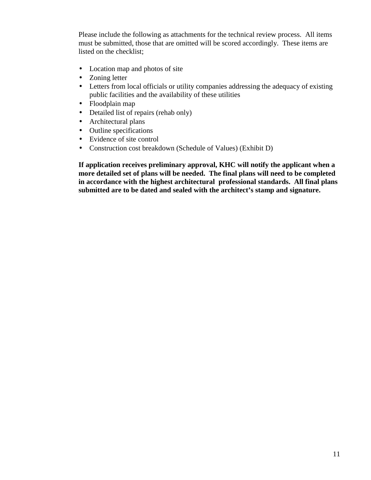Please include the following as attachments for the technical review process. All items must be submitted, those that are omitted will be scored accordingly. These items are listed on the checklist;

- Location map and photos of site
- Zoning letter
- Letters from local officials or utility companies addressing the adequacy of existing public facilities and the availability of these utilities
- Floodplain map
- Detailed list of repairs (rehab only)
- Architectural plans
- Outline specifications
- Evidence of site control
- Construction cost breakdown (Schedule of Values) (Exhibit D)

**If application receives preliminary approval, KHC will notify the applicant when a more detailed set of plans will be needed. The final plans will need to be completed in accordance with the highest architectural professional standards. All final plans submitted are to be dated and sealed with the architect's stamp and signature.**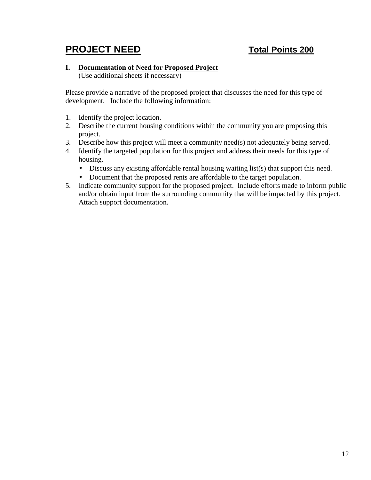# **PROJECT NEED Total Points 200**

#### **I. Documentation of Need for Proposed Project**

(Use additional sheets if necessary)

Please provide a narrative of the proposed project that discusses the need for this type of development. Include the following information:

- 1. Identify the project location.
- 2. Describe the current housing conditions within the community you are proposing this project.
- 3. Describe how this project will meet a community need(s) not adequately being served.
- 4. Identify the targeted population for this project and address their needs for this type of housing.
	- Discuss any existing affordable rental housing waiting list(s) that support this need.
	- Document that the proposed rents are affordable to the target population.
- 5. Indicate community support for the proposed project. Include efforts made to inform public and/or obtain input from the surrounding community that will be impacted by this project. Attach support documentation.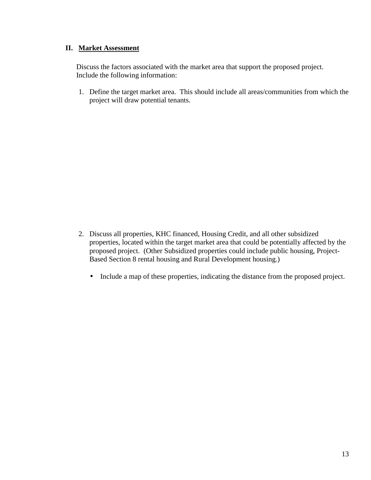#### **II. Market Assessment**

Discuss the factors associated with the market area that support the proposed project. Include the following information:

1. Define the target market area. This should include all areas/communities from which the project will draw potential tenants.

- 2. Discuss all properties, KHC financed, Housing Credit, and all other subsidized properties, located within the target market area that could be potentially affected by the proposed project. (Other Subsidized properties could include public housing, Project-Based Section 8 rental housing and Rural Development housing.)
	- Include a map of these properties, indicating the distance from the proposed project.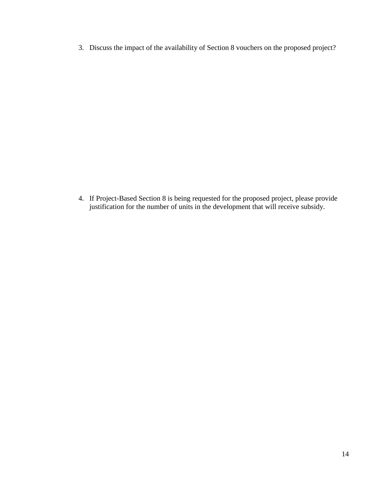3. Discuss the impact of the availability of Section 8 vouchers on the proposed project?

4. If Project-Based Section 8 is being requested for the proposed project, please provide justification for the number of units in the development that will receive subsidy.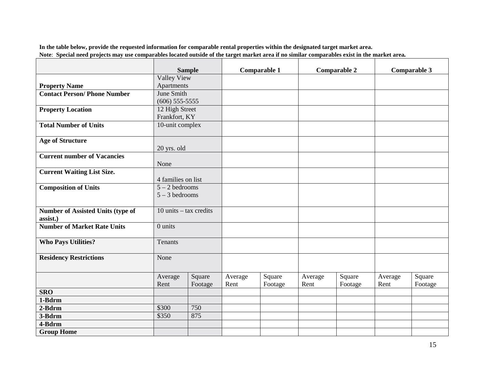**In the table below, provide the requested information for comparable rental properties within the designated target market area. Note**: **Special need projects may use comparables located outside of the target market area if no similar comparables exist in the market area***.*

|                                                      | <b>Sample</b>            |                   |                 | Comparable 1      |                 | <b>Comparable 2</b> |                 | Comparable 3      |
|------------------------------------------------------|--------------------------|-------------------|-----------------|-------------------|-----------------|---------------------|-----------------|-------------------|
|                                                      | <b>Valley View</b>       |                   |                 |                   |                 |                     |                 |                   |
| <b>Property Name</b>                                 | Apartments               |                   |                 |                   |                 |                     |                 |                   |
| <b>Contact Person/Phone Number</b>                   | June Smith               |                   |                 |                   |                 |                     |                 |                   |
|                                                      | $(606)$ 555-5555         |                   |                 |                   |                 |                     |                 |                   |
| <b>Property Location</b>                             | 12 High Street           |                   |                 |                   |                 |                     |                 |                   |
|                                                      | Frankfort, KY            |                   |                 |                   |                 |                     |                 |                   |
| <b>Total Number of Units</b>                         | 10-unit complex          |                   |                 |                   |                 |                     |                 |                   |
| <b>Age of Structure</b>                              |                          |                   |                 |                   |                 |                     |                 |                   |
| <b>Current number of Vacancies</b>                   | 20 yrs. old              |                   |                 |                   |                 |                     |                 |                   |
|                                                      | None                     |                   |                 |                   |                 |                     |                 |                   |
| <b>Current Waiting List Size.</b>                    | 4 families on list       |                   |                 |                   |                 |                     |                 |                   |
| <b>Composition of Units</b>                          | $5 - 2$ bedrooms         |                   |                 |                   |                 |                     |                 |                   |
|                                                      | $5 - 3$ bedrooms         |                   |                 |                   |                 |                     |                 |                   |
| <b>Number of Assisted Units (type of</b><br>assist.) | 10 units $-$ tax credits |                   |                 |                   |                 |                     |                 |                   |
| <b>Number of Market Rate Units</b>                   | 0 units                  |                   |                 |                   |                 |                     |                 |                   |
| <b>Who Pays Utilities?</b>                           | Tenants                  |                   |                 |                   |                 |                     |                 |                   |
| <b>Residency Restrictions</b>                        | None                     |                   |                 |                   |                 |                     |                 |                   |
|                                                      | Average<br>Rent          | Square<br>Footage | Average<br>Rent | Square<br>Footage | Average<br>Rent | Square<br>Footage   | Average<br>Rent | Square<br>Footage |
| <b>SRO</b>                                           |                          |                   |                 |                   |                 |                     |                 |                   |
| 1-Bdrm                                               |                          |                   |                 |                   |                 |                     |                 |                   |
| 2-Bdrm                                               | \$300                    | 750               |                 |                   |                 |                     |                 |                   |
| 3-Bdrm                                               | \$350                    | 875               |                 |                   |                 |                     |                 |                   |
| 4-Bdrm                                               |                          |                   |                 |                   |                 |                     |                 |                   |
| <b>Group Home</b>                                    |                          |                   |                 |                   |                 |                     |                 |                   |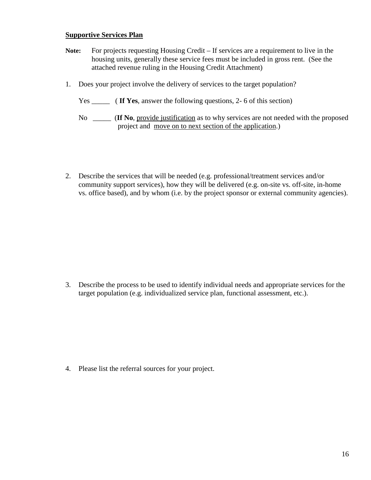## **Supportive Services Plan**

- **Note:** For projects requesting Housing Credit If services are a requirement to live in the housing units, generally these service fees must be included in gross rent. (See the attached revenue ruling in the Housing Credit Attachment)
- 1. Does your project involve the delivery of services to the target population?
	- Yes **If Yes**, answer the following questions, 2- 6 of this section)

2. Describe the services that will be needed (e.g. professional/treatment services and/or community support services), how they will be delivered (e.g. on-site vs. off-site, in-home vs. office based), and by whom (i.e. by the project sponsor or external community agencies).

3. Describe the process to be used to identify individual needs and appropriate services for the target population (e.g. individualized service plan, functional assessment, etc.).

4. Please list the referral sources for your project.

No \_\_\_\_\_ (**If No**, provide justification as to why services are not needed with the proposed project and move on to next section of the application.)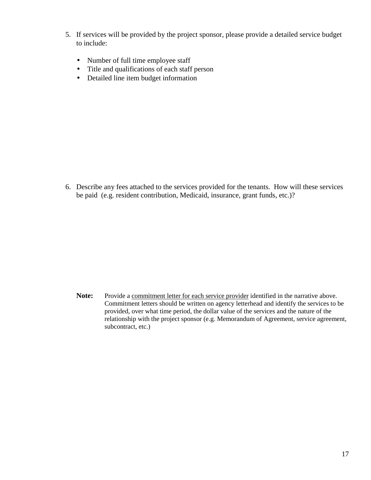- 5. If services will be provided by the project sponsor, please provide a detailed service budget to include:
	- Number of full time employee staff
	- Title and qualifications of each staff person
	- Detailed line item budget information

6. Describe any fees attached to the services provided for the tenants. How will these services be paid (e.g. resident contribution, Medicaid, insurance, grant funds, etc.)?

Note: Provide a commitment letter for each service provider identified in the narrative above. Commitment letters should be written on agency letterhead and identify the services to be provided, over what time period, the dollar value of the services and the nature of the relationship with the project sponsor (e.g. Memorandum of Agreement, service agreement, subcontract, etc.)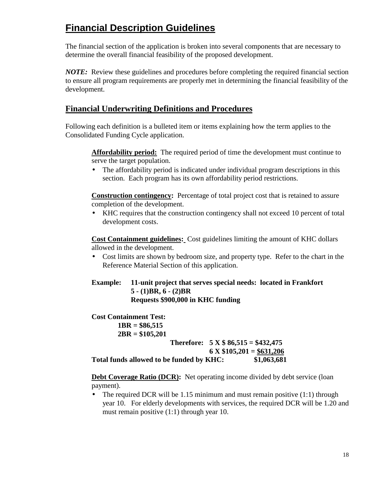# **Financial Description Guidelines**

The financial section of the application is broken into several components that are necessary to determine the overall financial feasibility of the proposed development.

*NOTE:* Review these guidelines and procedures before completing the required financial section to ensure all program requirements are properly met in determining the financial feasibility of the development.

# **Financial Underwriting Definitions and Procedures**

Following each definition is a bulleted item or items explaining how the term applies to the Consolidated Funding Cycle application.

**Affordability period:** The required period of time the development must continue to serve the target population.

• The affordability period is indicated under individual program descriptions in this section. Each program has its own affordability period restrictions.

**Construction contingency:** Percentage of total project cost that is retained to assure completion of the development.

• KHC requires that the construction contingency shall not exceed 10 percent of total development costs.

**Cost Containment guidelines:** Cost guidelines limiting the amount of KHC dollars allowed in the development.

• Cost limits are shown by bedroom size, and property type. Refer to the chart in the Reference Material Section of this application.

**Example: 11-unit project that serves special needs: located in Frankfort 5 - (1)BR, 6 - (2)BR Requests \$900,000 in KHC funding**

**Cost Containment Test: 1BR = \$86,515 2BR = \$105,201 Therefore: 5 X \$ 86,515 = \$432,475 6 X \$105,201 = \$631,206 Total funds allowed to be funded by KHC: \$1,063,681**

**Debt Coverage Ratio (DCR):** Net operating income divided by debt service (loan payment).

• The required DCR will be 1.15 minimum and must remain positive  $(1:1)$  through year 10. For elderly developments with services, the required DCR will be 1.20 and must remain positive (1:1) through year 10.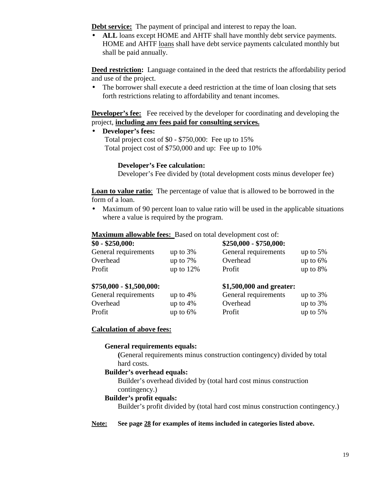**Debt service:** The payment of principal and interest to repay the loan.

• **ALL** loans except HOME and AHTF shall have monthly debt service payments. HOME and AHTF loans shall have debt service payments calculated monthly but shall be paid annually.

**Deed restriction:** Language contained in the deed that restricts the affordability period and use of the project.

• The borrower shall execute a deed restriction at the time of loan closing that sets forth restrictions relating to affordability and tenant incomes.

**Developer's fee:** Fee received by the developer for coordinating and developing the project, **including any fees paid for consulting services.**

• **Developer's fees:**

Total project cost of \$0 - \$750,000: Fee up to 15% Total project cost of \$750,000 and up: Fee up to 10%

# **Developer's Fee calculation:**

Developer's Fee divided by (total development costs minus developer fee)

**Loan to value ratio**:The percentage of value that is allowed to be borrowed in the form of a loan.

• Maximum of 90 percent loan to value ratio will be used in the applicable situations where a value is required by the program.

**Maximum allowable fees:** Based on total development cost of:

| $$0 - $250,000$ :         |             | $$250,000 - $750,000:$   |             |
|---------------------------|-------------|--------------------------|-------------|
| General requirements      | up to $3%$  | General requirements     | up to $5%$  |
| Overhead                  | up to $7\%$ | Overhead                 | up to $6\%$ |
| Profit                    | up to $12%$ | Profit                   | up to $8\%$ |
| $$750,000 - $1,500,000$ : |             | \$1,500,000 and greater: |             |
| General requirements      | up to $4%$  | General requirements     | up to $3%$  |
| Overhead                  | up to $4%$  | Overhead                 | up to $3%$  |

Profit the up to 6% Profit the up to 5%

# **Calculation of above fees:**

### **General requirements equals:**

**(**General requirements minus construction contingency) divided by total hard costs.

# **Builder's overhead equals:**

Builder's overhead divided by (total hard cost minus construction contingency.)

# **Builder's profit equals:**

Builder's profit divided by (total hard cost minus construction contingency.)

# **Note: See page 28 for examples of items included in categories listed above.**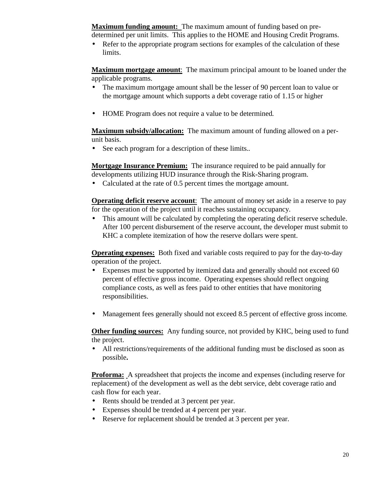**Maximum funding amount:** The maximum amount of funding based on predetermined per unit limits. This applies to the HOME and Housing Credit Programs.

• Refer to the appropriate program sections for examples of the calculation of these limits.

**Maximum mortgage amount**:The maximum principal amount to be loaned under the applicable programs.

- The maximum mortgage amount shall be the lesser of 90 percent loan to value or the mortgage amount which supports a debt coverage ratio of 1.15 or higher
- HOME Program does not require a value to be determined*.*

**Maximum subsidy/allocation:** The maximum amount of funding allowed on a perunit basis.

• See each program for a description of these limits.*.*

**Mortgage Insurance Premium:** The insurance required to be paid annually for developments utilizing HUD insurance through the Risk-Sharing program.

• Calculated at the rate of 0.5 percent times the mortgage amount.

**Operating deficit reserve account:** The amount of money set aside in a reserve to pay for the operation of the project until it reaches sustaining occupancy.

• This amount will be calculated by completing the operating deficit reserve schedule. After 100 percent disbursement of the reserve account, the developer must submit to KHC a complete itemization of how the reserve dollars were spent.

**Operating expenses:** Both fixed and variable costs required to pay for the day-to-day operation of the project.

- Expenses must be supported by itemized data and generally should not exceed 60 percent of effective gross income. Operating expenses should reflect ongoing compliance costs, as well as fees paid to other entities that have monitoring responsibilities.
- Management fees generally should not exceed 8.5 percent of effective gross income*.*

**Other funding sources:** Any funding source, not provided by KHC, being used to fund the project.

• All restrictions/requirements of the additional funding must be disclosed as soon as possible**.**

**Proforma:** A spreadsheet that projects the income and expenses (including reserve for replacement) of the development as well as the debt service, debt coverage ratio and cash flow for each year.

- Rents should be trended at 3 percent per year.
- Expenses should be trended at 4 percent per year.
- Reserve for replacement should be trended at 3 percent per year.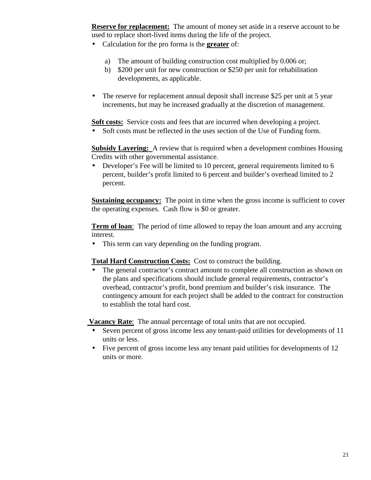**Reserve for replacement:** The amount of money set aside in a reserve account to be used to replace short-lived items during the life of the project.

- Calculation for the pro forma is the **greater** of:
	- a) The amount of building construction cost multiplied by 0.006 or;
	- b) \$200 per unit for new construction or \$250 per unit for rehabilitation developments, as applicable.
- The reserve for replacement annual deposit shall increase \$25 per unit at 5 year increments, but may be increased gradually at the discretion of management.

**Soft costs:** Service costs and fees that are incurred when developing a project.

• Soft costs must be reflected in the uses section of the Use of Funding form.

**Subsidy Layering:** A review that is required when a development combines Housing Credits with other governmental assistance.

• Developer's Fee will be limited to 10 percent, general requirements limited to 6 percent, builder's profit limited to 6 percent and builder's overhead limited to 2 percent.

**Sustaining occupancy:** The point in time when the gross income is sufficient to cover the operating expenses. Cash flow is \$0 or greater.

**Term of loan:** The period of time allowed to repay the loan amount and any accruing interest.

• This term can vary depending on the funding program.

**Total Hard Construction Costs:** Cost to construct the building.

The general contractor's contract amount to complete all construction as shown on the plans and specifications should include general requirements, contractor's overhead, contractor's profit, bond premium and builder's risk insurance. The contingency amount for each project shall be added to the contract for construction to establish the total hard cost.

 **Vacancy Rate**:The annual percentage of total units that are not occupied.

- Seven percent of gross income less any tenant-paid utilities for developments of 11 units or less.
- Five percent of gross income less any tenant paid utilities for developments of 12 units or more.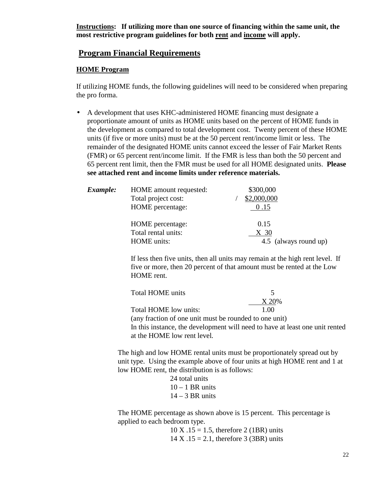**Instructions: If utilizing more than one source of financing within the same unit, the most restrictive program guidelines for both rent and income will apply.**

# **Program Financial Requirements**

## **HOME Program**

If utilizing HOME funds, the following guidelines will need to be considered when preparing the pro forma.

• A development that uses KHC-administered HOME financing must designate a proportionate amount of units as HOME units based on the percent of HOME funds in the development as compared to total development cost. Twenty percent of these HOME units (if five or more units) must be at the 50 percent rent/income limit or less. The remainder of the designated HOME units cannot exceed the lesser of Fair Market Rents (FMR) or 65 percent rent/income limit. If the FMR is less than both the 50 percent and 65 percent rent limit, then the FMR must be used for all HOME designated units. **Please see attached rent and income limits under reference materials.**

| Example: | HOME amount requested: | \$300,000             |
|----------|------------------------|-----------------------|
|          | Total project cost:    | \$2,000,000           |
|          | HOME percentage:       | 0.15                  |
|          | HOME percentage:       | 0.15                  |
|          | Total rental units:    | X <sub>30</sub>       |
|          | <b>HOME</b> units:     | 4.5 (always round up) |

If less then five units, then all units may remain at the high rent level. If five or more, then 20 percent of that amount must be rented at the Low HOME rent.

| <b>Total HOME</b> units                                                      |       |
|------------------------------------------------------------------------------|-------|
|                                                                              | X 20% |
| Total HOME low units:                                                        | 1.00  |
| (any fraction of one unit must be rounded to one unit)                       |       |
| In this instance, the development will need to have at least one unit rented |       |
| at the HOME low rent level.                                                  |       |

The high and low HOME rental units must be proportionately spread out by unit type. Using the example above of four units at high HOME rent and 1 at low HOME rent, the distribution is as follows:

> 24 total units  $10 - 1$  BR units  $14 - 3$  BR units

The HOME percentage as shown above is 15 percent. This percentage is applied to each bedroom type.

> $10 \text{ X}$ .15 = 1.5, therefore 2 (1BR) units  $14 X .15 = 2.1$ , therefore 3 (3BR) units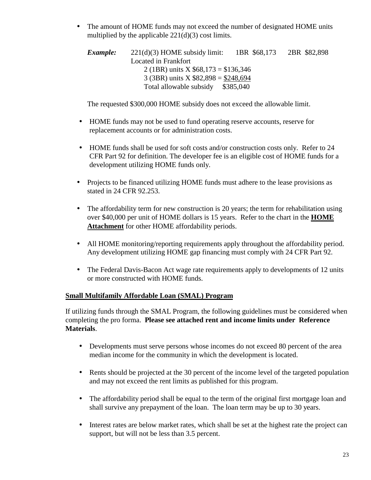• The amount of HOME funds may not exceed the number of designated HOME units multiplied by the applicable  $221(d)(3)$  cost limits.

*Example:* 221(d)(3) HOME subsidy limit: 1BR \$68,173 2BR \$82,898 Located in Frankfort 2 (1BR) units  $X$  \$68,173 = \$136,346 3 (3BR) units  $X$  \$82,898 = \$248,694 Total allowable subsidy \$385,040

The requested \$300,000 HOME subsidy does not exceed the allowable limit.

- HOME funds may not be used to fund operating reserve accounts, reserve for replacement accounts or for administration costs.
- HOME funds shall be used for soft costs and/or construction costs only. Refer to 24 CFR Part 92 for definition. The developer fee is an eligible cost of HOME funds for a development utilizing HOME funds only.
- Projects to be financed utilizing HOME funds must adhere to the lease provisions as stated in 24 CFR 92.253.
- The affordability term for new construction is 20 years; the term for rehabilitation using over \$40,000 per unit of HOME dollars is 15 years. Refer to the chart in the **HOME Attachment** for other HOME affordability periods.
- All HOME monitoring/reporting requirements apply throughout the affordability period. Any development utilizing HOME gap financing must comply with 24 CFR Part 92.
- The Federal Davis-Bacon Act wage rate requirements apply to developments of 12 units or more constructed with HOME funds.

# **Small Multifamily Affordable Loan (SMAL) Program**

If utilizing funds through the SMAL Program, the following guidelines must be considered when completing the pro forma. **Please see attached rent and income limits under Reference Materials**.

- Developments must serve persons whose incomes do not exceed 80 percent of the area median income for the community in which the development is located.
- Rents should be projected at the 30 percent of the income level of the targeted population and may not exceed the rent limits as published for this program.
- The affordability period shall be equal to the term of the original first mortgage loan and shall survive any prepayment of the loan. The loan term may be up to 30 years.
- Interest rates are below market rates, which shall be set at the highest rate the project can support, but will not be less than 3.5 percent.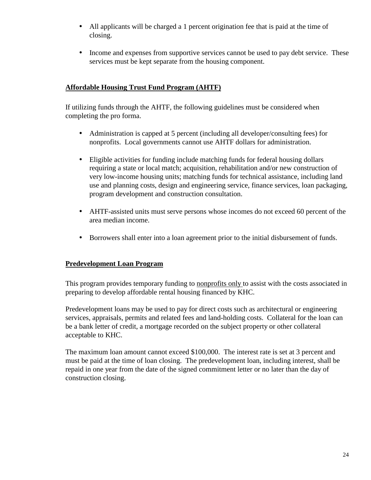- All applicants will be charged a 1 percent origination fee that is paid at the time of closing.
- Income and expenses from supportive services cannot be used to pay debt service. These services must be kept separate from the housing component.

# **Affordable Housing Trust Fund Program (AHTF)**

If utilizing funds through the AHTF, the following guidelines must be considered when completing the pro forma.

- Administration is capped at 5 percent (including all developer/consulting fees) for nonprofits. Local governments cannot use AHTF dollars for administration.
- Eligible activities for funding include matching funds for federal housing dollars requiring a state or local match; acquisition, rehabilitation and/or new construction of very low-income housing units; matching funds for technical assistance, including land use and planning costs, design and engineering service, finance services, loan packaging, program development and construction consultation.
- AHTF-assisted units must serve persons whose incomes do not exceed 60 percent of the area median income.
- Borrowers shall enter into a loan agreement prior to the initial disbursement of funds.

# **Predevelopment Loan Program**

This program provides temporary funding to nonprofits only to assist with the costs associated in preparing to develop affordable rental housing financed by KHC.

Predevelopment loans may be used to pay for direct costs such as architectural or engineering services, appraisals, permits and related fees and land-holding costs. Collateral for the loan can be a bank letter of credit, a mortgage recorded on the subject property or other collateral acceptable to KHC.

The maximum loan amount cannot exceed \$100,000. The interest rate is set at 3 percent and must be paid at the time of loan closing. The predevelopment loan, including interest, shall be repaid in one year from the date of the signed commitment letter or no later than the day of construction closing.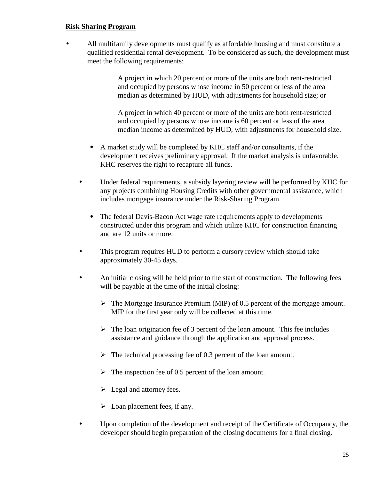## **Risk Sharing Program**

• All multifamily developments must qualify as affordable housing and must constitute a qualified residential rental development. To be considered as such, the development must meet the following requirements:

> A project in which 20 percent or more of the units are both rent-restricted and occupied by persons whose income in 50 percent or less of the area median as determined by HUD, with adjustments for household size; or

A project in which 40 percent or more of the units are both rent-restricted and occupied by persons whose income is 60 percent or less of the area median income as determined by HUD, with adjustments for household size.

- A market study will be completed by KHC staff and/or consultants, if the development receives preliminary approval. If the market analysis is unfavorable, KHC reserves the right to recapture all funds.
- Under federal requirements, a subsidy layering review will be performed by KHC for any projects combining Housing Credits with other governmental assistance, which includes mortgage insurance under the Risk-Sharing Program.
	- The federal Davis-Bacon Act wage rate requirements apply to developments constructed under this program and which utilize KHC for construction financing and are 12 units or more.
- This program requires HUD to perform a cursory review which should take approximately 30-45 days.
- An initial closing will be held prior to the start of construction. The following fees will be payable at the time of the initial closing:
	- $\triangleright$  The Mortgage Insurance Premium (MIP) of 0.5 percent of the mortgage amount. MIP for the first year only will be collected at this time.
	- $\triangleright$  The loan origination fee of 3 percent of the loan amount. This fee includes assistance and guidance through the application and approval process.
	- $\triangleright$  The technical processing fee of 0.3 percent of the loan amount.
	- $\triangleright$  The inspection fee of 0.5 percent of the loan amount.
	- $\triangleright$  Legal and attorney fees.
	- $\triangleright$  Loan placement fees, if any.
- Upon completion of the development and receipt of the Certificate of Occupancy, the developer should begin preparation of the closing documents for a final closing.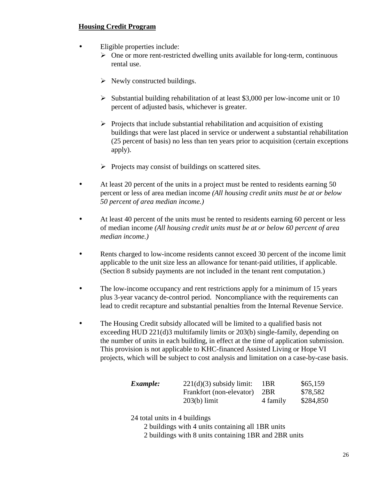# **Housing Credit Program**

- Eligible properties include:
	- $\triangleright$  One or more rent-restricted dwelling units available for long-term, continuous rental use.
	- $\triangleright$  Newly constructed buildings.
	- $\triangleright$  Substantial building rehabilitation of at least \$3,000 per low-income unit or 10 percent of adjusted basis, whichever is greater.
	- $\triangleright$  Projects that include substantial rehabilitation and acquisition of existing buildings that were last placed in service or underwent a substantial rehabilitation (25 percent of basis) no less than ten years prior to acquisition (certain exceptions apply).
	- $\triangleright$  Projects may consist of buildings on scattered sites.
- At least 20 percent of the units in a project must be rented to residents earning 50 percent or less of area median income *(All housing credit units must be at or below 50 percent of area median income.)*
- At least 40 percent of the units must be rented to residents earning 60 percent or less of median income *(All housing credit units must be at or below 60 percent of area median income.)*
- Rents charged to low-income residents cannot exceed 30 percent of the income limit applicable to the unit size less an allowance for tenant-paid utilities, if applicable. (Section 8 subsidy payments are not included in the tenant rent computation.)
- The low-income occupancy and rent restrictions apply for a minimum of 15 years plus 3-year vacancy de-control period. Noncompliance with the requirements can lead to credit recapture and substantial penalties from the Internal Revenue Service.
- The Housing Credit subsidy allocated will be limited to a qualified basis not exceeding HUD 221(d)3 multifamily limits or 203(b) single-family, depending on the number of units in each building, in effect at the time of application submission. This provision is not applicable to KHC-financed Assisted Living or Hope VI projects, which will be subject to cost analysis and limitation on a case-by-case basis.

| <i>Example:</i> | $221(d)(3)$ subsidy limit: | 1BR      | \$65,159  |
|-----------------|----------------------------|----------|-----------|
|                 | Frankfort (non-elevator)   | 2BR      | \$78,582  |
|                 | $203(b)$ limit             | 4 family | \$284,850 |

24 total units in 4 buildings

- 2 buildings with 4 units containing all 1BR units
- 2 buildings with 8 units containing 1BR and 2BR units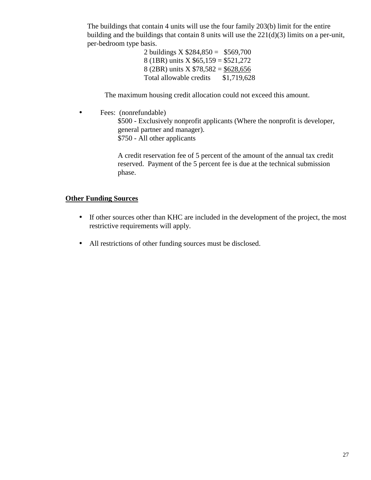The buildings that contain 4 units will use the four family 203(b) limit for the entire building and the buildings that contain 8 units will use the 221(d)(3) limits on a per-unit, per-bedroom type basis.

> 2 buildings X  $$284,850 = $569,700$ 8 (1BR) units X \$65,159 = \$521,272 8 (2BR) units  $X $78,582 = $628,656$ Total allowable credits \$1,719,628

The maximum housing credit allocation could not exceed this amount.

• Fees: (nonrefundable)

\$500 - Exclusively nonprofit applicants (Where the nonprofit is developer, general partner and manager). \$750 - All other applicants

A credit reservation fee of 5 percent of the amount of the annual tax credit reserved. Payment of the 5 percent fee is due at the technical submission phase.

# **Other Funding Sources**

- If other sources other than KHC are included in the development of the project, the most restrictive requirements will apply.
- All restrictions of other funding sources must be disclosed.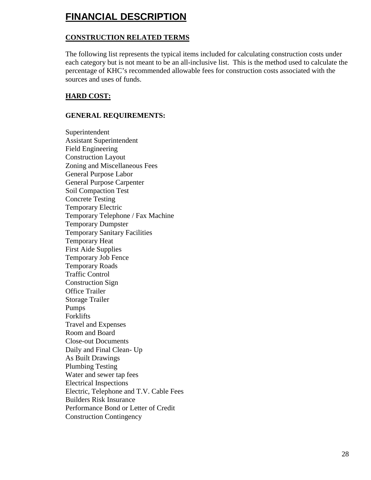# **FINANCIAL DESCRIPTION**

# **CONSTRUCTION RELATED TERMS**

The following list represents the typical items included for calculating construction costs under each category but is not meant to be an all-inclusive list. This is the method used to calculate the percentage of KHC's recommended allowable fees for construction costs associated with the sources and uses of funds.

# **HARD COST:**

# **GENERAL REQUIREMENTS:**

Superintendent Assistant Superintendent Field Engineering Construction Layout Zoning and Miscellaneous Fees General Purpose Labor General Purpose Carpenter Soil Compaction Test Concrete Testing Temporary Electric Temporary Telephone / Fax Machine Temporary Dumpster Temporary Sanitary Facilities Temporary Heat First Aide Supplies Temporary Job Fence Temporary Roads Traffic Control Construction Sign Office Trailer Storage Trailer Pumps Forklifts Travel and Expenses Room and Board Close-out Documents Daily and Final Clean- Up As Built Drawings Plumbing Testing Water and sewer tap fees Electrical Inspections Electric, Telephone and T.V. Cable Fees Builders Risk Insurance Performance Bond or Letter of Credit Construction Contingency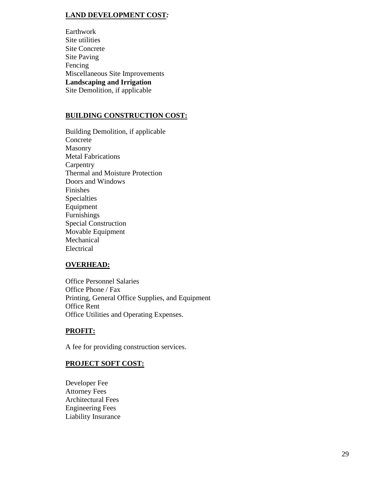# **LAND DEVELOPMENT COST***:*

Earthwork Site utilities Site Concrete Site Paving Fencing Miscellaneous Site Improvements **Landscaping and Irrigation** Site Demolition, if applicable

# **BUILDING CONSTRUCTION COST:**

Building Demolition, if applicable Concrete Masonry Metal Fabrications **Carpentry** Thermal and Moisture Protection Doors and Windows Finishes Specialties Equipment Furnishings Special Construction Movable Equipment Mechanical Electrical

# **OVERHEAD:**

Office Personnel Salaries Office Phone / Fax Printing, General Office Supplies, and Equipment Office Rent Office Utilities and Operating Expenses.

# **PROFIT:**

A fee for providing construction services.

# **PROJECT SOFT COST:**

Developer Fee Attorney Fees Architectural Fees Engineering Fees Liability Insurance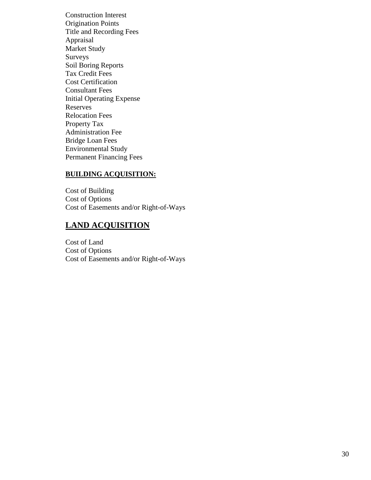Construction Interest Origination Points Title and Recording Fees Appraisal Market Study Surveys Soil Boring Reports Tax Credit Fees Cost Certification Consultant Fees Initial Operating Expense Reserves Relocation Fees Property Tax Administration Fee Bridge Loan Fees Environmental Study Permanent Financing Fees

# **BUILDING ACQUISITION:**

Cost of Building Cost of Options Cost of Easements and/or Right-of-Ways

# **LAND ACQUISITION**

Cost of Land Cost of Options Cost of Easements and/or Right-of-Ways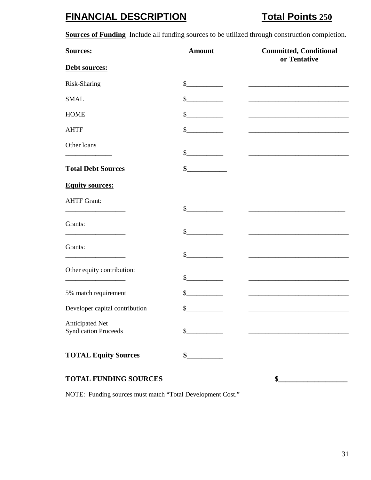# **FINANCIAL DESCRIPTION Total Points 250**

**Sources of Funding** Include all funding sources to be utilized through construction completion.

| <b>Sources:</b>                                | <b>Amount</b>               | <b>Committed, Conditional</b><br>or Tentative |
|------------------------------------------------|-----------------------------|-----------------------------------------------|
| Debt sources:                                  |                             |                                               |
| Risk-Sharing                                   | $\frac{\cdot}{\cdot}$       |                                               |
| <b>SMAL</b>                                    | $\sim$                      |                                               |
| <b>HOME</b>                                    | \$                          |                                               |
| <b>AHTF</b>                                    | $\mathbb{S}$                |                                               |
| Other loans                                    | $\frac{\text{S}}{\text{S}}$ |                                               |
| <b>Total Debt Sources</b>                      | \$                          |                                               |
| <b>Equity sources:</b>                         |                             |                                               |
| <b>AHTF Grant:</b>                             | $\mathbb{S}$                |                                               |
| Grants:                                        | $\sim$                      |                                               |
| Grants:                                        | $\mathbb{S}$                |                                               |
| Other equity contribution:                     | \$                          |                                               |
| 5% match requirement                           | \$                          |                                               |
| Developer capital contribution                 | \$                          |                                               |
| Anticipated Net<br><b>Syndication Proceeds</b> | \$                          |                                               |
| <b>TOTAL Equity Sources</b>                    | \$                          |                                               |

# TOTAL FUNDING SOURCES  $\qquad \qquad \bullet$

NOTE: Funding sources must match "Total Development Cost."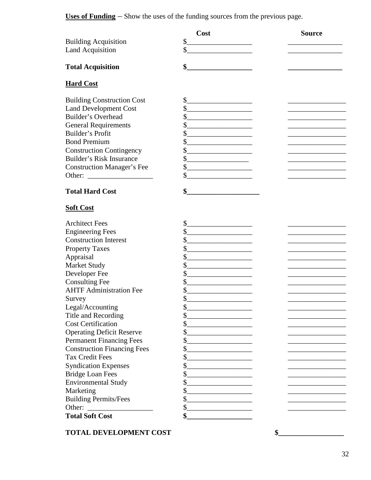**Uses of Funding** – Show the uses of the funding sources from the previous page.

|                                                   | Cost                                                                                                                                               | <b>Source</b> |
|---------------------------------------------------|----------------------------------------------------------------------------------------------------------------------------------------------------|---------------|
| <b>Building Acquisition</b>                       | $\mathsf{S}$                                                                                                                                       |               |
| <b>Land Acquisition</b>                           | \$                                                                                                                                                 |               |
|                                                   |                                                                                                                                                    |               |
| <b>Total Acquisition</b>                          | \$                                                                                                                                                 |               |
| <b>Hard Cost</b>                                  |                                                                                                                                                    |               |
| <b>Building Construction Cost</b>                 | $\mathsf{S}_-$                                                                                                                                     |               |
| <b>Land Development Cost</b>                      | \$<br>the control of the control of the control of                                                                                                 |               |
| Builder's Overhead                                | \$                                                                                                                                                 |               |
| <b>General Requirements</b>                       | \$                                                                                                                                                 |               |
| Builder's Profit                                  | \$                                                                                                                                                 |               |
| <b>Bond Premium</b>                               | \$<br><u> 1980 - Johann Barbara, martxa alemaniar a</u>                                                                                            |               |
| <b>Construction Contingency</b>                   | \$                                                                                                                                                 |               |
| <b>Builder's Risk Insurance</b>                   | \$                                                                                                                                                 |               |
| <b>Construction Manager's Fee</b>                 | $\frac{1}{2}$<br><u> 1989 - Johann Barbara, martin amerikan basar dan berasal dalam basar dalam basar dalam basar dalam basar dala</u>             |               |
| Other:<br><u> 1999 - Johann Barbara, martin a</u> | \$                                                                                                                                                 |               |
|                                                   |                                                                                                                                                    |               |
| <b>Total Hard Cost</b>                            | \$                                                                                                                                                 |               |
|                                                   |                                                                                                                                                    |               |
| <b>Soft Cost</b>                                  |                                                                                                                                                    |               |
| <b>Architect Fees</b>                             | \$<br><u> 1989 - Johann Harry Barn, mars ar breist fan de Fryske kommunent fan de Fryske kommunent fan de Fryske kommun</u>                        |               |
| <b>Engineering Fees</b>                           | \$                                                                                                                                                 |               |
| <b>Construction Interest</b>                      | \$<br><u> 1980 - Johann Barbara, martxa alemaniar a</u>                                                                                            |               |
| <b>Property Taxes</b>                             | \$                                                                                                                                                 |               |
| Appraisal                                         | \$<br>the control of the control of the control of the control of                                                                                  |               |
| <b>Market Study</b>                               | $\boldsymbol{\mathsf{S}}$<br><u> 1980 - Johann John Stone, markin film yn y breninn y breninn y breninn y breninn y breninn y breninn y brenin</u> |               |
| Developer Fee                                     | \$<br><u> 1989 - Andrea Andrew Maria Barbara, pre</u>                                                                                              |               |
| <b>Consulting Fee</b>                             | \$<br>the control of the control of the control of                                                                                                 |               |
| <b>AHTF Administration Fee</b>                    | \$                                                                                                                                                 |               |
| Survey                                            | \$                                                                                                                                                 |               |
| Legal/Accounting                                  | \$                                                                                                                                                 |               |
| Title and Recording                               | \$                                                                                                                                                 |               |
| <b>Cost Certification</b>                         |                                                                                                                                                    |               |
| <b>Operating Deficit Reserve</b>                  | \$                                                                                                                                                 |               |
| <b>Permanent Financing Fees</b>                   | \$                                                                                                                                                 |               |
| <b>Construction Financing Fees</b>                | \$                                                                                                                                                 |               |
| <b>Tax Credit Fees</b>                            | \$                                                                                                                                                 |               |
| <b>Syndication Expenses</b>                       |                                                                                                                                                    |               |
|                                                   | \$                                                                                                                                                 |               |
| <b>Bridge Loan Fees</b>                           |                                                                                                                                                    |               |
| <b>Environmental Study</b>                        | \$                                                                                                                                                 |               |
| Marketing                                         | \$                                                                                                                                                 |               |
| <b>Building Permits/Fees</b>                      | \$                                                                                                                                                 |               |
| Other:                                            | \$                                                                                                                                                 |               |
| <b>Total Soft Cost</b>                            | \$                                                                                                                                                 |               |
|                                                   |                                                                                                                                                    |               |

TOTAL DEVELOPMENT COST  $\qquad \qquad$  \$

32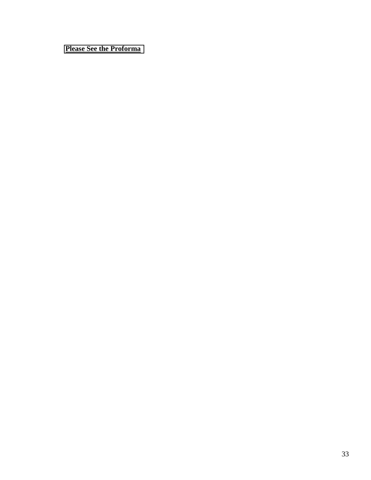# **Please See the Proforma**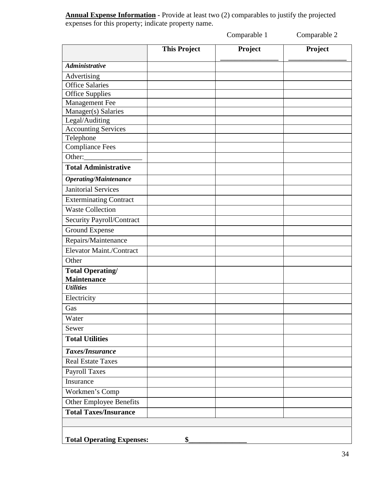**Annual Expense Information -** Provide at least two (2) comparables to justify the projected expenses for this property; indicate property name.

Comparable 1 Comparable 2

|                                               | <b>This Project</b> | Project | Project |
|-----------------------------------------------|---------------------|---------|---------|
| <b>Administrative</b>                         |                     |         |         |
| Advertising                                   |                     |         |         |
| <b>Office Salaries</b>                        |                     |         |         |
| <b>Office Supplies</b>                        |                     |         |         |
| Management Fee                                |                     |         |         |
| Manager(s) Salaries                           |                     |         |         |
| Legal/Auditing                                |                     |         |         |
| <b>Accounting Services</b>                    |                     |         |         |
| Telephone                                     |                     |         |         |
| <b>Compliance Fees</b>                        |                     |         |         |
| $\overline{O}$ ther: $\overline{\phantom{O}}$ |                     |         |         |
| <b>Total Administrative</b>                   |                     |         |         |
| <b>Operating/Maintenance</b>                  |                     |         |         |
| <b>Janitorial Services</b>                    |                     |         |         |
| <b>Exterminating Contract</b>                 |                     |         |         |
| <b>Waste Collection</b>                       |                     |         |         |
| Security Payroll/Contract                     |                     |         |         |
| Ground Expense                                |                     |         |         |
| Repairs/Maintenance                           |                     |         |         |
| Elevator Maint./Contract                      |                     |         |         |
| Other                                         |                     |         |         |
| <b>Total Operating/</b>                       |                     |         |         |
| <b>Maintenance</b>                            |                     |         |         |
| <b>Utilities</b>                              |                     |         |         |
| Electricity                                   |                     |         |         |
| Gas                                           |                     |         |         |
| Water                                         |                     |         |         |
| Sewer                                         |                     |         |         |
| <b>Total Utilities</b>                        |                     |         |         |
| Taxes/Insurance                               |                     |         |         |
| <b>Real Estate Taxes</b>                      |                     |         |         |
| <b>Payroll Taxes</b>                          |                     |         |         |
| Insurance                                     |                     |         |         |
| Workmen's Comp                                |                     |         |         |
| Other Employee Benefits                       |                     |         |         |
| <b>Total Taxes/Insurance</b>                  |                     |         |         |
|                                               |                     |         |         |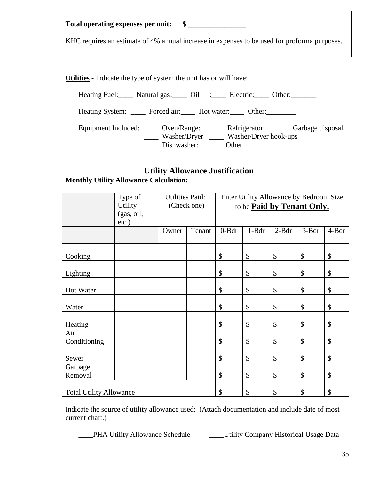| Total operating expenses per unit: |  |
|------------------------------------|--|
|------------------------------------|--|

KHC requires an estimate of 4% annual increase in expenses to be used for proforma purposes.

**Utilities -** Indicate the type of system the unit has or will have:

Heating Fuel: Natural gas: Oil : Electric: Other: University Public Public States

Heating System: \_\_\_\_ Forced air: \_\_\_\_ Hot water: \_\_\_\_ Other: \_\_\_\_\_\_\_

Equipment Included: \_\_\_\_ Oven/Range: \_\_\_\_ Refrigerator: \_\_\_\_ Garbage disposal \_\_\_\_ Washer/Dryer \_\_\_\_ Washer/Dryer hook-ups \_\_\_\_ Dishwasher: \_\_\_\_ Other

# **Utility Allowance Justification**

| <b>Monthly Utility Allowance Calculation:</b>                |                |                        |        |                                         |         |         |                            |       |  |
|--------------------------------------------------------------|----------------|------------------------|--------|-----------------------------------------|---------|---------|----------------------------|-------|--|
|                                                              | Type of        | <b>Utilities Paid:</b> |        | Enter Utility Allowance by Bedroom Size |         |         |                            |       |  |
|                                                              | <b>Utility</b> | (Check one)            |        |                                         |         |         | to be Paid by Tenant Only. |       |  |
|                                                              | (gas, oil,     |                        |        |                                         |         |         |                            |       |  |
|                                                              | etc.)          |                        |        |                                         |         |         |                            |       |  |
|                                                              |                | Owner                  | Tenant | $0 - B dr$                              | $1-Bdr$ | $2-Bdr$ | 3-Bdr                      | 4-Bdr |  |
|                                                              |                |                        |        |                                         |         |         |                            |       |  |
| Cooking                                                      |                |                        |        | \$                                      | \$      | \$      | \$                         | \$    |  |
| Lighting                                                     |                |                        |        | \$                                      | \$      | \$      | \$                         | \$    |  |
| Hot Water                                                    |                |                        |        | $\boldsymbol{\mathsf{S}}$               | \$      | \$      | \$                         | \$    |  |
| Water                                                        |                |                        |        | \$                                      | \$      | \$      | \$                         | \$    |  |
| Heating                                                      |                |                        |        | \$                                      | \$      | \$      | $\$\,$                     | \$    |  |
| Air                                                          |                |                        |        |                                         |         |         |                            |       |  |
| Conditioning                                                 |                |                        |        | \$                                      | \$      | \$      | \$                         | \$    |  |
|                                                              |                |                        |        |                                         |         |         |                            |       |  |
| Sewer                                                        |                |                        |        | \$                                      | \$      | \$      | $\boldsymbol{\mathsf{S}}$  | \$    |  |
| Garbage                                                      |                |                        |        |                                         |         |         |                            |       |  |
| Removal                                                      |                |                        |        | \$                                      | \$      | \$      | \$                         | \$    |  |
| \$<br>\$<br>\$<br>\$<br>\$<br><b>Total Utility Allowance</b> |                |                        |        |                                         |         |         |                            |       |  |

Indicate the source of utility allowance used: (Attach documentation and include date of most current chart.)

\_\_\_\_PHA Utility Allowance Schedule \_\_\_\_Utility Company Historical Usage Data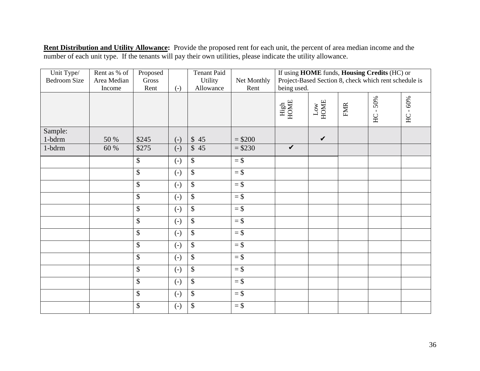**Rent Distribution and Utility Allowance:** Provide the proposed rent for each unit, the percent of area median income and the number of each unit type. If the tenants will pay their own utilities, please indicate the utility allowance.

| Unit Type/<br><b>Bedroom Size</b> | Rent as % of<br>Area Median | Proposed<br>Gross        |                   | <b>Tenant Paid</b><br>Utility | Net Monthly | If using HOME funds, Housing Credits (HC) or<br>Project-Based Section 8, check which rent schedule is |                          |            |              |            |
|-----------------------------------|-----------------------------|--------------------------|-------------------|-------------------------------|-------------|-------------------------------------------------------------------------------------------------------|--------------------------|------------|--------------|------------|
|                                   | Income                      | Rent                     | $(-)$             | Allowance                     | Rent        | being used.                                                                                           |                          |            |              |            |
|                                   |                             |                          |                   |                               |             | High<br>HOME                                                                                          | $_{\rm{LOW}}^{\rm{Low}}$ | <b>FMR</b> | $-50%$<br>HC | $HC - 60%$ |
| Sample:                           |                             |                          |                   |                               |             |                                                                                                       |                          |            |              |            |
| $1$ -bdrm                         | 50 %                        | \$245                    | $(-)$             | \$45                          | $= $200$    |                                                                                                       | $\checkmark$             |            |              |            |
| 1-bdrm                            | 60 %                        | \$275                    | $(-)$             | \$45                          | $= $230$    | $\checkmark$                                                                                          |                          |            |              |            |
|                                   |                             | \$                       | $\left( -\right)$ | $\sqrt$                       | $=$ \$      |                                                                                                       |                          |            |              |            |
|                                   |                             | \$                       | $\left( -\right)$ | $\overline{\mathcal{S}}$      | $=$ \$      |                                                                                                       |                          |            |              |            |
|                                   |                             | \$                       | $\left( -\right)$ | $\sqrt$                       | $=$ \$      |                                                                                                       |                          |            |              |            |
|                                   |                             | \$                       | $\left( -\right)$ | \$                            | $=$ \$      |                                                                                                       |                          |            |              |            |
|                                   |                             | \$                       | $(-)$             | $\overline{\$}$               | $=$ \$      |                                                                                                       |                          |            |              |            |
|                                   |                             | \$                       | $\left( -\right)$ | $\boldsymbol{\mathsf{S}}$     | $=$ \$      |                                                                                                       |                          |            |              |            |
|                                   |                             | \$                       | $\left( -\right)$ | \$                            | $=$ \$      |                                                                                                       |                          |            |              |            |
|                                   |                             | \$                       | $\left( -\right)$ | $\boldsymbol{\mathsf{S}}$     | $=$ \$      |                                                                                                       |                          |            |              |            |
|                                   |                             | \$                       | $\left( -\right)$ | $\$\,$                        | $=$ \$      |                                                                                                       |                          |            |              |            |
|                                   |                             | \$                       | $\left( -\right)$ | \$                            | $=$ \$      |                                                                                                       |                          |            |              |            |
|                                   |                             | $\overline{\mathcal{S}}$ | $\left( -\right)$ | $\overline{\mathcal{S}}$      | $=$ \$      |                                                                                                       |                          |            |              |            |
|                                   |                             | \$                       | $\left( -\right)$ | $\boldsymbol{\mathsf{S}}$     | $=$ \$      |                                                                                                       |                          |            |              |            |
|                                   |                             | \$                       | $\left( -\right)$ | \$                            | $=$ \$      |                                                                                                       |                          |            |              |            |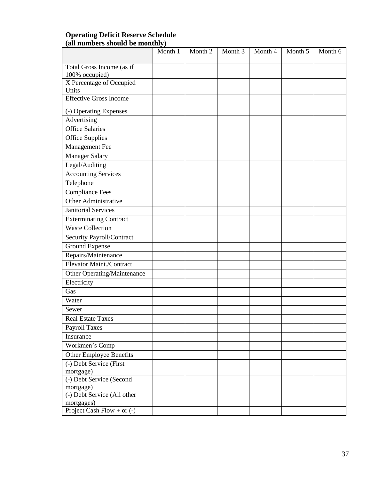## **Operating Deficit Reserve Schedule (all numbers should be monthly)**

|                                                                     | Month 1 | Month 2 | Month 3 | Month 4 | Month 5 | Month 6 |
|---------------------------------------------------------------------|---------|---------|---------|---------|---------|---------|
| Total Gross Income (as if                                           |         |         |         |         |         |         |
| 100% occupied)                                                      |         |         |         |         |         |         |
| X Percentage of Occupied                                            |         |         |         |         |         |         |
| Units                                                               |         |         |         |         |         |         |
| <b>Effective Gross Income</b>                                       |         |         |         |         |         |         |
| (-) Operating Expenses                                              |         |         |         |         |         |         |
| Advertising                                                         |         |         |         |         |         |         |
| <b>Office Salaries</b>                                              |         |         |         |         |         |         |
| <b>Office Supplies</b>                                              |         |         |         |         |         |         |
| Management Fee                                                      |         |         |         |         |         |         |
| Manager Salary                                                      |         |         |         |         |         |         |
| Legal/Auditing                                                      |         |         |         |         |         |         |
| <b>Accounting Services</b>                                          |         |         |         |         |         |         |
| Telephone                                                           |         |         |         |         |         |         |
| <b>Compliance Fees</b>                                              |         |         |         |         |         |         |
| Other Administrative                                                |         |         |         |         |         |         |
| <b>Janitorial Services</b>                                          |         |         |         |         |         |         |
| <b>Exterminating Contract</b>                                       |         |         |         |         |         |         |
| <b>Waste Collection</b>                                             |         |         |         |         |         |         |
| Security Payroll/Contract                                           |         |         |         |         |         |         |
| Ground Expense                                                      |         |         |         |         |         |         |
| Repairs/Maintenance                                                 |         |         |         |         |         |         |
| Elevator Maint./Contract                                            |         |         |         |         |         |         |
| Other Operating/Maintenance                                         |         |         |         |         |         |         |
| Electricity                                                         |         |         |         |         |         |         |
| Gas                                                                 |         |         |         |         |         |         |
| Water                                                               |         |         |         |         |         |         |
| Sewer                                                               |         |         |         |         |         |         |
| <b>Real Estate Taxes</b>                                            |         |         |         |         |         |         |
| Payroll Taxes                                                       |         |         |         |         |         |         |
| Insurance                                                           |         |         |         |         |         |         |
| Workmen's Comp                                                      |         |         |         |         |         |         |
| <b>Other Employee Benefits</b>                                      |         |         |         |         |         |         |
| (-) Debt Service (First                                             |         |         |         |         |         |         |
| mortgage)                                                           |         |         |         |         |         |         |
| (-) Debt Service (Second                                            |         |         |         |         |         |         |
| mortgage)                                                           |         |         |         |         |         |         |
| (-) Debt Service (All other                                         |         |         |         |         |         |         |
| mortgages)<br>Project Cash $\overline{\text{Flow} + \text{or} (-)}$ |         |         |         |         |         |         |
|                                                                     |         |         |         |         |         |         |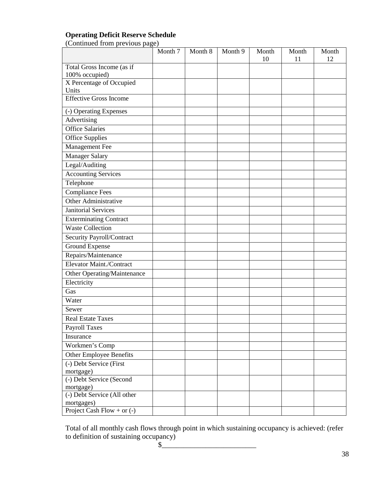# **Operating Deficit Reserve Schedule**

(Continued from previous page)

|                                            | Month 7 | Month 8 | Month 9 | Month | Month | Month |
|--------------------------------------------|---------|---------|---------|-------|-------|-------|
|                                            |         |         |         | 10    | 11    | 12    |
| Total Gross Income (as if                  |         |         |         |       |       |       |
| 100% occupied)<br>X Percentage of Occupied |         |         |         |       |       |       |
| Units                                      |         |         |         |       |       |       |
| <b>Effective Gross Income</b>              |         |         |         |       |       |       |
|                                            |         |         |         |       |       |       |
| (-) Operating Expenses                     |         |         |         |       |       |       |
| Advertising                                |         |         |         |       |       |       |
| <b>Office Salaries</b>                     |         |         |         |       |       |       |
| <b>Office Supplies</b>                     |         |         |         |       |       |       |
| Management Fee                             |         |         |         |       |       |       |
| Manager Salary                             |         |         |         |       |       |       |
| Legal/Auditing                             |         |         |         |       |       |       |
| <b>Accounting Services</b>                 |         |         |         |       |       |       |
| Telephone                                  |         |         |         |       |       |       |
| <b>Compliance Fees</b>                     |         |         |         |       |       |       |
| Other Administrative                       |         |         |         |       |       |       |
| <b>Janitorial Services</b>                 |         |         |         |       |       |       |
| <b>Exterminating Contract</b>              |         |         |         |       |       |       |
| <b>Waste Collection</b>                    |         |         |         |       |       |       |
| Security Payroll/Contract                  |         |         |         |       |       |       |
| Ground Expense                             |         |         |         |       |       |       |
| Repairs/Maintenance                        |         |         |         |       |       |       |
| Elevator Maint./Contract                   |         |         |         |       |       |       |
| Other Operating/Maintenance                |         |         |         |       |       |       |
| Electricity                                |         |         |         |       |       |       |
| Gas                                        |         |         |         |       |       |       |
| Water                                      |         |         |         |       |       |       |
| Sewer                                      |         |         |         |       |       |       |
| <b>Real Estate Taxes</b>                   |         |         |         |       |       |       |
| Payroll Taxes                              |         |         |         |       |       |       |
| Insurance                                  |         |         |         |       |       |       |
| Workmen's Comp                             |         |         |         |       |       |       |
| <b>Other Employee Benefits</b>             |         |         |         |       |       |       |
| (-) Debt Service (First                    |         |         |         |       |       |       |
| mortgage)                                  |         |         |         |       |       |       |
| (-) Debt Service (Second                   |         |         |         |       |       |       |
| mortgage)                                  |         |         |         |       |       |       |
| (-) Debt Service (All other                |         |         |         |       |       |       |
| mortgages)                                 |         |         |         |       |       |       |
| Project Cash Flow + or $(-)$               |         |         |         |       |       |       |

Total of all monthly cash flows through point in which sustaining occupancy is achieved: (refer to definition of sustaining occupancy)<br>\$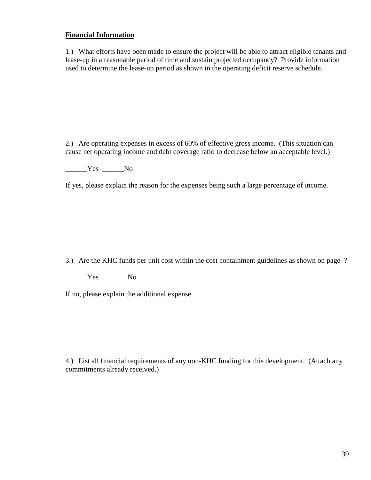# **Financial Information**

1.) What efforts have been made to ensure the project will be able to attract eligible tenants and lease-up in a reasonable period of time and sustain projected occupancy? Provide information used to determine the lease-up period as shown in the operating deficit reserve schedule.

2.) Are operating expenses in excess of 60% of effective gross income. (This situation can cause net operating income and debt coverage ratio to decrease below an acceptable level.)

\_\_\_\_\_\_Yes \_\_\_\_\_\_No

If yes, please explain the reason for the expenses being such a large percentage of income.

3.) Are the KHC funds per unit cost within the cost containment guidelines as shown on page ?

\_\_\_\_\_\_Yes \_\_\_\_\_\_\_No

If no, please explain the additional expense.

4.) List all financial requirements of any non-KHC funding for this development. (Attach any commitments already received.)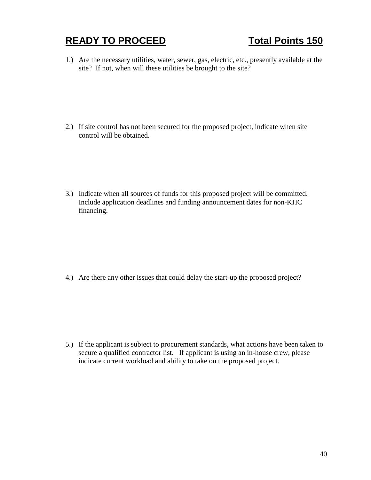# **READY TO PROCEED** Total Points 150

1.) Are the necessary utilities, water, sewer, gas, electric, etc., presently available at the site? If not, when will these utilities be brought to the site?

2.) If site control has not been secured for the proposed project, indicate when site control will be obtained.

3.) Indicate when all sources of funds for this proposed project will be committed. Include application deadlines and funding announcement dates for non-KHC financing.

4.) Are there any other issues that could delay the start-up the proposed project?

5.) If the applicant is subject to procurement standards, what actions have been taken to secure a qualified contractor list. If applicant is using an in-house crew, please indicate current workload and ability to take on the proposed project.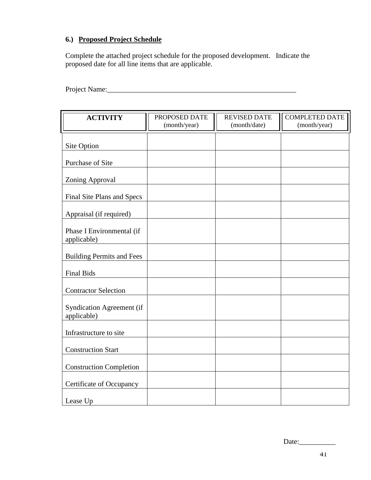# **6.) Proposed Project Schedule**

Complete the attached project schedule for the proposed development. Indicate the proposed date for all line items that are applicable.

Project Name:\_\_\_\_\_\_\_\_\_\_\_\_\_\_\_\_\_\_\_\_\_\_\_\_\_\_\_\_\_\_\_\_\_\_\_\_\_\_\_\_\_\_\_\_\_\_\_\_\_\_\_\_

| <b>ACTIVITY</b>                          | PROPOSED DATE | <b>REVISED DATE</b> | <b>COMPLETED DATE</b> |
|------------------------------------------|---------------|---------------------|-----------------------|
|                                          | (month/year)  | (month/date)        | (month/year)          |
| Site Option                              |               |                     |                       |
|                                          |               |                     |                       |
| <b>Purchase of Site</b>                  |               |                     |                       |
| Zoning Approval                          |               |                     |                       |
| Final Site Plans and Specs               |               |                     |                       |
| Appraisal (if required)                  |               |                     |                       |
| Phase I Environmental (if<br>applicable) |               |                     |                       |
| <b>Building Permits and Fees</b>         |               |                     |                       |
| <b>Final Bids</b>                        |               |                     |                       |
| <b>Contractor Selection</b>              |               |                     |                       |
| Syndication Agreement (if<br>applicable) |               |                     |                       |
| Infrastructure to site                   |               |                     |                       |
| <b>Construction Start</b>                |               |                     |                       |
| <b>Construction Completion</b>           |               |                     |                       |
| Certificate of Occupancy                 |               |                     |                       |
| Lease Up                                 |               |                     |                       |

Date:\_\_\_\_\_\_\_\_\_\_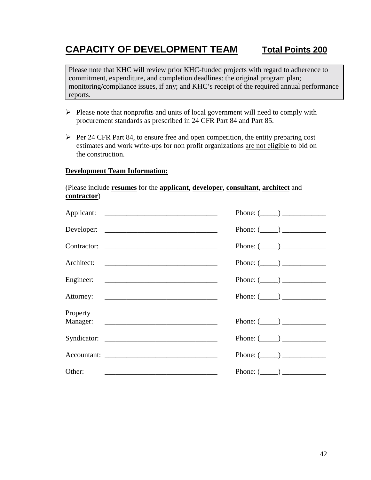# **CAPACITY OF DEVELOPMENT TEAM Total Points 200**

Please note that KHC will review prior KHC-funded projects with regard to adherence to commitment, expenditure, and completion deadlines: the original program plan; monitoring/compliance issues, if any; and KHC's receipt of the required annual performance reports.

- $\triangleright$  Please note that nonprofits and units of local government will need to comply with procurement standards as prescribed in 24 CFR Part 84 and Part 85.
- $\triangleright$  Per 24 CFR Part 84, to ensure free and open competition, the entity preparing cost estimates and work write-ups for non profit organizations are not eligible to bid on the construction.

### **Development Team Information:**

### (Please include **resumes** for the **applicant**, **developer**, **consultant**, **architect** and **contractor**)

|                                                                                                                                | Phone: $(\_\_)$ |
|--------------------------------------------------------------------------------------------------------------------------------|-----------------|
| Developer:                                                                                                                     | Phone: $(\_\_)$ |
| Contractor:                                                                                                                    | Phone: $(\_\_)$ |
| Architect:                                                                                                                     | Phone: $(\_\_)$ |
|                                                                                                                                | Phone: $(\_\_)$ |
|                                                                                                                                | Phone: $(\_\_)$ |
| Property                                                                                                                       | Phone: $(\_\_)$ |
|                                                                                                                                | Phone: $(\_\_)$ |
|                                                                                                                                | Phone: $(\_\_)$ |
| Other:<br><u> 1989 - Johann Stein, mars an deutscher Stein und der Stein und der Stein und der Stein und der Stein und der</u> | Phone: $(\_\_)$ |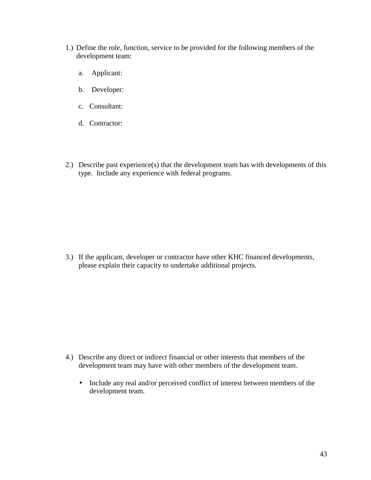- 1.) Define the role, function, service to be provided for the following members of the development team:
	- a. Applicant:
	- b. Developer:
	- c. Consultant:
	- d. Contractor:
- 2.) Describe past experience(s) that the development team has with developments of this type. Include any experience with federal programs.

3.) If the applicant, developer or contractor have other KHC financed developments, please explain their capacity to undertake additional projects.

- 4.) Describe any direct or indirect financial or other interests that members of the development team may have with other members of the development team.
	- Include any real and/or perceived conflict of interest between members of the development team.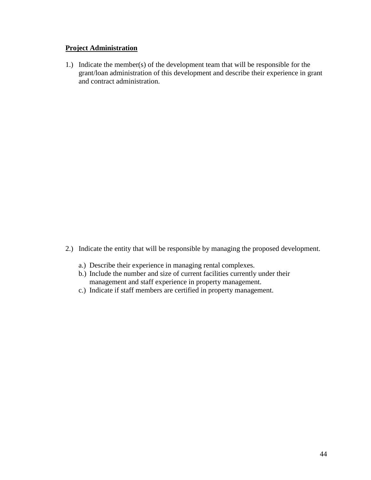## **Project Administration**

1.) Indicate the member(s) of the development team that will be responsible for the grant/loan administration of this development and describe their experience in grant and contract administration.

- 2.) Indicate the entity that will be responsible by managing the proposed development.
	- a.) Describe their experience in managing rental complexes.
	- b.) Include the number and size of current facilities currently under their management and staff experience in property management.
	- c.) Indicate if staff members are certified in property management.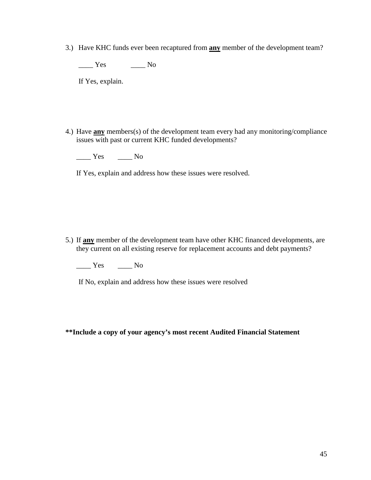3.) Have KHC funds ever been recaptured from **any** member of the development team?

\_\_\_\_ Yes \_\_\_\_ No

If Yes, explain.

4.) Have **any** members(s) of the development team every had any monitoring/compliance issues with past or current KHC funded developments?

 $\frac{1}{\sqrt{1-\frac{1}{c}}}$  Yes  $\frac{1}{\sqrt{1-\frac{1}{c}}}$  No

If Yes, explain and address how these issues were resolved.

5.) If **any** member of the development team have other KHC financed developments, are they current on all existing reserve for replacement accounts and debt payments?

 $\frac{1}{\sqrt{1-\frac{1}{c}}}$  Yes  $\frac{1}{\sqrt{1-\frac{1}{c}}}$  No

If No, explain and address how these issues were resolved

**\*\*Include a copy of your agency's most recent Audited Financial Statement**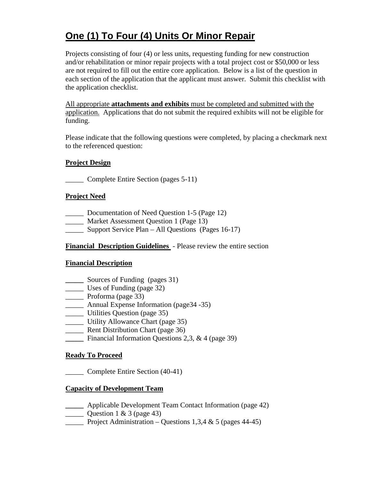# **One (1) To Four (4) Units Or Minor Repair**

Projects consisting of four (4) or less units, requesting funding for new construction and/or rehabilitation or minor repair projects with a total project cost or \$50,000 or less are not required to fill out the entire core application. Below is a list of the question in each section of the application that the applicant must answer. Submit this checklist with the application checklist.

All appropriate **attachments and exhibits** must be completed and submitted with the application. Applications that do not submit the required exhibits will not be eligible for funding.

Please indicate that the following questions were completed, by placing a checkmark next to the referenced question:

# **Project Design**

\_\_\_\_\_ Complete Entire Section (pages 5-11)

## **Project Need**

- \_\_\_\_\_ Documentation of Need Question 1-5 (Page 12)
- **Market Assessment Question 1 (Page 13)**
- \_\_\_\_\_ Support Service Plan All Questions (Pages 16-17)

# **Financial Description Guidelines** - Please review the entire section

### **Financial Description**

- **\_\_\_\_\_** Sources of Funding (pages 31)
- \_\_\_\_\_ Uses of Funding (page 32)
- \_\_\_\_\_ Proforma (page 33)
- \_\_\_\_\_ Annual Expense Information (page34 -35)
- \_\_\_\_\_ Utilities Question (page 35)
- \_\_\_\_\_ Utility Allowance Chart (page 35)
- **EXECUTE:** Rent Distribution Chart (page 36)
- **\_\_\_\_\_** Financial Information Questions 2,3, & 4 (page 39)

### **Ready To Proceed**

\_\_\_\_\_ Complete Entire Section (40-41)

# **Capacity of Development Team**

- **\_\_\_\_\_** Applicable Development Team Contact Information (page 42)
- Question 1 & 3 (page 43)
- Project Administration Questions 1,3,4  $\&$  5 (pages 44-45)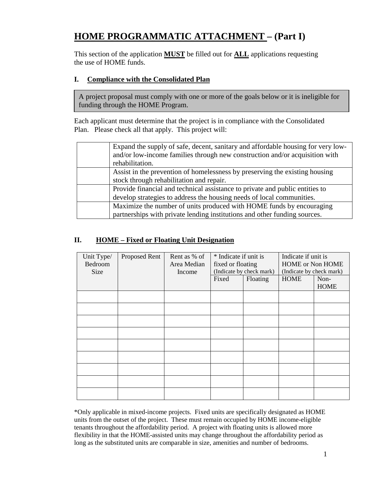# **HOME PROGRAMMATIC ATTACHMENT – (Part I)**

This section of the application **MUST** be filled out for **ALL** applications requesting the use of HOME funds.

# **I. Compliance with the Consolidated Plan**

A project proposal must comply with one or more of the goals below or it is ineligible for funding through the HOME Program.

Each applicant must determine that the project is in compliance with the Consolidated Plan. Please check all that apply. This project will:

| Expand the supply of safe, decent, sanitary and affordable housing for very low-<br>and/or low-income families through new construction and/or acquisition with<br>rehabilitation. |
|------------------------------------------------------------------------------------------------------------------------------------------------------------------------------------|
| Assist in the prevention of homelessness by preserving the existing housing<br>stock through rehabilitation and repair.                                                            |
| Provide financial and technical assistance to private and public entities to<br>develop strategies to address the housing needs of local communities.                              |
| Maximize the number of units produced with HOME funds by encouraging<br>partnerships with private lending institutions and other funding sources.                                  |

# **II. HOME – Fixed or Floating Unit Designation**

| Unit Type/<br>Bedroom<br>Size | <b>Proposed Rent</b> | Rent as % of<br>Area Median<br>Income | * Indicate if unit is<br>fixed or floating<br>(Indicate by check mark) |          | Indicate if unit is<br>HOME or Non HOME<br>(Indicate by check mark) |                     |
|-------------------------------|----------------------|---------------------------------------|------------------------------------------------------------------------|----------|---------------------------------------------------------------------|---------------------|
|                               |                      |                                       | Fixed                                                                  | Floating | <b>HOME</b>                                                         | Non-<br><b>HOME</b> |
|                               |                      |                                       |                                                                        |          |                                                                     |                     |
|                               |                      |                                       |                                                                        |          |                                                                     |                     |
|                               |                      |                                       |                                                                        |          |                                                                     |                     |
|                               |                      |                                       |                                                                        |          |                                                                     |                     |
|                               |                      |                                       |                                                                        |          |                                                                     |                     |
|                               |                      |                                       |                                                                        |          |                                                                     |                     |
|                               |                      |                                       |                                                                        |          |                                                                     |                     |
|                               |                      |                                       |                                                                        |          |                                                                     |                     |
|                               |                      |                                       |                                                                        |          |                                                                     |                     |

\*Only applicable in mixed-income projects. Fixed units are specifically designated as HOME units from the outset of the project. These must remain occupied by HOME income-eligible tenants throughout the affordability period. A project with floating units is allowed more flexibility in that the HOME-assisted units may change throughout the affordability period as long as the substituted units are comparable in size, amenities and number of bedrooms.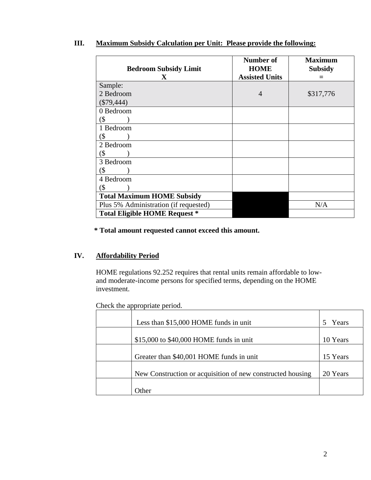| <b>Bedroom Subsidy Limit</b><br>$\mathbf X$ | Number of<br><b>HOME</b><br><b>Assisted Units</b> | <b>Maximum</b><br><b>Subsidy</b> |
|---------------------------------------------|---------------------------------------------------|----------------------------------|
| Sample:                                     |                                                   |                                  |
| 2 Bedroom                                   | 4                                                 | \$317,776                        |
| $(\$79,444)$                                |                                                   |                                  |
| 0 Bedroom                                   |                                                   |                                  |
| (\$                                         |                                                   |                                  |
| 1 Bedroom                                   |                                                   |                                  |
| (\$                                         |                                                   |                                  |
| 2 Bedroom                                   |                                                   |                                  |
| (\$                                         |                                                   |                                  |
| 3 Bedroom                                   |                                                   |                                  |
| (\$                                         |                                                   |                                  |
| 4 Bedroom                                   |                                                   |                                  |
| (\$                                         |                                                   |                                  |
| <b>Total Maximum HOME Subsidy</b>           |                                                   |                                  |
| Plus 5% Administration (if requested)       |                                                   | N/A                              |
| <b>Total Eligible HOME Request *</b>        |                                                   |                                  |

# **III. Maximum Subsidy Calculation per Unit: Please provide the following:**

 **\* Total amount requested cannot exceed this amount.**

## **IV. Affordability Period**

HOME regulations 92.252 requires that rental units remain affordable to lowand moderate-income persons for specified terms, depending on the HOME investment.

Check the appropriate period.

| Less than \$15,000 HOME funds in unit                      | Years    |
|------------------------------------------------------------|----------|
| \$15,000 to \$40,000 HOME funds in unit                    | 10 Years |
| Greater than \$40,001 HOME funds in unit                   | 15 Years |
| New Construction or acquisition of new constructed housing | 20 Years |
| Other                                                      |          |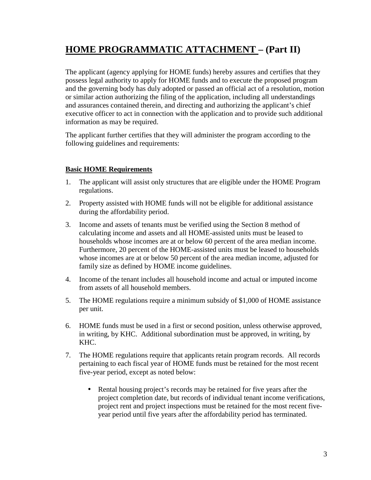# **HOME PROGRAMMATIC ATTACHMENT – (Part II)**

The applicant (agency applying for HOME funds) hereby assures and certifies that they possess legal authority to apply for HOME funds and to execute the proposed program and the governing body has duly adopted or passed an official act of a resolution, motion or similar action authorizing the filing of the application, including all understandings and assurances contained therein, and directing and authorizing the applicant's chief executive officer to act in connection with the application and to provide such additional information as may be required.

The applicant further certifies that they will administer the program according to the following guidelines and requirements:

# **Basic HOME Requirements**

- 1. The applicant will assist only structures that are eligible under the HOME Program regulations.
- 2. Property assisted with HOME funds will not be eligible for additional assistance during the affordability period.
- 3. Income and assets of tenants must be verified using the Section 8 method of calculating income and assets and all HOME-assisted units must be leased to households whose incomes are at or below 60 percent of the area median income. Furthermore, 20 percent of the HOME-assisted units must be leased to households whose incomes are at or below 50 percent of the area median income, adjusted for family size as defined by HOME income guidelines.
- 4. Income of the tenant includes all household income and actual or imputed income from assets of all household members.
- 5. The HOME regulations require a minimum subsidy of \$1,000 of HOME assistance per unit.
- 6. HOME funds must be used in a first or second position, unless otherwise approved, in writing, by KHC. Additional subordination must be approved, in writing, by KHC.
- 7. The HOME regulations require that applicants retain program records. All records pertaining to each fiscal year of HOME funds must be retained for the most recent five-year period, except as noted below:
	- Rental housing project's records may be retained for five years after the project completion date, but records of individual tenant income verifications, project rent and project inspections must be retained for the most recent fiveyear period until five years after the affordability period has terminated.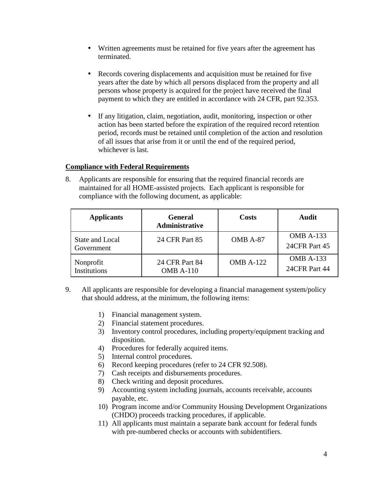- Written agreements must be retained for five years after the agreement has terminated.
- Records covering displacements and acquisition must be retained for five years after the date by which all persons displaced from the property and all persons whose property is acquired for the project have received the final payment to which they are entitled in accordance with 24 CFR, part 92.353.
- If any litigation, claim, negotiation, audit, monitoring, inspection or other action has been started before the expiration of the required record retention period, records must be retained until completion of the action and resolution of all issues that arise from it or until the end of the required period, whichever is last.

### **Compliance with Federal Requirements**

8. Applicants are responsible for ensuring that the required financial records are maintained for all HOME-assisted projects. Each applicant is responsible for compliance with the following document, as applicable:

| <b>Applicants</b><br><b>General</b><br>Administrative |                                    | Costs            | Audit                             |  |
|-------------------------------------------------------|------------------------------------|------------------|-----------------------------------|--|
| State and Local<br>Government                         | 24 CFR Part 85                     | OMB A-87         | <b>OMB A-133</b><br>24CFR Part 45 |  |
| Nonprofit<br><b>Institutions</b>                      | 24 CFR Part 84<br><b>OMB A-110</b> | <b>OMB A-122</b> | <b>OMB A-133</b><br>24CFR Part 44 |  |

- 9. All applicants are responsible for developing a financial management system/policy that should address, at the minimum, the following items:
	- 1) Financial management system.
	- 2) Financial statement procedures.
	- 3) Inventory control procedures, including property/equipment tracking and disposition.
	- 4) Procedures for federally acquired items.
	- 5) Internal control procedures.
	- 6) Record keeping procedures (refer to 24 CFR 92.508).
	- 7) Cash receipts and disbursements procedures.
	- 8) Check writing and deposit procedures.
	- 9) Accounting system including journals, accounts receivable, accounts payable, etc.
	- 10) Program income and/or Community Housing Development Organizations (CHDO) proceeds tracking procedures, if applicable.
	- 11) All applicants must maintain a separate bank account for federal funds with pre-numbered checks or accounts with subidentifiers.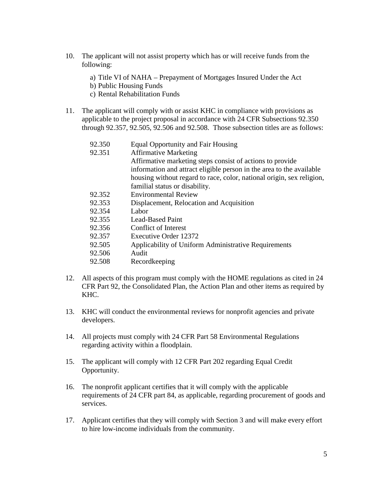- 10. The applicant will not assist property which has or will receive funds from the following:
	- a) Title VI of NAHA Prepayment of Mortgages Insured Under the Act
	- b) Public Housing Funds
	- c) Rental Rehabilitation Funds
- 11. The applicant will comply with or assist KHC in compliance with provisions as applicable to the project proposal in accordance with 24 CFR Subsections 92.350 through 92.357, 92.505, 92.506 and 92.508. Those subsection titles are as follows:

| 92.350 | <b>Equal Opportunity and Fair Housing</b>                             |
|--------|-----------------------------------------------------------------------|
| 92.351 | <b>Affirmative Marketing</b>                                          |
|        | Affirmative marketing steps consist of actions to provide             |
|        | information and attract eligible person in the area to the available  |
|        | housing without regard to race, color, national origin, sex religion, |
|        | familial status or disability.                                        |
| 92.352 | <b>Environmental Review</b>                                           |
| 92.353 | Displacement, Relocation and Acquisition                              |
| 92.354 | Labor                                                                 |
| 92.355 | Lead-Based Paint                                                      |
| 92.356 | Conflict of Interest                                                  |
| 92.357 | <b>Executive Order 12372</b>                                          |

- 92.505 Applicability of Uniform Administrative Requirements
- 92.506 Audit
- 92.508 Recordkeeping
- 12. All aspects of this program must comply with the HOME regulations as cited in 24 CFR Part 92, the Consolidated Plan, the Action Plan and other items as required by KHC.
- 13. KHC will conduct the environmental reviews for nonprofit agencies and private developers.
- 14. All projects must comply with 24 CFR Part 58 Environmental Regulations regarding activity within a floodplain.
- 15. The applicant will comply with 12 CFR Part 202 regarding Equal Credit Opportunity.
- 16. The nonprofit applicant certifies that it will comply with the applicable requirements of 24 CFR part 84, as applicable, regarding procurement of goods and services.
- 17. Applicant certifies that they will comply with Section 3 and will make every effort to hire low-income individuals from the community.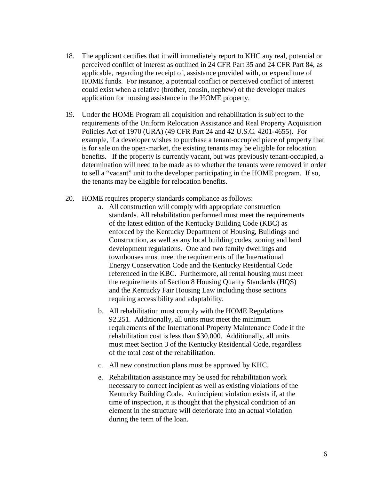- 18. The applicant certifies that it will immediately report to KHC any real, potential or perceived conflict of interest as outlined in 24 CFR Part 35 and 24 CFR Part 84, as applicable, regarding the receipt of, assistance provided with, or expenditure of HOME funds. For instance, a potential conflict or perceived conflict of interest could exist when a relative (brother, cousin, nephew) of the developer makes application for housing assistance in the HOME property.
- 19. Under the HOME Program all acquisition and rehabilitation is subject to the requirements of the Uniform Relocation Assistance and Real Property Acquisition Policies Act of 1970 (URA) (49 CFR Part 24 and 42 U.S.C. 4201-4655). For example, if a developer wishes to purchase a tenant-occupied piece of property that is for sale on the open-market, the existing tenants may be eligible for relocation benefits. If the property is currently vacant, but was previously tenant-occupied, a determination will need to be made as to whether the tenants were removed in order to sell a "vacant" unit to the developer participating in the HOME program. If so, the tenants may be eligible for relocation benefits.
- 20. HOME requires property standards compliance as follows:
	- a. All construction will comply with appropriate construction standards. All rehabilitation performed must meet the requirements of the latest edition of the Kentucky Building Code (KBC) as enforced by the Kentucky Department of Housing, Buildings and Construction, as well as any local building codes, zoning and land development regulations. One and two family dwellings and townhouses must meet the requirements of the International Energy Conservation Code and the Kentucky Residential Code referenced in the KBC. Furthermore, all rental housing must meet the requirements of Section 8 Housing Quality Standards (HQS) and the Kentucky Fair Housing Law including those sections requiring accessibility and adaptability.
	- b. All rehabilitation must comply with the HOME Regulations 92.251. Additionally, all units must meet the minimum requirements of the International Property Maintenance Code if the rehabilitation cost is less than \$30,000. Additionally, all units must meet Section 3 of the Kentucky Residential Code, regardless of the total cost of the rehabilitation.
	- c. All new construction plans must be approved by KHC.
	- e. Rehabilitation assistance may be used for rehabilitation work necessary to correct incipient as well as existing violations of the Kentucky Building Code. An incipient violation exists if, at the time of inspection, it is thought that the physical condition of an element in the structure will deteriorate into an actual violation during the term of the loan.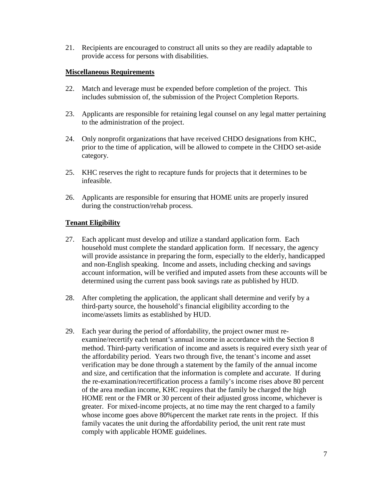21. Recipients are encouraged to construct all units so they are readily adaptable to provide access for persons with disabilities.

#### **Miscellaneous Requirements**

- 22. Match and leverage must be expended before completion of the project. This includes submission of, the submission of the Project Completion Reports.
- 23. Applicants are responsible for retaining legal counsel on any legal matter pertaining to the administration of the project.
- 24. Only nonprofit organizations that have received CHDO designations from KHC, prior to the time of application, will be allowed to compete in the CHDO set-aside category.
- 25. KHC reserves the right to recapture funds for projects that it determines to be infeasible.
- 26. Applicants are responsible for ensuring that HOME units are properly insured during the construction/rehab process.

### **Tenant Eligibility**

- 27. Each applicant must develop and utilize a standard application form. Each household must complete the standard application form. If necessary, the agency will provide assistance in preparing the form, especially to the elderly, handicapped and non-English speaking. Income and assets, including checking and savings account information, will be verified and imputed assets from these accounts will be determined using the current pass book savings rate as published by HUD.
- 28. After completing the application, the applicant shall determine and verify by a third-party source, the household's financial eligibility according to the income/assets limits as established by HUD.
- 29. Each year during the period of affordability, the project owner must reexamine/recertify each tenant's annual income in accordance with the Section 8 method. Third-party verification of income and assets is required every sixth year of the affordability period. Years two through five, the tenant's income and asset verification may be done through a statement by the family of the annual income and size, and certification that the information is complete and accurate. If during the re-examination/recertification process a family's income rises above 80 percent of the area median income, KHC requires that the family be charged the high HOME rent or the FMR or 30 percent of their adjusted gross income, whichever is greater. For mixed-income projects, at no time may the rent charged to a family whose income goes above 80% percent the market rate rents in the project. If this family vacates the unit during the affordability period, the unit rent rate must comply with applicable HOME guidelines.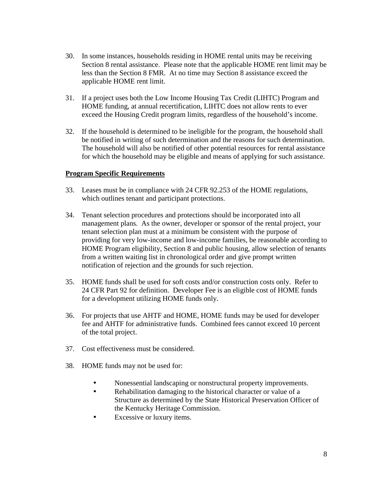- 30. In some instances, households residing in HOME rental units may be receiving Section 8 rental assistance. Please note that the applicable HOME rent limit may be less than the Section 8 FMR. At no time may Section 8 assistance exceed the applicable HOME rent limit.
- 31. If a project uses both the Low Income Housing Tax Credit (LIHTC) Program and HOME funding, at annual recertification, LIHTC does not allow rents to ever exceed the Housing Credit program limits, regardless of the household's income.
- 32. If the household is determined to be ineligible for the program, the household shall be notified in writing of such determination and the reasons for such determination. The household will also be notified of other potential resources for rental assistance for which the household may be eligible and means of applying for such assistance.

#### **Program Specific Requirements**

- 33. Leases must be in compliance with 24 CFR 92.253 of the HOME regulations, which outlines tenant and participant protections.
- 34. Tenant selection procedures and protections should be incorporated into all management plans. As the owner, developer or sponsor of the rental project, your tenant selection plan must at a minimum be consistent with the purpose of providing for very low-income and low-income families, be reasonable according to HOME Program eligibility, Section 8 and public housing, allow selection of tenants from a written waiting list in chronological order and give prompt written notification of rejection and the grounds for such rejection.
- 35. HOME funds shall be used for soft costs and/or construction costs only. Refer to 24 CFR Part 92 for definition. Developer Fee is an eligible cost of HOME funds for a development utilizing HOME funds only.
- 36. For projects that use AHTF and HOME, HOME funds may be used for developer fee and AHTF for administrative funds. Combined fees cannot exceed 10 percent of the total project.
- 37. Cost effectiveness must be considered.
- 38. HOME funds may not be used for:
	- Nonessential landscaping or nonstructural property improvements.
	- Rehabilitation damaging to the historical character or value of a Structure as determined by the State Historical Preservation Officer of the Kentucky Heritage Commission.
	- Excessive or luxury items.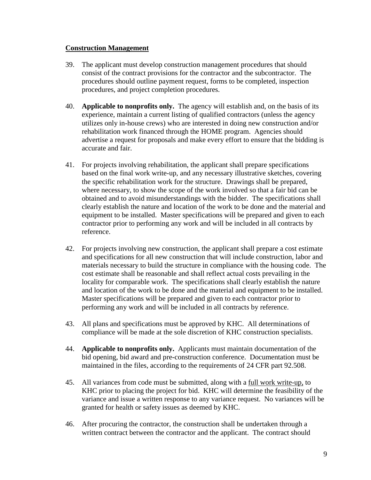#### **Construction Management**

- 39. The applicant must develop construction management procedures that should consist of the contract provisions for the contractor and the subcontractor. The procedures should outline payment request, forms to be completed, inspection procedures, and project completion procedures.
- 40. **Applicable to nonprofits only.** The agency will establish and, on the basis of its experience, maintain a current listing of qualified contractors (unless the agency utilizes only in-house crews) who are interested in doing new construction and/or rehabilitation work financed through the HOME program. Agencies should advertise a request for proposals and make every effort to ensure that the bidding is accurate and fair.
- 41. For projects involving rehabilitation, the applicant shall prepare specifications based on the final work write-up, and any necessary illustrative sketches, covering the specific rehabilitation work for the structure. Drawings shall be prepared, where necessary, to show the scope of the work involved so that a fair bid can be obtained and to avoid misunderstandings with the bidder. The specifications shall clearly establish the nature and location of the work to be done and the material and equipment to be installed. Master specifications will be prepared and given to each contractor prior to performing any work and will be included in all contracts by reference.
- 42. For projects involving new construction, the applicant shall prepare a cost estimate and specifications for all new construction that will include construction, labor and materials necessary to build the structure in compliance with the housing code. The cost estimate shall be reasonable and shall reflect actual costs prevailing in the locality for comparable work. The specifications shall clearly establish the nature and location of the work to be done and the material and equipment to be installed. Master specifications will be prepared and given to each contractor prior to performing any work and will be included in all contracts by reference.
- 43. All plans and specifications must be approved by KHC. All determinations of compliance will be made at the sole discretion of KHC construction specialists.
- 44. **Applicable to nonprofits only.** Applicants must maintain documentation of the bid opening, bid award and pre-construction conference. Documentation must be maintained in the files, according to the requirements of 24 CFR part 92.508.
- 45. All variances from code must be submitted, along with a full work write-up, to KHC prior to placing the project for bid. KHC will determine the feasibility of the variance and issue a written response to any variance request. No variances will be granted for health or safety issues as deemed by KHC.
- 46. After procuring the contractor, the construction shall be undertaken through a written contract between the contractor and the applicant. The contract should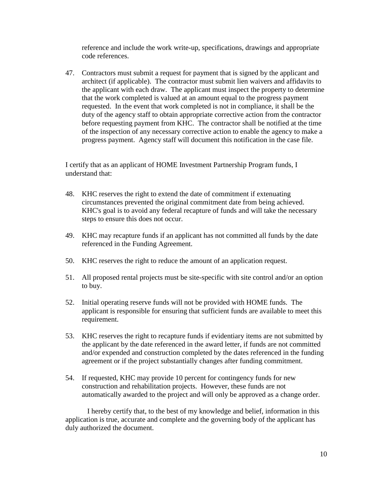reference and include the work write-up, specifications, drawings and appropriate code references.

47. Contractors must submit a request for payment that is signed by the applicant and architect (if applicable). The contractor must submit lien waivers and affidavits to the applicant with each draw. The applicant must inspect the property to determine that the work completed is valued at an amount equal to the progress payment requested. In the event that work completed is not in compliance, it shall be the duty of the agency staff to obtain appropriate corrective action from the contractor before requesting payment from KHC. The contractor shall be notified at the time of the inspection of any necessary corrective action to enable the agency to make a progress payment. Agency staff will document this notification in the case file.

I certify that as an applicant of HOME Investment Partnership Program funds, I understand that:

- 48. KHC reserves the right to extend the date of commitment if extenuating circumstances prevented the original commitment date from being achieved. KHC's goal is to avoid any federal recapture of funds and will take the necessary steps to ensure this does not occur.
- 49. KHC may recapture funds if an applicant has not committed all funds by the date referenced in the Funding Agreement.
- 50. KHC reserves the right to reduce the amount of an application request.
- 51. All proposed rental projects must be site-specific with site control and/or an option to buy.
- 52. Initial operating reserve funds will not be provided with HOME funds. The applicant is responsible for ensuring that sufficient funds are available to meet this requirement.
- 53. KHC reserves the right to recapture funds if evidentiary items are not submitted by the applicant by the date referenced in the award letter, if funds are not committed and/or expended and construction completed by the dates referenced in the funding agreement or if the project substantially changes after funding commitment.
- 54. If requested, KHC may provide 10 percent for contingency funds for new construction and rehabilitation projects. However, these funds are not automatically awarded to the project and will only be approved as a change order.

I hereby certify that, to the best of my knowledge and belief, information in this application is true, accurate and complete and the governing body of the applicant has duly authorized the document.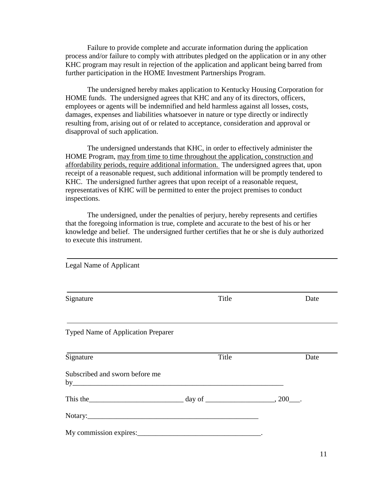Failure to provide complete and accurate information during the application process and/or failure to comply with attributes pledged on the application or in any other KHC program may result in rejection of the application and applicant being barred from further participation in the HOME Investment Partnerships Program.

The undersigned hereby makes application to Kentucky Housing Corporation for HOME funds. The undersigned agrees that KHC and any of its directors, officers, employees or agents will be indemnified and held harmless against all losses, costs, damages, expenses and liabilities whatsoever in nature or type directly or indirectly resulting from, arising out of or related to acceptance, consideration and approval or disapproval of such application.

The undersigned understands that KHC, in order to effectively administer the HOME Program, may from time to time throughout the application, construction and affordability periods, require additional information. The undersigned agrees that, upon receipt of a reasonable request, such additional information will be promptly tendered to KHC. The undersigned further agrees that upon receipt of a reasonable request, representatives of KHC will be permitted to enter the project premises to conduct inspections.

The undersigned, under the penalties of perjury, hereby represents and certifies that the foregoing information is true, complete and accurate to the best of his or her knowledge and belief. The undersigned further certifies that he or she is duly authorized to execute this instrument.

| Legal Name of Applicant                               |       |      |
|-------------------------------------------------------|-------|------|
| Signature                                             | Title | Date |
| <b>Typed Name of Application Preparer</b>             |       |      |
| Signature                                             | Title | Date |
| Subscribed and sworn before me<br>by                  |       |      |
| This the $\frac{1}{200}$ day of $\frac{1}{200}$ , 200 |       |      |
| Notary: Notary:                                       |       |      |
|                                                       |       |      |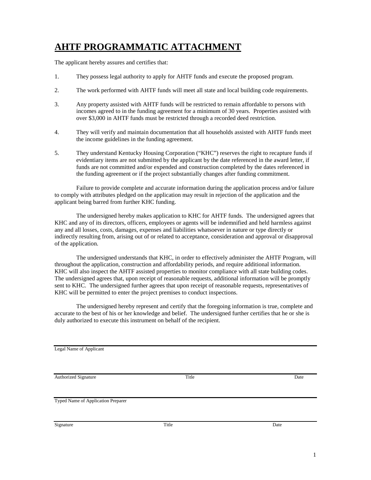# **AHTF PROGRAMMATIC ATTACHMENT**

The applicant hereby assures and certifies that:

- 1. They possess legal authority to apply for AHTF funds and execute the proposed program.
- 2. The work performed with AHTF funds will meet all state and local building code requirements.
- 3. Any property assisted with AHTF funds will be restricted to remain affordable to persons with incomes agreed to in the funding agreement for a minimum of 30 years. Properties assisted with over \$3,000 in AHTF funds must be restricted through a recorded deed restriction.
- 4. They will verify and maintain documentation that all households assisted with AHTF funds meet the income guidelines in the funding agreement.
- 5. They understand Kentucky Housing Corporation ("KHC") reserves the right to recapture funds if evidentiary items are not submitted by the applicant by the date referenced in the award letter, if funds are not committed and/or expended and construction completed by the dates referenced in the funding agreement or if the project substantially changes after funding commitment.

Failure to provide complete and accurate information during the application process and/or failure to comply with attributes pledged on the application may result in rejection of the application and the applicant being barred from further KHC funding.

The undersigned hereby makes application to KHC for AHTF funds. The undersigned agrees that KHC and any of its directors, officers, employees or agents will be indemnified and held harmless against any and all losses, costs, damages, expenses and liabilities whatsoever in nature or type directly or indirectly resulting from, arising out of or related to acceptance, consideration and approval or disapproval of the application.

The undersigned understands that KHC, in order to effectively administer the AHTF Program, will throughout the application, construction and affordability periods, and require additional information. KHC will also inspect the AHTF assisted properties to monitor compliance with all state building codes. The undersigned agrees that, upon receipt of reasonable requests, additional information will be promptly sent to KHC. The undersigned further agrees that upon receipt of reasonable requests, representatives of KHC will be permitted to enter the project premises to conduct inspections.

The undersigned hereby represent and certify that the foregoing information is true, complete and accurate to the best of his or her knowledge and belief. The undersigned further certifies that he or she is duly authorized to execute this instrument on behalf of the recipient.

Legal Name of Applicant

Authorized Signature Date **Date** Date **Date** 

Typed Name of Application Preparer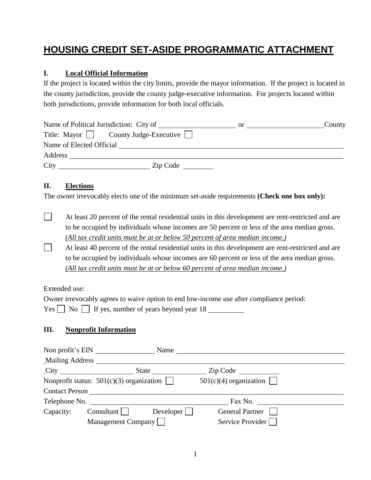# **HOUSING CREDIT SET-ASIDE PROGRAMMATIC ATTACHMENT**

# **I. Local Official Information**

If the project is located within the city limits, provide the mayor information. If the project is located in the county jurisdiction, provide the county judge-executive information. For projects located within both jurisdictions, provide information for both local officials.

|         | Name of Political Jurisdiction: City of | or. | County |
|---------|-----------------------------------------|-----|--------|
|         | Title: Mayor     County Judge-Executive |     |        |
|         | Name of Elected Official                |     |        |
| Address |                                         |     |        |
| City    | Zip Code                                |     |        |

## **II. Elections**

 $\Box$ 

The owner irrevocably elects one of the minimum set-aside requirements **(Check one box only):**

- At least 20 percent of the rental residential units in this development are rent-restricted and are to be occupied by individuals whose incomes are 50 percent or less of the area median gross. *(All tax credit units must be at or below 50 percent of area median income.)*
- $\Box$ At least 40 percent of the rental residential units in this development are rent-restricted and are to be occupied by individuals whose incomes are 60 percent or less of the area median gross. *(All tax credit units must be at or below 60 percent of area median income.)*

Extended use:

| Owner irrevocably agrees to waive option to end low-income use after compliance period: |
|-----------------------------------------------------------------------------------------|
|                                                                                         |

# **III. Nonprofit Information**

|                                            | Non profit's EIN      | Name               |                                                             |  |  |
|--------------------------------------------|-----------------------|--------------------|-------------------------------------------------------------|--|--|
|                                            | Mailing Address       |                    |                                                             |  |  |
| $\text{City}$                              |                       | <b>State</b> State | $\mathsf{Zip} \; \mathsf{Code} \; \underline{\hspace{2cm}}$ |  |  |
| Nonprofit status: $501(c)(3)$ organization |                       |                    | $501(c)(4)$ organization                                    |  |  |
|                                            | <b>Contact Person</b> |                    |                                                             |  |  |
|                                            |                       |                    | Fax No.                                                     |  |  |
| Capacity:                                  | $Consultant$          | Developer          | <b>General Partner</b>                                      |  |  |
|                                            | Management Company    |                    | Service Provider                                            |  |  |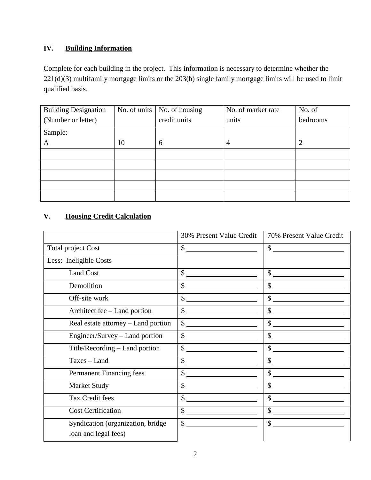# **IV. Building Information**

Complete for each building in the project. This information is necessary to determine whether the 221(d)(3) multifamily mortgage limits or the 203(b) single family mortgage limits will be used to limit qualified basis.

| <b>Building Designation</b> | No. of units | No. of housing | No. of market rate | No. of   |
|-----------------------------|--------------|----------------|--------------------|----------|
| (Number or letter)          |              | credit units   | units              | bedrooms |
| Sample:                     |              |                |                    |          |
| A                           | 10           | 6              | 4                  | 2        |
|                             |              |                |                    |          |
|                             |              |                |                    |          |
|                             |              |                |                    |          |
|                             |              |                |                    |          |
|                             |              |                |                    |          |

# **V. Housing Credit Calculation**

|                                                           | 30% Present Value Credit                                                                                                                                                                                                                                                                                                                                                                                             | 70% Present Value Credit                                                                                                                                                                                                                                                                                                                                                                                                                                                                               |
|-----------------------------------------------------------|----------------------------------------------------------------------------------------------------------------------------------------------------------------------------------------------------------------------------------------------------------------------------------------------------------------------------------------------------------------------------------------------------------------------|--------------------------------------------------------------------------------------------------------------------------------------------------------------------------------------------------------------------------------------------------------------------------------------------------------------------------------------------------------------------------------------------------------------------------------------------------------------------------------------------------------|
| <b>Total project Cost</b>                                 | $\sim$                                                                                                                                                                                                                                                                                                                                                                                                               | $\frac{1}{2}$                                                                                                                                                                                                                                                                                                                                                                                                                                                                                          |
| Less: Ineligible Costs                                    |                                                                                                                                                                                                                                                                                                                                                                                                                      |                                                                                                                                                                                                                                                                                                                                                                                                                                                                                                        |
| <b>Land Cost</b>                                          | $s$ __                                                                                                                                                                                                                                                                                                                                                                                                               | $\frac{1}{1}$                                                                                                                                                                                                                                                                                                                                                                                                                                                                                          |
| Demolition                                                | $\frac{1}{2}$                                                                                                                                                                                                                                                                                                                                                                                                        | $\frac{1}{2}$                                                                                                                                                                                                                                                                                                                                                                                                                                                                                          |
| Off-site work                                             | $\frac{1}{2}$                                                                                                                                                                                                                                                                                                                                                                                                        | $\frac{1}{2}$                                                                                                                                                                                                                                                                                                                                                                                                                                                                                          |
| Architect fee – Land portion                              | $\frac{1}{\sqrt{1-\frac{1}{2}}\sqrt{1-\frac{1}{2}}\sqrt{1-\frac{1}{2}}\sqrt{1-\frac{1}{2}}\sqrt{1-\frac{1}{2}}\sqrt{1-\frac{1}{2}}\sqrt{1-\frac{1}{2}}\sqrt{1-\frac{1}{2}}\sqrt{1-\frac{1}{2}}\sqrt{1-\frac{1}{2}}\sqrt{1-\frac{1}{2}}\sqrt{1-\frac{1}{2}}\sqrt{1-\frac{1}{2}}\sqrt{1-\frac{1}{2}}\sqrt{1-\frac{1}{2}}\sqrt{1-\frac{1}{2}}\sqrt{1-\frac{1}{2}}\sqrt{1-\frac{1}{2}}\sqrt{1-\frac{1}{2}}\sqrt{1-\frac$ | $\frac{1}{2}$                                                                                                                                                                                                                                                                                                                                                                                                                                                                                          |
| Real estate attorney - Land portion                       | $\frac{1}{\sqrt{2}}$                                                                                                                                                                                                                                                                                                                                                                                                 | $\begin{array}{c c c c c} \hline \multicolumn{3}{c }{\textbf{\textcolor{red}{\bf \$}}}&\multicolumn{3}{c }{\textbf{\textcolor{red}{\bf --}}}&\multicolumn{3}{c }{\textbf{\textcolor{red}{\bf --}}}&\multicolumn{3}{c }{\textbf{\textcolor{red}{\bf --}}}&\multicolumn{3}{c }{\textbf{\textcolor{red}{\bf --}}}&\multicolumn{3}{c }{\textbf{\textcolor{red}{\bf --}}}&\multicolumn{3}{c }{\textbf{\textcolor{red}{\bf --}}}&\multicolumn{3}{c }{\textbf{\textcolor{red}{\bf --}}}&\multicolumn{3}{c }{$ |
| Engineer/Survey – Land portion                            | $\overline{\text{S}}$                                                                                                                                                                                                                                                                                                                                                                                                | $\frac{1}{1}$                                                                                                                                                                                                                                                                                                                                                                                                                                                                                          |
| Title/Recording - Land portion                            | $\sim$                                                                                                                                                                                                                                                                                                                                                                                                               | $\overline{\$}$                                                                                                                                                                                                                                                                                                                                                                                                                                                                                        |
| Taxes - Land                                              | $\frac{1}{2}$                                                                                                                                                                                                                                                                                                                                                                                                        | $\begin{array}{c c} \hline \text{S} & \text{S} & \text{S} \\ \hline \end{array}$                                                                                                                                                                                                                                                                                                                                                                                                                       |
| <b>Permanent Financing fees</b>                           | $\mathbb{S}$                                                                                                                                                                                                                                                                                                                                                                                                         |                                                                                                                                                                                                                                                                                                                                                                                                                                                                                                        |
| <b>Market Study</b>                                       | $\frac{1}{2}$                                                                                                                                                                                                                                                                                                                                                                                                        | $\frac{1}{2}$                                                                                                                                                                                                                                                                                                                                                                                                                                                                                          |
| Tax Credit fees                                           | $\sim$                                                                                                                                                                                                                                                                                                                                                                                                               | $\frac{1}{2}$                                                                                                                                                                                                                                                                                                                                                                                                                                                                                          |
| <b>Cost Certification</b>                                 | $\frac{\sqrt{2}}{2}$                                                                                                                                                                                                                                                                                                                                                                                                 | $\sim$                                                                                                                                                                                                                                                                                                                                                                                                                                                                                                 |
| Syndication (organization, bridge<br>loan and legal fees) | $\mathbb{S}$                                                                                                                                                                                                                                                                                                                                                                                                         | $\sim$ $\sim$                                                                                                                                                                                                                                                                                                                                                                                                                                                                                          |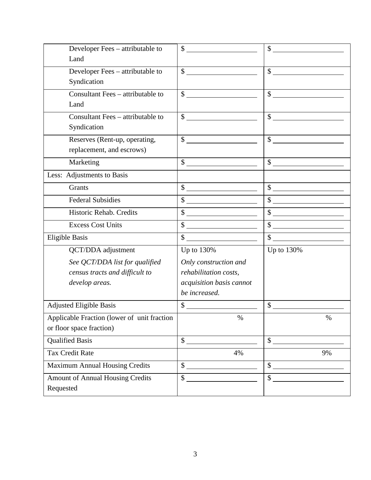| Developer Fees - attributable to            | $\mathbb{S}$             | $\mathbb{S}$             |
|---------------------------------------------|--------------------------|--------------------------|
| Land                                        |                          |                          |
| Developer Fees - attributable to            | $\sim$                   | $\sim$ $\sim$            |
| Syndication                                 |                          |                          |
| Consultant Fees - attributable to           | $\mathbb{S}$             | $\mathcal{S}$            |
| Land                                        |                          |                          |
| Consultant Fees – attributable to           | $S_{-}$                  | $\mathbb{S}$             |
| Syndication                                 |                          |                          |
| Reserves (Rent-up, operating,               | $\mathbb{S}$             | $\sim$ $\sim$            |
| replacement, and escrows)                   |                          |                          |
| Marketing                                   | $\frac{1}{2}$            | $\sim$                   |
| Less: Adjustments to Basis                  |                          |                          |
| <b>Grants</b>                               | $\overline{\text{S}}$    | $\overline{\mathcal{S}}$ |
| <b>Federal Subsidies</b>                    |                          | $\overline{\$}$          |
| Historic Rehab. Credits                     | $\frac{1}{2}$            | $\frac{1}{2}$            |
| <b>Excess Cost Units</b>                    | $\frac{1}{2}$            |                          |
| <b>Eligible Basis</b>                       | $\overline{\$}$          | $\overline{\text{S}}$    |
| QCT/DDA adjustment                          | Up to 130%               | Up to 130%               |
| See QCT/DDA list for qualified              | Only construction and    |                          |
| census tracts and difficult to              | rehabilitation costs,    |                          |
| develop areas.                              | acquisition basis cannot |                          |
|                                             | be increased.            |                          |
| <b>Adjusted Eligible Basis</b>              | $\mathbb{S}$             | $\mathbb{S}$             |
| Applicable Fraction (lower of unit fraction | $\%$                     | $\%$                     |
| or floor space fraction)                    |                          |                          |
| <b>Qualified Basis</b>                      | $\mathbb{S}^-$           | $\mathbb{S}$             |
| <b>Tax Credit Rate</b>                      | 4%                       | 9%                       |
| <b>Maximum Annual Housing Credits</b>       | $\frac{1}{2}$            | $\frac{1}{2}$            |
| Amount of Annual Housing Credits            | \$                       | $\mathsf{\$}$            |
| Requested                                   |                          |                          |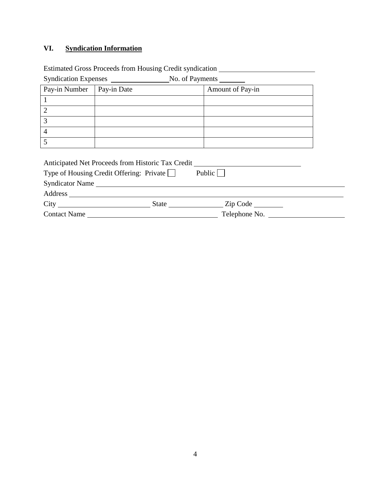# **VI. Syndication Information**

Estimated Gross Proceeds from Housing Credit syndication \_\_\_\_\_\_\_\_\_\_\_\_\_\_\_\_\_\_\_\_\_\_\_\_

| Syndication Expenses<br>No. of Payments                                                       |                          |  |  |  |
|-----------------------------------------------------------------------------------------------|--------------------------|--|--|--|
| Pay-in Date                                                                                   | Amount of Pay-in         |  |  |  |
|                                                                                               |                          |  |  |  |
|                                                                                               |                          |  |  |  |
|                                                                                               |                          |  |  |  |
|                                                                                               |                          |  |  |  |
|                                                                                               |                          |  |  |  |
| Anticipated Net Proceeds from Historic Tax Credit<br>Type of Housing Credit Offering: Private | Public                   |  |  |  |
|                                                                                               |                          |  |  |  |
|                                                                                               | Zip Code                 |  |  |  |
|                                                                                               | Syndicator Name<br>State |  |  |  |

٠

Contact Name Telephone No.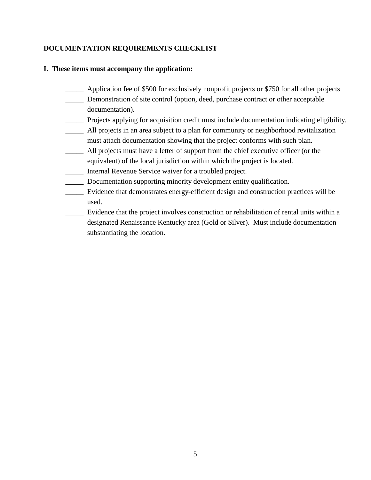### **DOCUMENTATION REQUIREMENTS CHECKLIST**

#### **I. These items must accompany the application:**

- \_\_\_\_\_ Application fee of \$500 for exclusively nonprofit projects or \$750 for all other projects
- \_\_\_\_\_ Demonstration of site control (option, deed, purchase contract or other acceptable documentation).
- \_\_\_\_\_ Projects applying for acquisition credit must include documentation indicating eligibility.
- \_\_\_\_\_ All projects in an area subject to a plan for community or neighborhood revitalization must attach documentation showing that the project conforms with such plan.
- \_\_\_\_\_ All projects must have a letter of support from the chief executive officer (or the equivalent) of the local jurisdiction within which the project is located.
- \_\_\_\_\_ Internal Revenue Service waiver for a troubled project.
- \_\_\_\_\_ Documentation supporting minority development entity qualification.
- \_\_\_\_\_ Evidence that demonstrates energy-efficient design and construction practices will be used.
- \_\_\_\_\_ Evidence that the project involves construction or rehabilitation of rental units within a designated Renaissance Kentucky area (Gold or Silver). Must include documentation substantiating the location.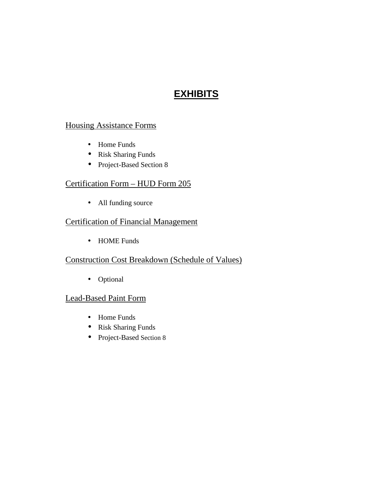# **EXHIBITS**

# Housing Assistance Forms

- Home Funds
- Risk Sharing Funds
- Project-Based Section 8

# Certification Form – HUD Form 205

• All funding source

# Certification of Financial Management

• HOME Funds

# Construction Cost Breakdown (Schedule of Values)

• Optional

# Lead-Based Paint Form

- Home Funds
- Risk Sharing Funds
- Project-Based Section 8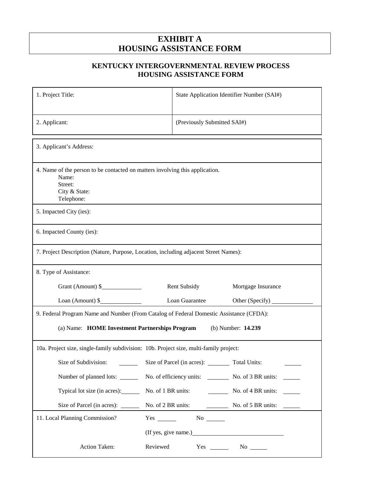# **EXHIBIT A HOUSING ASSISTANCE FORM**

## **KENTUCKY INTERGOVERNMENTAL REVIEW PROCESS HOUSING ASSISTANCE FORM**

| 1. Project Title:                                                                                                               | State Application Identifier Number (SAI#)       |  |  |
|---------------------------------------------------------------------------------------------------------------------------------|--------------------------------------------------|--|--|
|                                                                                                                                 |                                                  |  |  |
| 2. Applicant:                                                                                                                   | (Previously Submitted SAI#)                      |  |  |
| 3. Applicant's Address:                                                                                                         |                                                  |  |  |
| 4. Name of the person to be contacted on matters involving this application.<br>Name:<br>Street:<br>City & State:<br>Telephone: |                                                  |  |  |
| 5. Impacted City (ies):                                                                                                         |                                                  |  |  |
| 6. Impacted County (ies):                                                                                                       |                                                  |  |  |
| 7. Project Description (Nature, Purpose, Location, including adjacent Street Names):                                            |                                                  |  |  |
| 8. Type of Assistance:                                                                                                          |                                                  |  |  |
| Grant (Amount) \$                                                                                                               | Rent Subsidy<br>Mortgage Insurance               |  |  |
| Loan (Amount) \$                                                                                                                | Loan Guarantee<br>Other (Specify)                |  |  |
| 9. Federal Program Name and Number (From Catalog of Federal Domestic Assistance (CFDA):                                         |                                                  |  |  |
| (a) Name: HOME Investment Partnerships Program<br>(b) Number: 14.239                                                            |                                                  |  |  |
| 10a. Project size, single-family subdivision: 10b. Project size, multi-family project:                                          |                                                  |  |  |
| Size of Subdivision:                                                                                                            | Size of Parcel (in acres): ________ Total Units: |  |  |
| Number of planned lots: ______                                                                                                  | No. of efficiency units: No. of 3 BR units:      |  |  |
| Typical lot size (in acres): ________<br>No. of 1 BR units:                                                                     | $\frac{1}{2}$ No. of 4 BR units:                 |  |  |
| Size of Parcel (in acres): _______<br>No. of 2 BR units:                                                                        | $\frac{1}{2}$ No. of 5 BR units:                 |  |  |
| 11. Local Planning Commission?                                                                                                  |                                                  |  |  |
|                                                                                                                                 |                                                  |  |  |
| Reviewed<br>Action Taken:                                                                                                       | $Yes \_\_$<br>$\mathrm{No}$ $\_\_$               |  |  |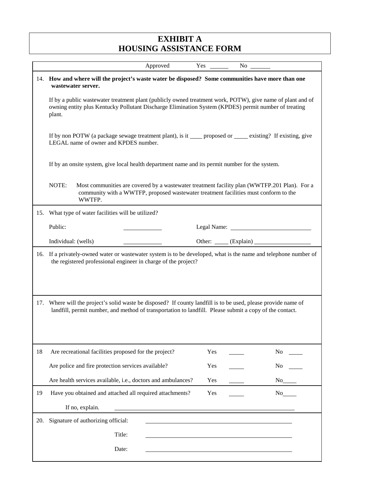# **EXHIBIT A HOUSING ASSISTANCE FORM**

| 14. How and where will the project's waste water be disposed? Some communities have more than one<br>wastewater server.<br>If by a public wastewater treatment plant (publicly owned treatment work, POTW), give name of plant and of<br>owning entity plus Kentucky Pollutant Discharge Elimination System (KPDES) permit number of treating<br>plant.<br>If by non POTW (a package sewage treatment plant), is it _____ proposed or ______ existing? If existing, give<br>LEGAL name of owner and KPDES number.<br>If by an onsite system, give local health department name and its permit number for the system.<br>NOTE:<br>Most communities are covered by a wastewater treatment facility plan (WWTFP.201 Plan). For a<br>community with a WWTFP, proposed wastewater treatment facilities must conform to the<br>WWTFP.<br>What type of water facilities will be utilized?<br>15.<br>Public:<br>Other: _____ (Explain) _____<br>Individual: (wells)<br>If a privately-owned water or wastewater system is to be developed, what is the name and telephone number of<br>16.<br>the registered professional engineer in charge of the project?<br>Where will the project's solid waste be disposed? If county landfill is to be used, please provide name of<br>17.<br>landfill, permit number, and method of transportation to landfill. Please submit a copy of the contact.<br>18<br>Are recreational facilities proposed for the project?<br>Yes<br>N <sub>0</sub><br>Are police and fire protection services available?<br>Yes<br>N <sub>0</sub><br>Are health services available, i.e., doctors and ambulances?<br>Yes<br>N <sub>0</sub><br>Have you obtained and attached all required attachments?<br>19<br>Yes<br>No<br>If no, explain.<br>Signature of authorizing official:<br>20.<br>Title: | Approved | Yes | No r |  |
|---------------------------------------------------------------------------------------------------------------------------------------------------------------------------------------------------------------------------------------------------------------------------------------------------------------------------------------------------------------------------------------------------------------------------------------------------------------------------------------------------------------------------------------------------------------------------------------------------------------------------------------------------------------------------------------------------------------------------------------------------------------------------------------------------------------------------------------------------------------------------------------------------------------------------------------------------------------------------------------------------------------------------------------------------------------------------------------------------------------------------------------------------------------------------------------------------------------------------------------------------------------------------------------------------------------------------------------------------------------------------------------------------------------------------------------------------------------------------------------------------------------------------------------------------------------------------------------------------------------------------------------------------------------------------------------------------------------------------------------------------------------------------------------------------------------|----------|-----|------|--|
|                                                                                                                                                                                                                                                                                                                                                                                                                                                                                                                                                                                                                                                                                                                                                                                                                                                                                                                                                                                                                                                                                                                                                                                                                                                                                                                                                                                                                                                                                                                                                                                                                                                                                                                                                                                                               |          |     |      |  |
|                                                                                                                                                                                                                                                                                                                                                                                                                                                                                                                                                                                                                                                                                                                                                                                                                                                                                                                                                                                                                                                                                                                                                                                                                                                                                                                                                                                                                                                                                                                                                                                                                                                                                                                                                                                                               |          |     |      |  |
|                                                                                                                                                                                                                                                                                                                                                                                                                                                                                                                                                                                                                                                                                                                                                                                                                                                                                                                                                                                                                                                                                                                                                                                                                                                                                                                                                                                                                                                                                                                                                                                                                                                                                                                                                                                                               |          |     |      |  |
|                                                                                                                                                                                                                                                                                                                                                                                                                                                                                                                                                                                                                                                                                                                                                                                                                                                                                                                                                                                                                                                                                                                                                                                                                                                                                                                                                                                                                                                                                                                                                                                                                                                                                                                                                                                                               |          |     |      |  |
|                                                                                                                                                                                                                                                                                                                                                                                                                                                                                                                                                                                                                                                                                                                                                                                                                                                                                                                                                                                                                                                                                                                                                                                                                                                                                                                                                                                                                                                                                                                                                                                                                                                                                                                                                                                                               |          |     |      |  |
|                                                                                                                                                                                                                                                                                                                                                                                                                                                                                                                                                                                                                                                                                                                                                                                                                                                                                                                                                                                                                                                                                                                                                                                                                                                                                                                                                                                                                                                                                                                                                                                                                                                                                                                                                                                                               |          |     |      |  |
|                                                                                                                                                                                                                                                                                                                                                                                                                                                                                                                                                                                                                                                                                                                                                                                                                                                                                                                                                                                                                                                                                                                                                                                                                                                                                                                                                                                                                                                                                                                                                                                                                                                                                                                                                                                                               |          |     |      |  |
|                                                                                                                                                                                                                                                                                                                                                                                                                                                                                                                                                                                                                                                                                                                                                                                                                                                                                                                                                                                                                                                                                                                                                                                                                                                                                                                                                                                                                                                                                                                                                                                                                                                                                                                                                                                                               |          |     |      |  |
|                                                                                                                                                                                                                                                                                                                                                                                                                                                                                                                                                                                                                                                                                                                                                                                                                                                                                                                                                                                                                                                                                                                                                                                                                                                                                                                                                                                                                                                                                                                                                                                                                                                                                                                                                                                                               |          |     |      |  |
|                                                                                                                                                                                                                                                                                                                                                                                                                                                                                                                                                                                                                                                                                                                                                                                                                                                                                                                                                                                                                                                                                                                                                                                                                                                                                                                                                                                                                                                                                                                                                                                                                                                                                                                                                                                                               |          |     |      |  |
|                                                                                                                                                                                                                                                                                                                                                                                                                                                                                                                                                                                                                                                                                                                                                                                                                                                                                                                                                                                                                                                                                                                                                                                                                                                                                                                                                                                                                                                                                                                                                                                                                                                                                                                                                                                                               |          |     |      |  |
|                                                                                                                                                                                                                                                                                                                                                                                                                                                                                                                                                                                                                                                                                                                                                                                                                                                                                                                                                                                                                                                                                                                                                                                                                                                                                                                                                                                                                                                                                                                                                                                                                                                                                                                                                                                                               |          |     |      |  |
|                                                                                                                                                                                                                                                                                                                                                                                                                                                                                                                                                                                                                                                                                                                                                                                                                                                                                                                                                                                                                                                                                                                                                                                                                                                                                                                                                                                                                                                                                                                                                                                                                                                                                                                                                                                                               |          |     |      |  |
|                                                                                                                                                                                                                                                                                                                                                                                                                                                                                                                                                                                                                                                                                                                                                                                                                                                                                                                                                                                                                                                                                                                                                                                                                                                                                                                                                                                                                                                                                                                                                                                                                                                                                                                                                                                                               |          |     |      |  |
|                                                                                                                                                                                                                                                                                                                                                                                                                                                                                                                                                                                                                                                                                                                                                                                                                                                                                                                                                                                                                                                                                                                                                                                                                                                                                                                                                                                                                                                                                                                                                                                                                                                                                                                                                                                                               |          |     |      |  |
|                                                                                                                                                                                                                                                                                                                                                                                                                                                                                                                                                                                                                                                                                                                                                                                                                                                                                                                                                                                                                                                                                                                                                                                                                                                                                                                                                                                                                                                                                                                                                                                                                                                                                                                                                                                                               |          |     |      |  |
|                                                                                                                                                                                                                                                                                                                                                                                                                                                                                                                                                                                                                                                                                                                                                                                                                                                                                                                                                                                                                                                                                                                                                                                                                                                                                                                                                                                                                                                                                                                                                                                                                                                                                                                                                                                                               |          |     |      |  |
| Date:                                                                                                                                                                                                                                                                                                                                                                                                                                                                                                                                                                                                                                                                                                                                                                                                                                                                                                                                                                                                                                                                                                                                                                                                                                                                                                                                                                                                                                                                                                                                                                                                                                                                                                                                                                                                         |          |     |      |  |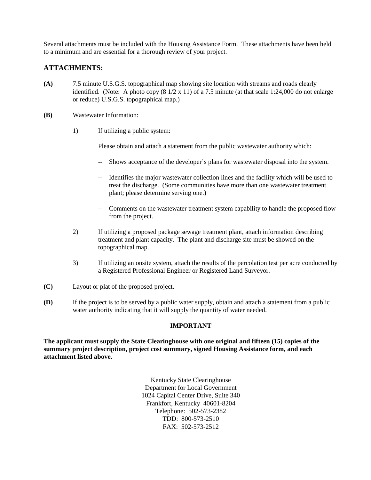Several attachments must be included with the Housing Assistance Form. These attachments have been held to a minimum and are essential for a thorough review of your project.

### **ATTACHMENTS:**

- **(A)** 7.5 minute U.S.G.S. topographical map showing site location with streams and roads clearly identified. (Note: A photo copy  $(8\frac{1}{2} \times 11)$  of a 7.5 minute (at that scale 1:24,000 do not enlarge or reduce) U.S.G.S. topographical map.)
- **(B)** Wastewater Information:
	- 1) If utilizing a public system:

Please obtain and attach a statement from the public wastewater authority which:

- -- Shows acceptance of the developer's plans for wastewater disposal into the system.
- -- Identifies the major wastewater collection lines and the facility which will be used to treat the discharge. (Some communities have more than one wastewater treatment plant; please determine serving one.)
- -- Comments on the wastewater treatment system capability to handle the proposed flow from the project.
- 2) If utilizing a proposed package sewage treatment plant, attach information describing treatment and plant capacity. The plant and discharge site must be showed on the topographical map.
- 3) If utilizing an onsite system, attach the results of the percolation test per acre conducted by a Registered Professional Engineer or Registered Land Surveyor.
- **(C)** Layout or plat of the proposed project.
- **(D)** If the project is to be served by a public water supply, obtain and attach a statement from a public water authority indicating that it will supply the quantity of water needed.

#### **IMPORTANT**

**The applicant must supply the State Clearinghouse with one original and fifteen (15) copies of the summary project description, project cost summary, signed Housing Assistance form, and each attachment listed above.**

> Kentucky State Clearinghouse Department for Local Government 1024 Capital Center Drive, Suite 340 Frankfort, Kentucky 40601-8204 Telephone: 502-573-2382 TDD: 800-573-2510 FAX: 502-573-2512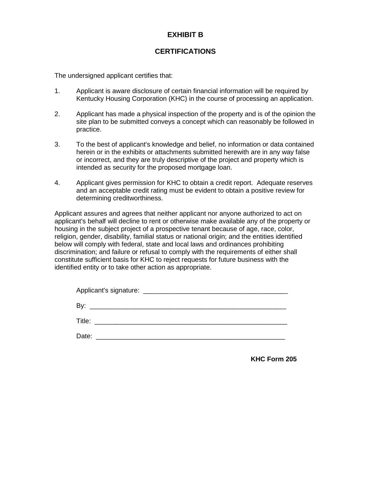# **EXHIBIT B**

## **CERTIFICATIONS**

The undersigned applicant certifies that:

- 1. Applicant is aware disclosure of certain financial information will be required by Kentucky Housing Corporation (KHC) in the course of processing an application.
- 2. Applicant has made a physical inspection of the property and is of the opinion the site plan to be submitted conveys a concept which can reasonably be followed in practice.
- 3. To the best of applicant's knowledge and belief, no information or data contained herein or in the exhibits or attachments submitted herewith are in any way false or incorrect, and they are truly descriptive of the project and property which is intended as security for the proposed mortgage loan.
- 4. Applicant gives permission for KHC to obtain a credit report. Adequate reserves and an acceptable credit rating must be evident to obtain a positive review for determining creditworthiness.

Applicant assures and agrees that neither applicant nor anyone authorized to act on applicant's behalf will decline to rent or otherwise make available any of the property or housing in the subject project of a prospective tenant because of age, race, color, religion, gender, disability, familial status or national origin; and the entities identified below will comply with federal, state and local laws and ordinances prohibiting discrimination; and failure or refusal to comply with the requirements of either shall constitute sufficient basis for KHC to reject requests for future business with the identified entity or to take other action as appropriate.

| Date: | the control of the control of the control of the control of the control of the control of |
|-------|-------------------------------------------------------------------------------------------|

**KHC Form 205**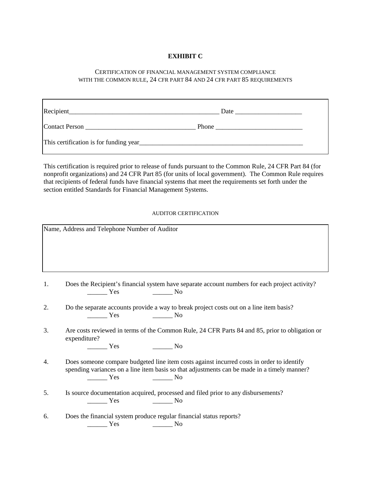#### **EXHIBIT C**

#### CERTIFICATION OF FINANCIAL MANAGEMENT SYSTEM COMPLIANCE WITH THE COMMON RULE, 24 CFR PART 84 AND 24 CFR PART 85 REQUIREMENTS

| Date                                                                                                   |
|--------------------------------------------------------------------------------------------------------|
| Phone<br><u> 1980 - Jan Barat, martin din sama sebagai pertama pertama pertama pertama pertama per</u> |
|                                                                                                        |

This certification is required prior to release of funds pursuant to the Common Rule, 24 CFR Part 84 (for nonprofit organizations) and 24 CFR Part 85 (for units of local government). The Common Rule requires that recipients of federal funds have financial systems that meet the requirements set forth under the section entitled Standards for Financial Management Systems.

#### AUDITOR CERTIFICATION

|    | Name, Address and Telephone Number of Auditor                                                                                                                                                                                                                                                                                                                                                                                                                                                                                                                                                                                                   |
|----|-------------------------------------------------------------------------------------------------------------------------------------------------------------------------------------------------------------------------------------------------------------------------------------------------------------------------------------------------------------------------------------------------------------------------------------------------------------------------------------------------------------------------------------------------------------------------------------------------------------------------------------------------|
| 1. | Does the Recipient's financial system have separate account numbers for each project activity?<br>$\frac{1}{1}$ Yes<br>$\overline{\phantom{a}}$ No                                                                                                                                                                                                                                                                                                                                                                                                                                                                                              |
| 2. | Do the separate accounts provide a way to break project costs out on a line item basis?<br>$\frac{1}{1}$ Yes<br>$\overline{\phantom{a}}$ No                                                                                                                                                                                                                                                                                                                                                                                                                                                                                                     |
| 3. | Are costs reviewed in terms of the Common Rule, 24 CFR Parts 84 and 85, prior to obligation or<br>expenditure?<br>$\frac{1}{1}$ Yes<br>$\frac{1}{\sqrt{1-\frac{1}{2}}}\text{No}$                                                                                                                                                                                                                                                                                                                                                                                                                                                                |
| 4. | Does someone compare budgeted line item costs against incurred costs in order to identify<br>spending variances on a line item basis so that adjustments can be made in a timely manner?<br>$\frac{1}{\sqrt{1-\frac{1}{2}}\sqrt{1-\frac{1}{2}}\sqrt{1-\frac{1}{2}}\sqrt{1-\frac{1}{2}}\sqrt{1-\frac{1}{2}}\sqrt{1-\frac{1}{2}}\sqrt{1-\frac{1}{2}}\sqrt{1-\frac{1}{2}}\sqrt{1-\frac{1}{2}}\sqrt{1-\frac{1}{2}}\sqrt{1-\frac{1}{2}}\sqrt{1-\frac{1}{2}}\sqrt{1-\frac{1}{2}}\sqrt{1-\frac{1}{2}}\sqrt{1-\frac{1}{2}}\sqrt{1-\frac{1}{2}}\sqrt{1-\frac{1}{2}}\sqrt{1-\frac{1}{2}}\sqrt{1-\frac{1}{2}}\sqrt{1-\frac$<br>$\overline{\phantom{a}}$ No |
| 5. | Is source documentation acquired, processed and filed prior to any disbursements?<br>$\frac{1}{1}$ Yes<br>——————— No                                                                                                                                                                                                                                                                                                                                                                                                                                                                                                                            |
| 6. | Does the financial system produce regular financial status reports?<br>$\frac{1}{1}$ Yes<br>——————— No                                                                                                                                                                                                                                                                                                                                                                                                                                                                                                                                          |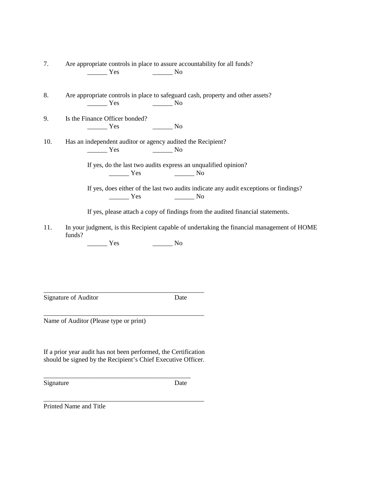| 7.  | Are appropriate controls in place to assure accountability for all funds?                                                                                                                                                                                                                                                                                                                                                                                                                                                  |
|-----|----------------------------------------------------------------------------------------------------------------------------------------------------------------------------------------------------------------------------------------------------------------------------------------------------------------------------------------------------------------------------------------------------------------------------------------------------------------------------------------------------------------------------|
|     | $\frac{1}{\sqrt{1-\frac{1}{\sqrt{1-\frac{1}{\sqrt{1-\frac{1}{\sqrt{1-\frac{1}{\sqrt{1-\frac{1}{\sqrt{1-\frac{1}{\sqrt{1-\frac{1}{\sqrt{1-\frac{1}{\sqrt{1-\frac{1}{\sqrt{1-\frac{1}{\sqrt{1-\frac{1}{\sqrt{1-\frac{1}{\sqrt{1-\frac{1}{\sqrt{1-\frac{1}{\sqrt{1-\frac{1}{\sqrt{1-\frac{1}{\sqrt{1-\frac{1}{\sqrt{1-\frac{1}{\sqrt{1-\frac{1}{\sqrt{1-\frac{1}{\sqrt{1-\frac{1}{\sqrt{1-\frac{1}{\sqrt{1-\frac{1}{\sqrt{1-\frac{1$                                                                                          |
| 8.  | Are appropriate controls in place to safeguard cash, property and other assets?                                                                                                                                                                                                                                                                                                                                                                                                                                            |
|     | $\frac{1}{1}$ Yes $\frac{1}{1}$ No                                                                                                                                                                                                                                                                                                                                                                                                                                                                                         |
| 9.  | Is the Finance Officer bonded?                                                                                                                                                                                                                                                                                                                                                                                                                                                                                             |
|     | $\frac{1}{\sqrt{1-\frac{1}{2}}}\text{No}$<br>$\frac{1}{\sqrt{1-\frac{1}{2}}\sqrt{1-\frac{1}{2}}\sqrt{1-\frac{1}{2}}\sqrt{1-\frac{1}{2}}\sqrt{1-\frac{1}{2}}\sqrt{1-\frac{1}{2}}\sqrt{1-\frac{1}{2}}\sqrt{1-\frac{1}{2}}\sqrt{1-\frac{1}{2}}\sqrt{1-\frac{1}{2}}\sqrt{1-\frac{1}{2}}\sqrt{1-\frac{1}{2}}\sqrt{1-\frac{1}{2}}\sqrt{1-\frac{1}{2}}\sqrt{1-\frac{1}{2}}\sqrt{1-\frac{1}{2}}\sqrt{1-\frac{1}{2}}\sqrt{1-\frac{1}{2}}\sqrt{1-\frac{1}{2}}\sqrt{1-\frac$                                                          |
| 10. | Has an independent auditor or agency audited the Recipient?                                                                                                                                                                                                                                                                                                                                                                                                                                                                |
|     | $\frac{1}{\sqrt{1-\frac{1}{\sqrt{1-\frac{1}{\sqrt{1-\frac{1}{\sqrt{1-\frac{1}{\sqrt{1-\frac{1}{\sqrt{1-\frac{1}{\sqrt{1-\frac{1}{\sqrt{1-\frac{1}{\sqrt{1-\frac{1}{\sqrt{1-\frac{1}{\sqrt{1-\frac{1}{\sqrt{1-\frac{1}{\sqrt{1-\frac{1}{\sqrt{1-\frac{1}{\sqrt{1-\frac{1}{\sqrt{1-\frac{1}{\sqrt{1-\frac{1}{\sqrt{1-\frac{1}{\sqrt{1-\frac{1}{\sqrt{1-\frac{1}{\sqrt{1-\frac{1}{\sqrt{1-\frac{1}{\sqrt{1-\frac{1}{\sqrt{1-\frac{1$                                                                                          |
|     | If yes, do the last two audits express an unqualified opinion?                                                                                                                                                                                                                                                                                                                                                                                                                                                             |
|     | $Yes$ No                                                                                                                                                                                                                                                                                                                                                                                                                                                                                                                   |
|     | If yes, does either of the last two audits indicate any audit exceptions or findings?<br>$\frac{1}{\sqrt{1-\frac{1}{\sqrt{1-\frac{1}{\sqrt{1-\frac{1}{\sqrt{1-\frac{1}{\sqrt{1-\frac{1}{\sqrt{1-\frac{1}{\sqrt{1-\frac{1}{\sqrt{1-\frac{1}{\sqrt{1-\frac{1}{\sqrt{1-\frac{1}{\sqrt{1-\frac{1}{\sqrt{1-\frac{1}{\sqrt{1-\frac{1}{\sqrt{1-\frac{1}{\sqrt{1-\frac{1}{\sqrt{1-\frac{1}{\sqrt{1-\frac{1}{\sqrt{1-\frac{1}{\sqrt{1-\frac{1}{\sqrt{1-\frac{1}{\sqrt{1-\frac{1}{\sqrt{1-\frac{1}{\sqrt{1-\frac{1}{\sqrt{1-\frac{1$ |
|     | If yes, please attach a copy of findings from the audited financial statements.                                                                                                                                                                                                                                                                                                                                                                                                                                            |
| 11. | In your judgment, is this Recipient capable of undertaking the financial management of HOME<br>funds?                                                                                                                                                                                                                                                                                                                                                                                                                      |
|     | $\frac{1}{\sqrt{1-\frac{1}{2}}}\text{No}$<br>$\frac{1}{1}$ Yes                                                                                                                                                                                                                                                                                                                                                                                                                                                             |

Signature of Auditor Date

\_\_\_\_\_\_\_\_\_\_\_\_\_\_\_\_\_\_\_\_\_\_\_\_\_\_\_\_\_\_\_\_\_\_\_\_\_\_\_\_\_\_\_\_\_\_\_\_

Name of Auditor (Please type or print)

If a prior year audit has not been performed, the Certification should be signed by the Recipient's Chief Executive Officer.

\_\_\_\_\_\_\_\_\_\_\_\_\_\_\_\_\_\_\_\_\_\_\_\_\_\_\_\_\_\_\_\_\_\_\_\_\_\_\_\_\_\_\_\_\_\_\_\_

\_\_\_\_\_\_\_\_\_\_\_\_\_\_\_\_\_\_\_\_\_\_\_\_\_\_\_\_\_\_\_\_\_\_\_\_\_\_\_\_\_\_\_\_

\_\_\_\_\_\_\_\_\_\_\_\_\_\_\_\_\_\_\_\_\_\_\_\_\_\_\_\_\_\_\_\_\_\_\_\_\_\_\_\_\_\_\_\_\_\_\_\_

Signature Date

Printed Name and Title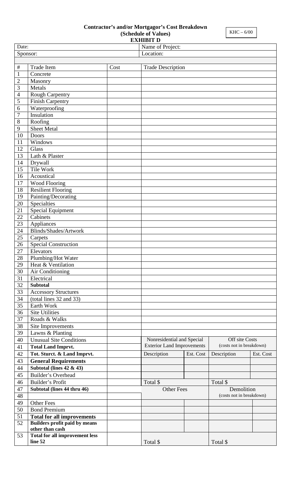# **Contractor's and/or Mortgagor's Cost Breakdown**

**(Schedule of Values)**

| <b>EXHIBIT D</b>      |                                       |      |                                   |           |                          |           |
|-----------------------|---------------------------------------|------|-----------------------------------|-----------|--------------------------|-----------|
|                       | Date:<br>Name of Project:             |      |                                   |           |                          |           |
| Location:<br>Sponsor: |                                       |      |                                   |           |                          |           |
|                       |                                       |      |                                   |           |                          |           |
| $\#$                  | <b>Trade Item</b>                     | Cost | <b>Trade Description</b>          |           |                          |           |
| $\mathbf{1}$          | Concrete                              |      |                                   |           |                          |           |
| $\overline{2}$        | Masonry                               |      |                                   |           |                          |           |
| $\overline{3}$        | Metals                                |      |                                   |           |                          |           |
| $\overline{4}$        | Rough Carpentry                       |      |                                   |           |                          |           |
| $\sqrt{5}$            | Finish Carpentry                      |      |                                   |           |                          |           |
| $\sqrt{6}$            | Waterproofing                         |      |                                   |           |                          |           |
| $\boldsymbol{7}$      | Insulation                            |      |                                   |           |                          |           |
| $\,8\,$               | Roofing                               |      |                                   |           |                          |           |
| $\mathbf{9}$          | Sheet Metal                           |      |                                   |           |                          |           |
| 10                    | Doors                                 |      |                                   |           |                          |           |
| 11                    | Windows                               |      |                                   |           |                          |           |
| 12                    | Glass                                 |      |                                   |           |                          |           |
| 13                    | Lath & Plaster                        |      |                                   |           |                          |           |
| 14                    | Drywall                               |      |                                   |           |                          |           |
| 15                    | Tile Work                             |      |                                   |           |                          |           |
| 16                    | Acoustical                            |      |                                   |           |                          |           |
| 17                    | Wood Flooring                         |      |                                   |           |                          |           |
| 18                    | <b>Resilient Flooring</b>             |      |                                   |           |                          |           |
| 19                    | Painting/Decorating                   |      |                                   |           |                          |           |
| 20                    | Specialties                           |      |                                   |           |                          |           |
| 21                    | Special Equipment                     |      |                                   |           |                          |           |
| 22                    | Cabinets                              |      |                                   |           |                          |           |
| 23                    | Appliances                            |      |                                   |           |                          |           |
| 24                    | Blinds/Shades/Artwork                 |      |                                   |           |                          |           |
| 25                    | Carpets                               |      |                                   |           |                          |           |
| 26                    | <b>Special Construction</b>           |      |                                   |           |                          |           |
| 27                    | Elevators                             |      |                                   |           |                          |           |
| 28                    | Plumbing/Hot Water                    |      |                                   |           |                          |           |
| 29                    | Heat & Ventilation                    |      |                                   |           |                          |           |
| 30                    | Air Conditioning                      |      |                                   |           |                          |           |
| 31                    | Electrical                            |      |                                   |           |                          |           |
| 32                    | <b>Subtotal</b>                       |      |                                   |           |                          |           |
| 33                    | <b>Accessory Structures</b>           |      |                                   |           |                          |           |
| 34                    | (total lines 32 and 33)               |      |                                   |           |                          |           |
| 35                    | Earth Work                            |      |                                   |           |                          |           |
| 36                    | <b>Site Utilities</b>                 |      |                                   |           |                          |           |
| 37                    | Roads & Walks                         |      |                                   |           |                          |           |
| 38                    | Site Improvements                     |      |                                   |           |                          |           |
| 39                    | Lawns & Planting                      |      |                                   |           |                          |           |
| 40                    | <b>Unusual Site Conditions</b>        |      | Nonresidential and Special        |           | Off site Costs           |           |
| 41                    | <b>Total Land Imprvt.</b>             |      | <b>Exterior Land Improvements</b> |           | (costs not in breakdown) |           |
| 42                    | Tot. Sturct. & Land Imprvt.           |      | Description                       | Est. Cost | Description              | Est. Cost |
| 43                    | <b>General Requirements</b>           |      |                                   |           |                          |           |
| 44                    | Subtotal (lines $42 \& 43$ )          |      |                                   |           |                          |           |
| 45                    | <b>Builder's Overhead</b>             |      |                                   |           |                          |           |
| 46                    | Builder's Profit                      |      | Total \$                          |           | Total \$                 |           |
| 47                    | Subtotal (lines 44 thru 46)           |      | <b>Other Fees</b>                 |           | Demolition               |           |
| 48                    |                                       |      |                                   |           | (costs not in breakdown) |           |
| 49                    | <b>Other Fees</b>                     |      |                                   |           |                          |           |
| 50                    | <b>Bond Premium</b>                   |      |                                   |           |                          |           |
| 51                    | <b>Total for all improvements</b>     |      |                                   |           |                          |           |
| 52                    | Builders profit paid by means         |      |                                   |           |                          |           |
|                       | other than cash                       |      |                                   |           |                          |           |
| 53                    | <b>Total for all improvement less</b> |      |                                   |           |                          |           |
|                       | line 52                               |      | Total \$                          |           | Total \$                 |           |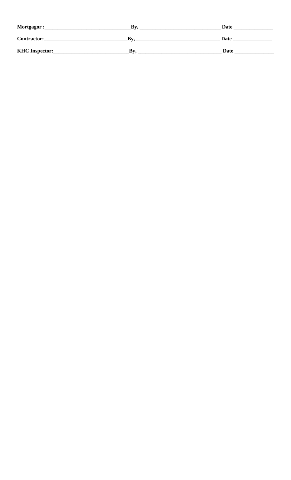| Mortgagor:            | Bv  | Date |
|-----------------------|-----|------|
| Contractor:           | Bv. | Date |
| <b>KHC</b> Inspector: | Rv  | Date |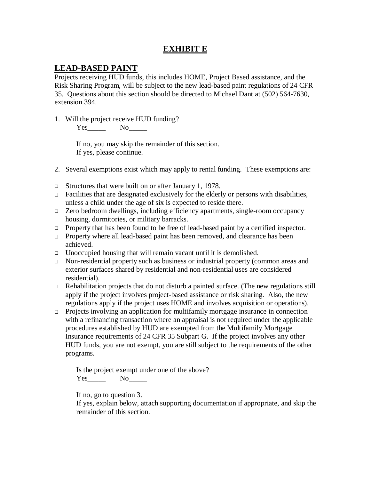# **EXHIBIT E**

# **LEAD-BASED PAINT**

Projects receiving HUD funds, this includes HOME, Project Based assistance, and the Risk Sharing Program, will be subject to the new lead-based paint regulations of 24 CFR 35. Questions about this section should be directed to Michael Dant at (502) 564-7630, extension 394.

1. Will the project receive HUD funding?

Yes No

If no, you may skip the remainder of this section. If yes, please continue.

- 2. Several exemptions exist which may apply to rental funding. These exemptions are:
- Structures that were built on or after January 1, 1978.
- $\Box$  Facilities that are designated exclusively for the elderly or persons with disabilities, unless a child under the age of six is expected to reside there.
- Zero bedroom dwellings, including efficiency apartments, single-room occupancy housing, dormitories, or military barracks.
- Property that has been found to be free of lead-based paint by a certified inspector.
- Property where all lead-based paint has been removed, and clearance has been achieved.
- $\Box$  Unoccupied housing that will remain vacant until it is demolished.
- Non-residential property such as business or industrial property (common areas and exterior surfaces shared by residential and non-residential uses are considered residential).
- Rehabilitation projects that do not disturb a painted surface. (The new regulations still apply if the project involves project-based assistance or risk sharing. Also, the new regulations apply if the project uses HOME and involves acquisition or operations).
- Projects involving an application for multifamily mortgage insurance in connection with a refinancing transaction where an appraisal is not required under the applicable procedures established by HUD are exempted from the Multifamily Mortgage Insurance requirements of 24 CFR 35 Subpart G. If the project involves any other HUD funds, you are not exempt, you are still subject to the requirements of the other programs.

Is the project exempt under one of the above? Yes\_\_\_\_\_ No\_\_\_\_\_

If no, go to question 3.

If yes, explain below, attach supporting documentation if appropriate, and skip the remainder of this section.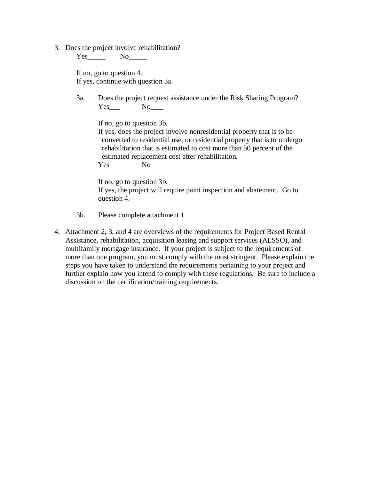3. Does the project involve rehabilitation?

Yes No

If no, go to question 4. If yes, continue with question 3a.

3a. Does the project request assistance under the Risk Sharing Program? Yes No

If no, go to question 3b.

If yes, does the project involve nonresidential property that is to be converted to residential use, or residential property that is to undergo rehabilitation that is estimated to cost more than 50 percent of the estimated replacement cost after rehabilitation.

Yes No<sub>\_\_\_\_</sub>

If no, go to question 3b. If yes, the project will require paint inspection and abatement. Go to question 4.

- 3b. Please complete attachment 1
- 4. Attachment 2, 3, and 4 are overviews of the requirements for Project Based Rental Assistance, rehabilitation, acquisition leasing and support services (ALSSO), and multifamily mortgage insurance. If your project is subject to the requirements of more than one program, you must comply with the most stringent. Please explain the steps you have taken to understand the requirements pertaining to your project and further explain how you intend to comply with these regulations. Be sure to include a discussion on the certification/training requirements.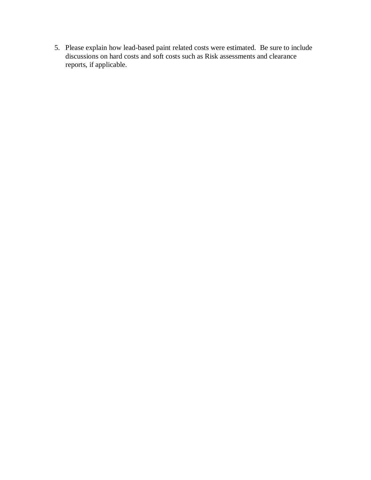5. Please explain how lead-based paint related costs were estimated. Be sure to include discussions on hard costs and soft costs such as Risk assessments and clearance reports, if applicable.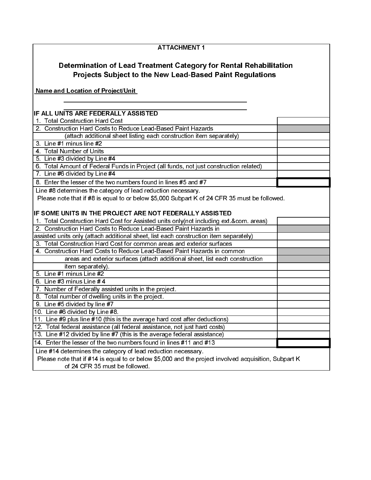| <b>ATTACHMENT 1</b>                                                                                                                   |  |  |  |  |
|---------------------------------------------------------------------------------------------------------------------------------------|--|--|--|--|
| Determination of Lead Treatment Category for Rental Rehabilitation<br><b>Projects Subject to the New Lead-Based Paint Regulations</b> |  |  |  |  |
| <b>Name and Location of Project/Unit</b>                                                                                              |  |  |  |  |
|                                                                                                                                       |  |  |  |  |
| IF ALL UNITS ARE FEDERALLY ASSISTED                                                                                                   |  |  |  |  |
| 1. Total Construction Hard Cost                                                                                                       |  |  |  |  |
| 2. Construction Hard Costs to Reduce Lead-Based Paint Hazards                                                                         |  |  |  |  |
| (attach additional sheet listing each construction item separately)                                                                   |  |  |  |  |
| 3. Line #1 minus line #2                                                                                                              |  |  |  |  |
| 4 Total Number of Units                                                                                                               |  |  |  |  |
| 5. Line #3 divided by Line #4                                                                                                         |  |  |  |  |
| 6. Total Amount of Federal Funds in Project (all funds, not just construction related)                                                |  |  |  |  |
| 7. Line #6 divided by Line #4                                                                                                         |  |  |  |  |
| 8. Enter the lesser of the two numbers found in lines #5 and #7                                                                       |  |  |  |  |
| Line #8 determines the category of lead reduction necessary.                                                                          |  |  |  |  |
| Please note that if #8 is equal to or below \$5,000 Subpart K of 24 CFR 35 must be followed.                                          |  |  |  |  |
|                                                                                                                                       |  |  |  |  |
| IF SOME UNITS IN THE PROJECT ARE NOT FEDERALLY ASSISTED                                                                               |  |  |  |  |
| 1. Total Construction Hard Cost for Assisted units only (not including ext.&com. areas)                                               |  |  |  |  |
| 2. Construction Hard Costs to Reduce Lead-Based Paint Hazards in                                                                      |  |  |  |  |
| assisted units only (attach additional sheet, list each construction item separately)                                                 |  |  |  |  |
| 3. Total Construction Hard Cost for common areas and exterior surfaces                                                                |  |  |  |  |
| 4. Construction Hard Costs to Reduce Lead-Based Paint Hazards in common                                                               |  |  |  |  |
| areas and exterior surfaces (attach additional sheet, list each construction                                                          |  |  |  |  |
| item separately).                                                                                                                     |  |  |  |  |
| 5. Line #1 minus Line #2                                                                                                              |  |  |  |  |
| 6 Line #3 minus Line # $4$                                                                                                            |  |  |  |  |
| 7. Number of Federally assisted units in the project.                                                                                 |  |  |  |  |
| 8. Total number of dwelling units in the project.                                                                                     |  |  |  |  |
| 9. Line #5 divided by line #7                                                                                                         |  |  |  |  |
| 10. Line #6 divided by Line #8.                                                                                                       |  |  |  |  |
| 11. Line #9 plus line #10 (this is the average hard cost after deductions)                                                            |  |  |  |  |
| 12. Total federal assistance (all federal assistance, not just hard costs)                                                            |  |  |  |  |
| 13. Line #12 divided by line #7 (this is the average federal assistance)                                                              |  |  |  |  |
| 14. Enter the lesser of the two numbers found in lines #11 and #13                                                                    |  |  |  |  |
| Line #14 determines the category of lead reduction necessary.                                                                         |  |  |  |  |
| Please note that if #14 is equal to or below \$5,000 and the project involved acquisition, Subpart K                                  |  |  |  |  |
| of 24 CFR 35 must be followed.                                                                                                        |  |  |  |  |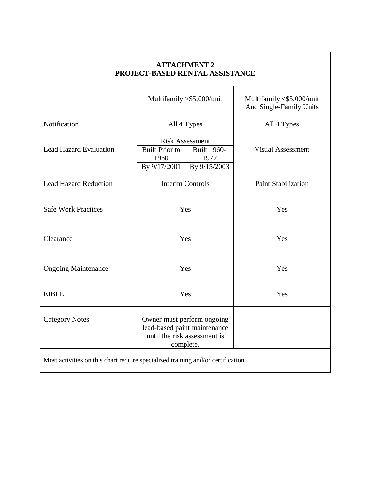| <b>ATTACHMENT 2</b><br>PROJECT-BASED RENTAL ASSISTANCE                           |                                                                                                                       |  |                                                      |  |  |
|----------------------------------------------------------------------------------|-----------------------------------------------------------------------------------------------------------------------|--|------------------------------------------------------|--|--|
|                                                                                  | Multifamily > \$5,000/unit                                                                                            |  | Multifamily <\$5,000/unit<br>And Single-Family Units |  |  |
| Notification                                                                     | All 4 Types                                                                                                           |  | All 4 Types                                          |  |  |
| <b>Lead Hazard Evaluation</b>                                                    | <b>Risk Assessment</b><br><b>Built Prior to</b><br><b>Built 1960-</b><br>1960<br>1977<br>By 9/17/2001<br>By 9/15/2003 |  | <b>Visual Assessment</b>                             |  |  |
| <b>Lead Hazard Reduction</b>                                                     | <b>Interim Controls</b>                                                                                               |  | <b>Paint Stabilization</b>                           |  |  |
| <b>Safe Work Practices</b>                                                       | Yes                                                                                                                   |  | Yes                                                  |  |  |
| Clearance                                                                        | Yes                                                                                                                   |  | Yes                                                  |  |  |
| <b>Ongoing Maintenance</b>                                                       | Yes                                                                                                                   |  | Yes                                                  |  |  |
| <b>EIBLL</b>                                                                     | Yes                                                                                                                   |  | Yes                                                  |  |  |
| <b>Category Notes</b>                                                            | Owner must perform ongoing<br>lead-based paint maintenance<br>until the risk assessment is<br>complete.               |  |                                                      |  |  |
| Most activities on this chart require specialized training and/or certification. |                                                                                                                       |  |                                                      |  |  |

Г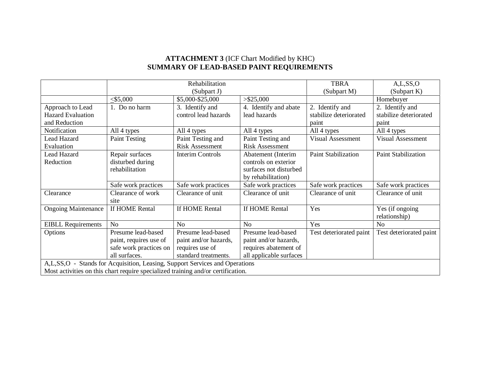#### **ATTACHMENT 3** (ICF Chart Modified by KHC) **SUMMARY OF LEAD-BASED PAINT REQUIREMENTS**

|                                                                                  |                        | Rehabilitation          |                         | <b>TBRA</b>                | A,L,SS,O                 |
|----------------------------------------------------------------------------------|------------------------|-------------------------|-------------------------|----------------------------|--------------------------|
|                                                                                  |                        | (Subpart J)             |                         | (Subpart M)                | (Subpart K)              |
|                                                                                  | $<$ \$5,000            | \$5,000-\$25,000        | $>$ \$25,000            |                            | Homebuyer                |
| Approach to Lead                                                                 | 1. Do no harm          | 3. Identify and         | 4. Identify and abate   | 2. Identify and            | 2. Identify and          |
| <b>Hazard Evaluation</b>                                                         |                        | control lead hazards    | lead hazards            | stabilize deteriorated     | stabilize deteriorated   |
| and Reduction                                                                    |                        |                         |                         | paint                      | paint                    |
| Notification                                                                     | All 4 types            | All 4 types             | All 4 types             | All 4 types                | All 4 types              |
| <b>Lead Hazard</b>                                                               | <b>Paint Testing</b>   | Paint Testing and       | Paint Testing and       | <b>Visual Assessment</b>   | <b>Visual Assessment</b> |
| Evaluation                                                                       |                        | <b>Risk Assessment</b>  | <b>Risk Assessment</b>  |                            |                          |
| Lead Hazard                                                                      | Repair surfaces        | <b>Interim Controls</b> | Abatement (Interim      | <b>Paint Stabilization</b> | Paint Stabilization      |
| Reduction                                                                        | disturbed during       |                         | controls on exterior    |                            |                          |
|                                                                                  | rehabilitation         |                         | surfaces not disturbed  |                            |                          |
|                                                                                  |                        |                         | by rehabilitation)      |                            |                          |
|                                                                                  | Safe work practices    | Safe work practices     | Safe work practices     | Safe work practices        | Safe work practices      |
| Clearance                                                                        | Clearance of work      | Clearance of unit       | Clearance of unit       | Clearance of unit          | Clearance of unit        |
|                                                                                  | site                   |                         |                         |                            |                          |
| <b>Ongoing Maintenance</b>                                                       | If HOME Rental         | If HOME Rental          | If HOME Rental          | Yes                        | Yes (if ongoing          |
|                                                                                  |                        |                         |                         |                            | relationship)            |
| <b>EIBLL Requirements</b>                                                        | N <sub>o</sub>         | N <sub>o</sub>          | N <sub>o</sub>          | Yes                        | N <sub>o</sub>           |
| Options                                                                          | Presume lead-based     | Presume lead-based      | Presume lead-based      | Test deteriorated paint    | Test deteriorated paint  |
|                                                                                  | paint, requires use of | paint and/or hazards,   | paint and/or hazards,   |                            |                          |
|                                                                                  | safe work practices on | requires use of         | requires abatement of   |                            |                          |
|                                                                                  | all surfaces.          | standard treatments.    | all applicable surfaces |                            |                          |
| A, L, SS, O - Stands for Acquisition, Leasing, Support Services and Operations   |                        |                         |                         |                            |                          |
| Most activities on this chart require specialized training and/or certification. |                        |                         |                         |                            |                          |